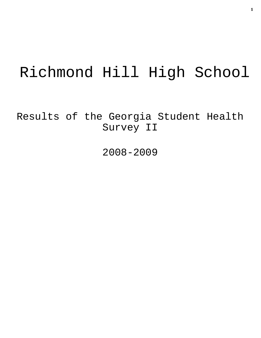# Richmond Hill High School

Results of the Georgia Student Health Survey II

2008-2009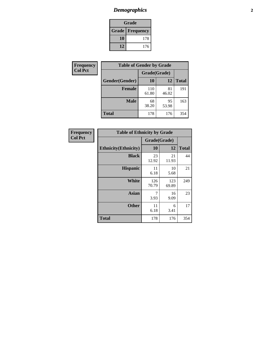# *Demographics* **2**

| Grade                    |     |  |  |  |
|--------------------------|-----|--|--|--|
| <b>Grade   Frequency</b> |     |  |  |  |
| 10                       | 178 |  |  |  |
| 12                       | 176 |  |  |  |

| <b>Frequency</b> | <b>Table of Gender by Grade</b> |              |             |              |  |  |
|------------------|---------------------------------|--------------|-------------|--------------|--|--|
| <b>Col Pct</b>   |                                 | Grade(Grade) |             |              |  |  |
|                  | Gender(Gender)                  | 10           | 12          | <b>Total</b> |  |  |
|                  | <b>Female</b>                   | 110<br>61.80 | 81<br>46.02 | 191          |  |  |
|                  | <b>Male</b>                     | 68<br>38.20  | 95<br>53.98 | 163          |  |  |
|                  | <b>Total</b>                    | 178          | 176         | 354          |  |  |

| <b>Frequency</b> |
|------------------|
| <b>Col Pct</b>   |

| <b>Table of Ethnicity by Grade</b> |              |              |              |  |  |  |
|------------------------------------|--------------|--------------|--------------|--|--|--|
|                                    | Grade(Grade) |              |              |  |  |  |
| <b>Ethnicity</b> (Ethnicity)       | 10           | 12           | <b>Total</b> |  |  |  |
| <b>Black</b>                       | 23<br>12.92  | 21<br>11.93  | 44           |  |  |  |
| <b>Hispanic</b>                    | 11<br>6.18   | 10<br>5.68   | 21           |  |  |  |
| White                              | 126<br>70.79 | 123<br>69.89 | 249          |  |  |  |
| <b>Asian</b>                       | 7<br>3.93    | 16<br>9.09   | 23           |  |  |  |
| <b>Other</b>                       | 11<br>6.18   | 6<br>3.41    | 17           |  |  |  |
| <b>Total</b>                       | 178          | 176          | 354          |  |  |  |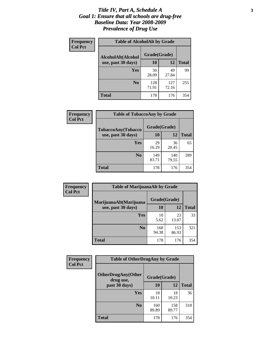### *Title IV, Part A, Schedule A* **3** *Goal 1: Ensure that all schools are drug-free Baseline Data: Year 2008-2009 Prevalence of Drug Use*

| Frequency<br><b>Col Pct</b> | <b>Table of AlcoholAlt by Grade</b> |              |              |              |  |  |
|-----------------------------|-------------------------------------|--------------|--------------|--------------|--|--|
|                             | AlcoholAlt(Alcohol                  | Grade(Grade) |              |              |  |  |
|                             | use, past 30 days)                  | <b>10</b>    | 12           | <b>Total</b> |  |  |
|                             | Yes                                 | 50<br>28.09  | 49<br>27.84  | 99           |  |  |
|                             | N <sub>0</sub>                      | 128<br>71.91 | 127<br>72.16 | 255          |  |  |
|                             | <b>Total</b>                        | 178          | 176          | 354          |  |  |

| Frequency<br><b>Col Pct</b> | <b>Table of TobaccoAny by Grade</b> |              |              |              |  |
|-----------------------------|-------------------------------------|--------------|--------------|--------------|--|
|                             | <b>TobaccoAny(Tobacco</b>           | Grade(Grade) |              |              |  |
|                             | use, past 30 days)                  | <b>10</b>    | 12           | <b>Total</b> |  |
|                             | Yes                                 | 29<br>16.29  | 36<br>20.45  | 65           |  |
|                             | N <sub>0</sub>                      | 149<br>83.71 | 140<br>79.55 | 289          |  |
|                             | Total                               | 178          | 176          | 354          |  |

| Frequency<br><b>Col Pct</b> | <b>Table of MarijuanaAlt by Grade</b> |              |              |              |  |  |
|-----------------------------|---------------------------------------|--------------|--------------|--------------|--|--|
|                             | MarijuanaAlt(Marijuana                | Grade(Grade) |              |              |  |  |
|                             | use, past 30 days)                    | <b>10</b>    | 12           | <b>Total</b> |  |  |
|                             | <b>Yes</b>                            | 10<br>5.62   | 23<br>13.07  | 33           |  |  |
|                             | N <sub>0</sub>                        | 168<br>94.38 | 153<br>86.93 | 321          |  |  |
|                             | <b>Total</b>                          | 178          | 176          | 354          |  |  |

| Frequency<br><b>Col Pct</b> | <b>Table of OtherDrugAny by Grade</b>                  |              |              |              |  |
|-----------------------------|--------------------------------------------------------|--------------|--------------|--------------|--|
|                             | <b>OtherDrugAny(Other</b><br>Grade(Grade)<br>drug use, |              |              |              |  |
|                             | past 30 days)                                          | 10           | 12           | <b>Total</b> |  |
|                             | Yes                                                    | 18<br>10.11  | 18<br>10.23  | 36           |  |
|                             | N <sub>0</sub>                                         | 160<br>89.89 | 158<br>89.77 | 318          |  |
|                             | <b>Total</b>                                           | 178          | 176          | 354          |  |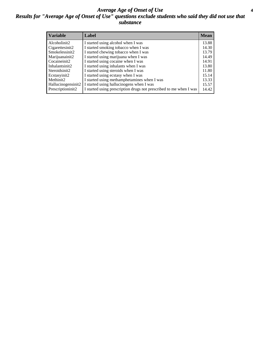### *Average Age of Onset of Use* **4** *Results for "Average Age of Onset of Use" questions exclude students who said they did not use that substance*

| <b>Variable</b>    | Label                                                              | <b>Mean</b> |
|--------------------|--------------------------------------------------------------------|-------------|
| Alcoholinit2       | I started using alcohol when I was                                 | 13.88       |
| Cigarettesinit2    | I started smoking tobacco when I was                               | 14.30       |
| Smokelessinit2     | I started chewing tobacco when I was                               | 13.79       |
| Marijuanainit2     | I started using marijuana when I was                               | 14.49       |
| Cocaineinit2       | I started using cocaine when I was                                 | 14.91       |
| Inhalantsinit2     | I started using inhalants when I was                               | 13.80       |
| Steroidsinit2      | I started using steroids when I was                                | 11.80       |
| Ecstasyinit2       | I started using ecstasy when I was                                 | 15.14       |
| Methinit2          | I started using methamphetamines when I was                        | 13.33       |
| Hallucinogensinit2 | I started using hallucinogens when I was                           | 15.57       |
| Prescriptioninit2  | I started using prescription drugs not prescribed to me when I was | 14.42       |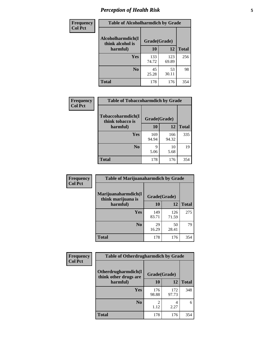# *Perception of Health Risk* **5**

| <b>Frequency</b> | <b>Table of Alcoholharmdich by Grade</b> |              |              |              |  |
|------------------|------------------------------------------|--------------|--------------|--------------|--|
| <b>Col Pct</b>   | Alcoholharmdich(I<br>think alcohol is    | Grade(Grade) |              |              |  |
|                  | harmful)                                 | 10           | 12           | <b>Total</b> |  |
|                  | <b>Yes</b>                               | 133<br>74.72 | 123<br>69.89 | 256          |  |
|                  | N <sub>0</sub>                           | 45<br>25.28  | 53<br>30.11  | 98           |  |
|                  | <b>Total</b>                             | 178          | 176          | 354          |  |

| Frequency      | <b>Table of Tobaccoharmdich by Grade</b> |              |              |              |  |
|----------------|------------------------------------------|--------------|--------------|--------------|--|
| <b>Col Pct</b> | Tobaccoharmdich(I<br>think tobacco is    | Grade(Grade) |              |              |  |
|                | harmful)                                 | 10           | 12           | <b>Total</b> |  |
|                | Yes                                      | 169<br>94.94 | 166<br>94.32 | 335          |  |
|                | N <sub>0</sub>                           | q<br>5.06    | 10<br>5.68   | 19           |  |
|                | <b>Total</b>                             | 178          | 176          | 354          |  |

| Frequency      | <b>Table of Marijuanaharmdich by Grade</b> |              |              |              |  |  |
|----------------|--------------------------------------------|--------------|--------------|--------------|--|--|
| <b>Col Pct</b> | Marijuanaharmdich(I<br>think marijuana is  | Grade(Grade) |              |              |  |  |
|                | harmful)                                   | 10           | 12           | <b>Total</b> |  |  |
|                | Yes                                        | 149<br>83.71 | 126<br>71.59 | 275          |  |  |
|                | N <sub>0</sub>                             | 29<br>16.29  | 50<br>28.41  | 79           |  |  |
|                | <b>Total</b>                               | 178          | 176          | 354          |  |  |

| <b>Frequency</b> | <b>Table of Otherdrugharmdich by Grade</b>   |              |              |              |  |
|------------------|----------------------------------------------|--------------|--------------|--------------|--|
| <b>Col Pct</b>   | Otherdrugharmdich(I<br>think other drugs are | Grade(Grade) |              |              |  |
|                  | harmful)                                     | 10           | 12           | <b>Total</b> |  |
|                  | <b>Yes</b>                                   | 176<br>98.88 | 172<br>97.73 | 348          |  |
|                  | N <sub>0</sub>                               | 1.12         | 2.27         | 6            |  |
|                  | <b>Total</b>                                 | 178          | 176          | 354          |  |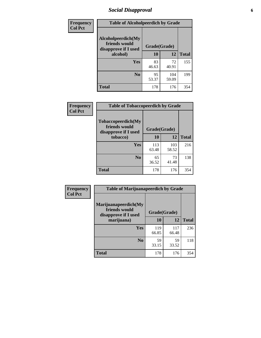# *Social Disapproval* **6**

| Frequency      | <b>Table of Alcoholpeerdich by Grade</b>                    |              |              |              |  |  |  |
|----------------|-------------------------------------------------------------|--------------|--------------|--------------|--|--|--|
| <b>Col Pct</b> | Alcoholpeerdich(My<br>friends would<br>disapprove if I used | Grade(Grade) |              |              |  |  |  |
|                | alcohol)                                                    | 10           | 12           | <b>Total</b> |  |  |  |
|                | <b>Yes</b>                                                  | 83<br>46.63  | 72<br>40.91  | 155          |  |  |  |
|                | N <sub>0</sub>                                              | 95<br>53.37  | 104<br>59.09 | 199          |  |  |  |
|                | <b>Total</b>                                                | 178          | 176          | 354          |  |  |  |

| <b>Frequency</b> |
|------------------|
| <b>Col Pct</b>   |

| <b>Table of Tobaccopeerdich by Grade</b>                    |              |              |              |  |  |
|-------------------------------------------------------------|--------------|--------------|--------------|--|--|
| Tobaccopeerdich(My<br>friends would<br>disapprove if I used | Grade(Grade) |              |              |  |  |
| tobacco)                                                    | 10<br>12     |              | <b>Total</b> |  |  |
| Yes                                                         | 113<br>63.48 | 103<br>58.52 | 216          |  |  |
| N <sub>0</sub>                                              | 65<br>36.52  | 73<br>41.48  | 138          |  |  |
| <b>Total</b>                                                | 178          | 176          | 354          |  |  |

| <b>Frequency</b> | <b>Table of Marijuanapeerdich by Grade</b>                    |              |              |              |  |  |
|------------------|---------------------------------------------------------------|--------------|--------------|--------------|--|--|
| <b>Col Pct</b>   | Marijuanapeerdich(My<br>friends would<br>disapprove if I used | Grade(Grade) |              |              |  |  |
|                  | marijuana)                                                    | 10           | 12           | <b>Total</b> |  |  |
|                  | <b>Yes</b>                                                    | 119<br>66.85 | 117<br>66.48 | 236          |  |  |
|                  | N <sub>0</sub>                                                | 59<br>33.15  | 59<br>33.52  | 118          |  |  |
|                  | <b>Total</b>                                                  | 178          | 176          | 354          |  |  |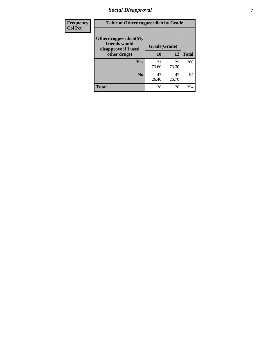# *Social Disapproval* **7**

| Frequency      | <b>Table of Otherdrugpeerdich by Grade</b>                    |              |              |              |  |  |
|----------------|---------------------------------------------------------------|--------------|--------------|--------------|--|--|
| <b>Col Pct</b> | Otherdrugpeerdich(My<br>friends would<br>disapprove if I used | Grade(Grade) |              |              |  |  |
|                | other drugs)                                                  | 10           | 12           | <b>Total</b> |  |  |
|                | Yes                                                           | 131<br>73.60 | 129<br>73.30 | 260          |  |  |
|                | N <sub>0</sub>                                                | 47<br>26.40  | 47<br>26.70  | 94           |  |  |
|                | <b>Total</b>                                                  | 178          | 176          | 354          |  |  |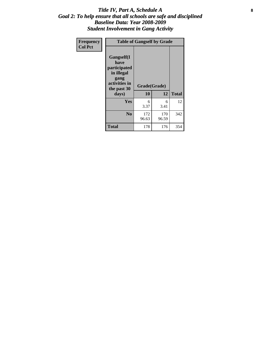### Title IV, Part A, Schedule A **8** *Goal 2: To help ensure that all schools are safe and disciplined Baseline Data: Year 2008-2009 Student Involvement in Gang Activity*

| Frequency      | <b>Table of Gangself by Grade</b>                                                                 |                    |              |              |  |
|----------------|---------------------------------------------------------------------------------------------------|--------------------|--------------|--------------|--|
| <b>Col Pct</b> | Gangself(I<br>have<br>participated<br>in illegal<br>gang<br>activities in<br>the past 30<br>days) | Grade(Grade)<br>10 | 12           | <b>Total</b> |  |
|                | Yes                                                                                               | 6<br>3.37          | 6<br>3.41    | 12           |  |
|                | N <sub>0</sub>                                                                                    | 172<br>96.63       | 170<br>96.59 | 342          |  |
|                | Total                                                                                             | 178                | 176          | 354          |  |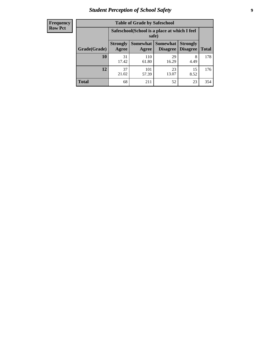# *Student Perception of School Safety* **9**

| <b>Frequency</b><br>Row Pct |
|-----------------------------|
|                             |

| <b>Table of Grade by Safeschool</b> |                          |                                                        |                             |                                    |              |  |
|-------------------------------------|--------------------------|--------------------------------------------------------|-----------------------------|------------------------------------|--------------|--|
|                                     |                          | Safeschool (School is a place at which I feel<br>safe) |                             |                                    |              |  |
| Grade(Grade)                        | <b>Strongly</b><br>Agree | <b>Somewhat</b><br>Agree                               | <b>Somewhat</b><br>Disagree | <b>Strongly</b><br><b>Disagree</b> | <b>Total</b> |  |
| <b>10</b>                           | 31<br>17.42              | 110<br>61.80                                           | 29<br>16.29                 | 8<br>4.49                          | 178          |  |
| 12                                  | 37<br>21.02              | 101<br>57.39                                           | 23<br>13.07                 | 15<br>8.52                         | 176          |  |
| <b>Total</b>                        | 68                       | 211                                                    | 52                          | 23                                 | 354          |  |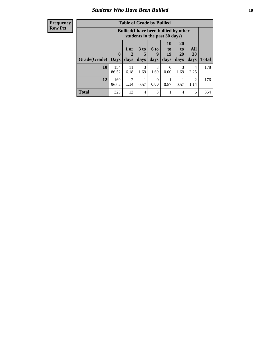### *Students Who Have Been Bullied* **10**

### **Frequency Row Pct**

| <b>Table of Grade by Bullied</b> |                  |                                                                               |                              |                          |                        |                        |                   |              |
|----------------------------------|------------------|-------------------------------------------------------------------------------|------------------------------|--------------------------|------------------------|------------------------|-------------------|--------------|
|                                  |                  | <b>Bullied</b> (I have been bullied by other<br>students in the past 30 days) |                              |                          |                        |                        |                   |              |
| Grade(Grade)                     | 0<br><b>Days</b> | 1 or<br>2<br>days                                                             | 3 <sub>to</sub><br>5<br>days | <b>6 to</b><br>9<br>days | 10<br>to<br>19<br>days | 20<br>to<br>29<br>days | All<br>30<br>days | <b>Total</b> |
| 10                               | 154<br>86.52     | 11<br>6.18                                                                    | 3<br>1.69                    | 3<br>1.69                | 0<br>0.00              | 3<br>1.69              | 4<br>2.25         | 178          |
| 12                               | 169<br>96.02     | $\overline{2}$<br>1.14                                                        | 0.57                         | $\Omega$<br>0.00         | 0.57                   | 0.57                   | 2<br>1.14         | 176          |
| <b>Total</b>                     | 323              | 13                                                                            | 4                            | 3                        |                        | 4                      | 6                 | 354          |

 $\blacksquare$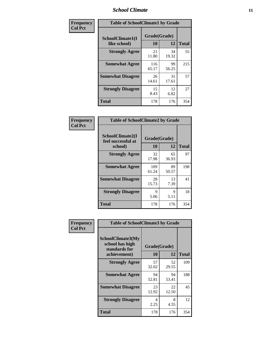### *School Climate* **11**

| Frequency      | <b>Table of SchoolClimate1 by Grade</b> |                    |             |              |  |
|----------------|-----------------------------------------|--------------------|-------------|--------------|--|
| <b>Col Pct</b> | SchoolClimate1(I<br>like school)        | Grade(Grade)<br>10 | 12          | <b>Total</b> |  |
|                | <b>Strongly Agree</b>                   | 21<br>11.80        | 34<br>19.32 | 55           |  |
|                | <b>Somewhat Agree</b>                   | 116<br>65.17       | 99<br>56.25 | 215          |  |
|                | <b>Somewhat Disagree</b>                | 26<br>14.61        | 31<br>17.61 | 57           |  |
|                | <b>Strongly Disagree</b>                | 15<br>8.43         | 12<br>6.82  | 27           |  |
|                | <b>Total</b>                            | 178                | 176         | 354          |  |

| Frequency<br>Col Pct |
|----------------------|

| <b>Table of SchoolClimate2 by Grade</b>           |                    |             |              |
|---------------------------------------------------|--------------------|-------------|--------------|
| SchoolClimate2(I<br>feel successful at<br>school) | Grade(Grade)<br>10 | 12          | <b>Total</b> |
| <b>Strongly Agree</b>                             | 32<br>17.98        | 65<br>36.93 | 97           |
| <b>Somewhat Agree</b>                             | 109<br>61.24       | 89<br>50.57 | 198          |
| <b>Somewhat Disagree</b>                          | 28<br>15.73        | 13<br>7.39  | 41           |
| <b>Strongly Disagree</b>                          | 9<br>5.06          | 9<br>5.11   | 18           |
| <b>Total</b>                                      | 178                | 176         | 354          |

| Frequency      | <b>Table of SchoolClimate3 by Grade</b>                                      |                    |             |              |
|----------------|------------------------------------------------------------------------------|--------------------|-------------|--------------|
| <b>Col Pct</b> | <b>SchoolClimate3(My</b><br>school has high<br>standards for<br>achievement) | Grade(Grade)<br>10 | 12          | <b>Total</b> |
|                |                                                                              |                    |             |              |
|                | <b>Strongly Agree</b>                                                        | 57<br>32.02        | 52<br>29.55 | 109          |
|                | <b>Somewhat Agree</b>                                                        | 94<br>52.81        | 94<br>53.41 | 188          |
|                | <b>Somewhat Disagree</b>                                                     | 23<br>12.92        | 22<br>12.50 | 45           |
|                | <b>Strongly Disagree</b>                                                     | 4<br>2.25          | 8<br>4.55   | 12           |
|                | Total                                                                        | 178                | 176         | 354          |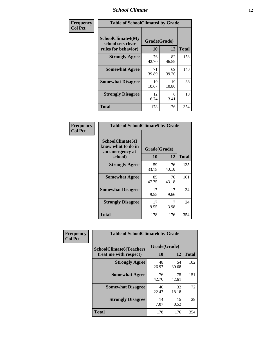### *School Climate* **12**

| Frequency      |                                                                      | <b>Table of SchoolClimate4 by Grade</b> |             |              |  |
|----------------|----------------------------------------------------------------------|-----------------------------------------|-------------|--------------|--|
| <b>Col Pct</b> | <b>SchoolClimate4(My</b><br>school sets clear<br>rules for behavior) | Grade(Grade)<br><b>10</b>               | 12          | <b>Total</b> |  |
|                | <b>Strongly Agree</b>                                                | 76<br>42.70                             | 82<br>46.59 | 158          |  |
|                | <b>Somewhat Agree</b>                                                | 71<br>39.89                             | 69<br>39.20 | 140          |  |
|                | <b>Somewhat Disagree</b>                                             | 19<br>10.67                             | 19<br>10.80 | 38           |  |
|                | <b>Strongly Disagree</b>                                             | 12<br>6.74                              | 6<br>3.41   | 18           |  |
|                | Total                                                                | 178                                     | 176         | 354          |  |

| <b>Table of SchoolClimate5 by Grade</b>                              |                    |             |              |  |  |
|----------------------------------------------------------------------|--------------------|-------------|--------------|--|--|
| SchoolClimate5(I<br>know what to do in<br>an emergency at<br>school) | Grade(Grade)<br>10 | 12          | <b>Total</b> |  |  |
| <b>Strongly Agree</b>                                                | 59<br>33.15        | 76<br>43.18 | 135          |  |  |
| <b>Somewhat Agree</b>                                                | 85<br>47.75        | 76<br>43.18 | 161          |  |  |
| <b>Somewhat Disagree</b>                                             | 17<br>9.55         | 17<br>9.66  | 34           |  |  |
| <b>Strongly Disagree</b>                                             | 17<br>9.55         | 7<br>3.98   | 24           |  |  |
| Total                                                                | 178                | 176         | 354          |  |  |

| Frequency      | <b>Table of SchoolClimate6 by Grade</b>                  |                    |             |              |
|----------------|----------------------------------------------------------|--------------------|-------------|--------------|
| <b>Col Pct</b> | <b>SchoolClimate6(Teachers</b><br>treat me with respect) | Grade(Grade)<br>10 | 12          | <b>Total</b> |
|                | <b>Strongly Agree</b>                                    | 48<br>26.97        | 54<br>30.68 | 102          |
|                | <b>Somewhat Agree</b>                                    | 76<br>42.70        | 75<br>42.61 | 151          |
|                | <b>Somewhat Disagree</b>                                 | 40<br>22.47        | 32<br>18.18 | 72           |
|                | <b>Strongly Disagree</b>                                 | 14<br>7.87         | 15<br>8.52  | 29           |
|                | <b>Total</b>                                             | 178                | 176         | 354          |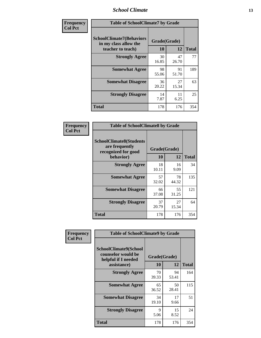### *School Climate* **13**

| Frequency      | <b>Table of SchoolClimate7 by Grade</b>                                       |                           |             |              |
|----------------|-------------------------------------------------------------------------------|---------------------------|-------------|--------------|
| <b>Col Pct</b> | <b>SchoolClimate7(Behaviors</b><br>in my class allow the<br>teacher to teach) | Grade(Grade)<br><b>10</b> | 12          | <b>Total</b> |
|                | <b>Strongly Agree</b>                                                         | 30<br>16.85               | 47<br>26.70 | 77           |
|                | <b>Somewhat Agree</b>                                                         | 98<br>55.06               | 91<br>51.70 | 189          |
|                | <b>Somewhat Disagree</b>                                                      | 36<br>20.22               | 27<br>15.34 | 63           |
|                | <b>Strongly Disagree</b>                                                      | 14<br>7.87                | 11<br>6.25  | 25           |
|                | <b>Total</b>                                                                  | 178                       | 176         | 354          |

| Frequency      | <b>Table of SchoolClimate8 by Grade</b>                                              |                    |             |              |
|----------------|--------------------------------------------------------------------------------------|--------------------|-------------|--------------|
| <b>Col Pct</b> | <b>SchoolClimate8(Students</b><br>are frequently<br>recognized for good<br>behavior) | Grade(Grade)<br>10 | 12          | <b>Total</b> |
|                | <b>Strongly Agree</b>                                                                | 18<br>10.11        | 16<br>9.09  | 34           |
|                | <b>Somewhat Agree</b>                                                                | 57<br>32.02        | 78<br>44.32 | 135          |
|                | <b>Somewhat Disagree</b>                                                             | 66<br>37.08        | 55<br>31.25 | 121          |
|                | <b>Strongly Disagree</b>                                                             | 37<br>20.79        | 27<br>15.34 | 64           |
|                | <b>Total</b>                                                                         | 178                | 176         | 354          |

| Frequency      | <b>Table of SchoolClimate9 by Grade</b>                                                  |                    |             |              |
|----------------|------------------------------------------------------------------------------------------|--------------------|-------------|--------------|
| <b>Col Pct</b> | <b>SchoolClimate9(School</b><br>counselor would be<br>helpful if I needed<br>assistance) | Grade(Grade)<br>10 | 12          | <b>Total</b> |
|                | <b>Strongly Agree</b>                                                                    | 70<br>39.33        | 94<br>53.41 | 164          |
|                | <b>Somewhat Agree</b>                                                                    | 65<br>36.52        | 50<br>28.41 | 115          |
|                | <b>Somewhat Disagree</b>                                                                 | 34<br>19.10        | 17<br>9.66  | 51           |
|                | <b>Strongly Disagree</b>                                                                 | 9<br>5.06          | 15<br>8.52  | 24           |
|                | <b>Total</b>                                                                             | 178                | 176         | 354          |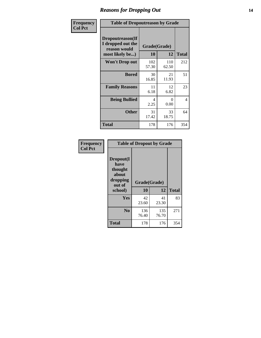### *Reasons for Dropping Out* **14**

| Frequency      | <b>Table of Dropoutreason by Grade</b>                                   |                    |              |              |
|----------------|--------------------------------------------------------------------------|--------------------|--------------|--------------|
| <b>Col Pct</b> | Dropoutreason(If<br>I dropped out the<br>reason would<br>most likely be) | Grade(Grade)<br>10 | 12           | <b>Total</b> |
|                | <b>Won't Drop out</b>                                                    | 102<br>57.30       | 110<br>62.50 | 212          |
|                | <b>Bored</b>                                                             | 30<br>16.85        | 21<br>11.93  | 51           |
|                | <b>Family Reasons</b>                                                    | 11<br>6.18         | 12<br>6.82   | 23           |
|                | <b>Being Bullied</b>                                                     | 4<br>2.25          | 0<br>0.00    | 4            |
|                | <b>Other</b>                                                             | 31<br>17.42        | 33<br>18.75  | 64           |
|                | <b>Total</b>                                                             | 178                | 176          | 354          |

| Frequency<br><b>Col Pct</b> | <b>Table of Dropout by Grade</b>                            |              |              |              |  |
|-----------------------------|-------------------------------------------------------------|--------------|--------------|--------------|--|
|                             | Dropout(I<br>have<br>thought<br>about<br>dropping<br>out of | Grade(Grade) |              |              |  |
|                             | school)                                                     | 10           | 12           | <b>Total</b> |  |
|                             | <b>Yes</b>                                                  | 42<br>23.60  | 41<br>23.30  | 83           |  |
|                             | N <sub>0</sub>                                              | 136<br>76.40 | 135<br>76.70 | 271          |  |
|                             | <b>Total</b>                                                | 178          | 176          | 354          |  |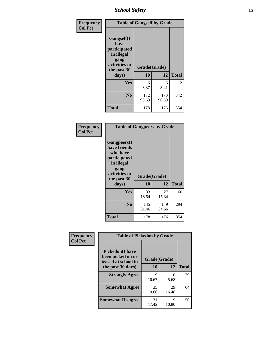*School Safety* **15**

| Frequency      | <b>Table of Gangself by Grade</b>                                                                 |                          |              |              |
|----------------|---------------------------------------------------------------------------------------------------|--------------------------|--------------|--------------|
| <b>Col Pct</b> | Gangself(I<br>have<br>participated<br>in illegal<br>gang<br>activities in<br>the past 30<br>days) | Grade(Grade)<br>10<br>12 |              | <b>Total</b> |
|                | Yes                                                                                               | 6<br>3.37                | 6<br>3.41    | 12           |
|                | N <sub>0</sub>                                                                                    | 172<br>96.63             | 170<br>96.59 | 342          |
|                | <b>Total</b>                                                                                      | 178                      | 176          | 354          |

| Frequency<br><b>Col Pct</b> | <b>Table of Gangpeers by Grade</b>                                                                                             |                    |              |              |
|-----------------------------|--------------------------------------------------------------------------------------------------------------------------------|--------------------|--------------|--------------|
|                             | <b>Gangpeers</b> (I<br>have friends<br>who have<br>participated<br>in illegal<br>gang<br>activities in<br>the past 30<br>days) | Grade(Grade)<br>10 | 12           | <b>Total</b> |
|                             | Yes                                                                                                                            | 33<br>18.54        | 27<br>15.34  | 60           |
|                             | N <sub>0</sub>                                                                                                                 | 145<br>81.46       | 149<br>84.66 | 294          |
|                             | <b>Total</b>                                                                                                                   | 178                | 176          | 354          |

| Frequency      |                                                                     | <b>Table of Pickedon by Grade</b> |             |              |  |  |  |  |  |  |
|----------------|---------------------------------------------------------------------|-----------------------------------|-------------|--------------|--|--|--|--|--|--|
| <b>Col Pct</b> | <b>Pickedon</b> (I have<br>been picked on or<br>teased at school in | Grade(Grade)                      |             |              |  |  |  |  |  |  |
|                | the past 30 days)                                                   | 10                                | 12          | <b>Total</b> |  |  |  |  |  |  |
|                | <b>Strongly Agree</b>                                               | 19<br>10.67                       | 10<br>5.68  | 29           |  |  |  |  |  |  |
|                | <b>Somewhat Agree</b>                                               | 35<br>19.66                       | 29<br>16.48 | 64           |  |  |  |  |  |  |
|                | <b>Somewhat Disagree</b>                                            | 31<br>17.42                       | 19<br>10.80 | 50           |  |  |  |  |  |  |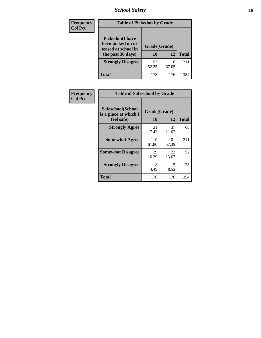*School Safety* **16**

| <b>Frequency</b> |                                                                                          | <b>Table of Pickedon by Grade</b> |              |              |  |  |  |  |  |  |  |  |  |
|------------------|------------------------------------------------------------------------------------------|-----------------------------------|--------------|--------------|--|--|--|--|--|--|--|--|--|
| <b>Col Pct</b>   | <b>Pickedon</b> (I have<br>been picked on or<br>teased at school in<br>the past 30 days) | Grade(Grade)<br>10                | 12           | <b>Total</b> |  |  |  |  |  |  |  |  |  |
|                  | <b>Strongly Disagree</b>                                                                 | 93<br>52.25                       | 118<br>67.05 | 211          |  |  |  |  |  |  |  |  |  |
|                  | <b>Total</b>                                                                             | 178                               | 176          | 354          |  |  |  |  |  |  |  |  |  |

| Frequency      | <b>Table of Safeschool by Grade</b>                      |                    |              |     |
|----------------|----------------------------------------------------------|--------------------|--------------|-----|
| <b>Col Pct</b> | Safeschool(School<br>is a place at which I<br>feel safe) | Grade(Grade)<br>10 | <b>Total</b> |     |
|                | <b>Strongly Agree</b>                                    | 31<br>17.42        | 37<br>21.02  | 68  |
|                | <b>Somewhat Agree</b>                                    | 110<br>61.80       | 101<br>57.39 | 211 |
|                | <b>Somewhat Disagree</b>                                 | 29<br>16.29        | 23<br>13.07  | 52  |
|                | <b>Strongly Disagree</b>                                 | 8<br>4.49          | 15<br>8.52   | 23  |
|                | Total                                                    | 178                | 176          | 354 |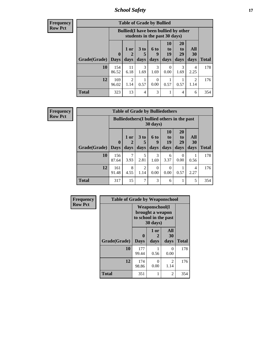*School Safety* **17**

**Frequency Row Pct**

| <b>Table of Grade by Bullied</b> |              |                                                                               |                   |                   |                        |                               |                          |              |  |  |  |
|----------------------------------|--------------|-------------------------------------------------------------------------------|-------------------|-------------------|------------------------|-------------------------------|--------------------------|--------------|--|--|--|
|                                  |              | <b>Bullied</b> (I have been bullied by other<br>students in the past 30 days) |                   |                   |                        |                               |                          |              |  |  |  |
| Grade(Grade)   Days              | $\mathbf 0$  | 1 or<br>2<br>days                                                             | 3 to<br>5<br>days | 6 to<br>g<br>days | 10<br>to<br>19<br>days | <b>20</b><br>to<br>29<br>days | All<br><b>30</b><br>days | <b>Total</b> |  |  |  |
| 10                               | 154<br>86.52 | 11<br>6.18                                                                    | 3<br>1.69         | 3<br>1.69         | 0<br>0.00              | 3<br>1.69                     | 4<br>2.25                | 178          |  |  |  |
| 12                               | 169<br>96.02 | 2<br>1.14                                                                     | 0.57              | 0<br>0.00         | 0.57                   | 0.57                          | $\mathcal{D}$<br>1.14    | 176          |  |  |  |
| <b>Total</b>                     | 323          | 13                                                                            | $\overline{4}$    | 3                 |                        | 4                             | 6                        | 354          |  |  |  |

| <b>Table of Grade by Bulliedothers</b>                                                                                  |              |           |                        |           |           |                  |           |              |  |  |  |
|-------------------------------------------------------------------------------------------------------------------------|--------------|-----------|------------------------|-----------|-----------|------------------|-----------|--------------|--|--|--|
| <b>Bulliedothers</b> (I bullied others in the past<br>$30 \text{ days}$                                                 |              |           |                        |           |           |                  |           |              |  |  |  |
| 10<br>20<br>All<br>3 <sub>to</sub><br>$1$ or<br>6 to<br>to<br>$\mathbf{t}$<br>19<br>29<br>30<br>$\bf{0}$<br>2<br>5<br>9 |              |           |                        |           |           |                  |           |              |  |  |  |
| Grade(Grade)   Days                                                                                                     |              | days      | days                   | days      | days      | days             | days      | <b>Total</b> |  |  |  |
| 10                                                                                                                      | 156<br>87.64 | 3.93      | 5<br>2.81              | 3<br>1.69 | 6<br>3.37 | $\Omega$<br>0.00 | 0.56      | 178          |  |  |  |
| 12                                                                                                                      | 161<br>91.48 | 8<br>4.55 | $\overline{2}$<br>1.14 | 0<br>0.00 | 0<br>0.00 | 0.57             | 4<br>2.27 | 176          |  |  |  |
| <b>Total</b>                                                                                                            | 317          | 15        | 7                      | 3         | 6         | 1                | 5         | 354          |  |  |  |

| Frequency      | <b>Table of Grade by Weaponschool</b> |                                                                         |                   |                   |              |  |  |  |  |
|----------------|---------------------------------------|-------------------------------------------------------------------------|-------------------|-------------------|--------------|--|--|--|--|
| <b>Row Pct</b> |                                       | Weaponschool(I<br>brought a weapon<br>to school in the past<br>30 days) |                   |                   |              |  |  |  |  |
|                | Grade(Grade)                          | $\bf{0}$<br><b>Days</b>                                                 | 1 or<br>2<br>days | All<br>30<br>days | <b>Total</b> |  |  |  |  |
|                | 10                                    | 177<br>99.44                                                            | 0.56              | 0<br>0.00         | 178          |  |  |  |  |
|                | 12                                    | 174<br>98.86                                                            | 0<br>0.00         | 2<br>1.14         | 176          |  |  |  |  |
|                | <b>Total</b>                          | 351                                                                     | 1                 | 2                 | 354          |  |  |  |  |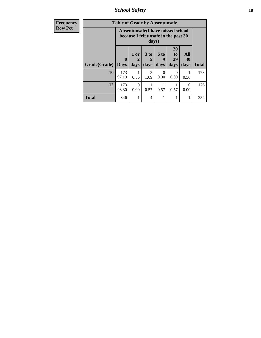*School Safety* **18**

| <b>Frequency</b> | <b>Table of Grade by Absentunsafe</b> |                            |                                                                           |                              |                   |                               |                   |              |  |  |  |
|------------------|---------------------------------------|----------------------------|---------------------------------------------------------------------------|------------------------------|-------------------|-------------------------------|-------------------|--------------|--|--|--|
| <b>Row Pct</b>   |                                       |                            | Absentunsafe(I have missed school<br>because I felt unsafe in the past 30 | days)                        |                   |                               |                   |              |  |  |  |
|                  | Grade(Grade)                          | $\mathbf 0$<br><b>Days</b> | 1 or<br>$\mathbf 2$<br>days                                               | 3 <sub>to</sub><br>5<br>days | 6 to<br>9<br>days | <b>20</b><br>to<br>29<br>days | All<br>30<br>days | <b>Total</b> |  |  |  |
|                  | 10                                    | 173<br>97.19               | 0.56                                                                      | 3<br>1.69                    | 0<br>0.00         | $\Omega$<br>0.00              | 0.56              | 178          |  |  |  |
|                  | 12                                    | 173<br>98.30               | $\Omega$<br>0.00                                                          | 0.57                         | 0.57              | 0.57                          | $\Omega$<br>0.00  | 176          |  |  |  |
|                  | <b>Total</b>                          | 346                        |                                                                           | 4                            |                   |                               | 1                 | 354          |  |  |  |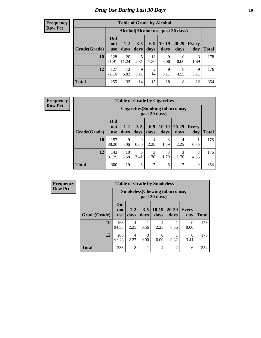# *Drug Use During Last 30 Days* **19**

#### **Frequency Row Pct**

| <b>Table of Grade by Alcohol</b> |                                 |                                     |                 |                        |                 |                   |                     |              |  |  |  |  |
|----------------------------------|---------------------------------|-------------------------------------|-----------------|------------------------|-----------------|-------------------|---------------------|--------------|--|--|--|--|
|                                  |                                 | Alcohol (Alcohol use, past 30 days) |                 |                        |                 |                   |                     |              |  |  |  |  |
| Grade(Grade)                     | <b>Did</b><br>not<br><b>use</b> | $1 - 2$<br>days                     | $3 - 5$<br>days | $6-9$<br>days          | $10-19$<br>days | $20 - 29$<br>days | <b>Every</b><br>day | <b>Total</b> |  |  |  |  |
| 10                               | 128<br>71.91                    | 20<br>11.24                         | 5<br>2.81       | 13<br>7.30             | 9<br>5.06       | $\theta$<br>0.00  | 3<br>1.69           | 178          |  |  |  |  |
| 12                               | 127<br>72.16                    | 12<br>6.82                          | 9<br>5.11       | $\overline{2}$<br>1.14 | 9<br>5.11       | 8<br>4.55         | 9<br>5.11           | 176          |  |  |  |  |
| <b>Total</b>                     | 255                             | 32                                  | 14              | 15                     | 18              | 8                 | 12                  | 354          |  |  |  |  |

#### **Frequency Row Pct**

| <b>Table of Grade by Cigarettes</b> |                                 |                                                   |                 |                 |                 |               |                     |              |  |  |  |  |
|-------------------------------------|---------------------------------|---------------------------------------------------|-----------------|-----------------|-----------------|---------------|---------------------|--------------|--|--|--|--|
|                                     |                                 | Cigarettes (Smoking tobacco use,<br>past 30 days) |                 |                 |                 |               |                     |              |  |  |  |  |
| Grade(Grade)                        | <b>Did</b><br>not<br><b>use</b> | $1 - 2$<br>days                                   | $3 - 5$<br>days | $6 - 9$<br>days | $10-19$<br>days | 20-29<br>days | <b>Every</b><br>day | <b>Total</b> |  |  |  |  |
| 10                                  | 157<br>88.20                    | 9<br>5.06                                         | 0<br>0.00       | 4<br>2.25       | 3<br>1.69       | 4<br>2.25     | 0.56                | 178          |  |  |  |  |
| 12                                  | 143<br>81.25                    | 10<br>5.68                                        | 6<br>3.41       | 3<br>1.70       | 3<br>1.70       | 3<br>1.70     | 8<br>4.55           | 176          |  |  |  |  |
| <b>Total</b>                        | 300                             | 19                                                | 6               | 7               | 6               | 7             | 9                   | 354          |  |  |  |  |

| <b>Table of Grade by Smokeless</b> |                                                        |               |                  |                 |                   |                     |              |  |  |  |  |
|------------------------------------|--------------------------------------------------------|---------------|------------------|-----------------|-------------------|---------------------|--------------|--|--|--|--|
|                                    | <b>Smokeless</b> (Chewing tobaccouse,<br>past 30 days) |               |                  |                 |                   |                     |              |  |  |  |  |
| Grade(Grade)                       | <b>Did</b><br>not<br><b>use</b>                        | $1-2$<br>days | $3 - 5$<br>days  | $10-19$<br>days | $20 - 29$<br>days | <b>Every</b><br>day | <b>Total</b> |  |  |  |  |
| 10                                 | 168<br>94.38                                           | 4<br>2.25     | 0.56             | 4<br>2.25       | 0.56              | 0<br>0.00           | 178          |  |  |  |  |
| 12                                 | 165<br>93.75                                           | 4<br>2.27     | $\Omega$<br>0.00 | 0<br>0.00       | 0.57              | 6<br>3.41           | 176          |  |  |  |  |
| <b>Total</b>                       | 333                                                    | 8             | 1                | $\overline{4}$  | $\overline{2}$    | 6                   | 354          |  |  |  |  |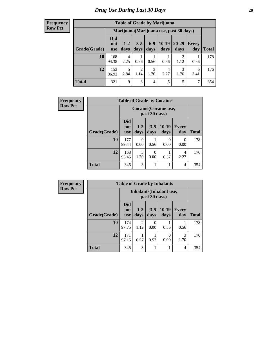| <b>Table of Grade by Marijuana</b> |                                         |                 |                        |                 |                 |                        |              |       |  |  |  |
|------------------------------------|-----------------------------------------|-----------------|------------------------|-----------------|-----------------|------------------------|--------------|-------|--|--|--|
|                                    | Marijuana (Marijuana use, past 30 days) |                 |                        |                 |                 |                        |              |       |  |  |  |
| Grade(Grade)                       | <b>Did</b><br>not<br><b>use</b>         | $1 - 2$<br>days | $3 - 5$<br>days        | $6 - 9$<br>days | $10-19$<br>days | $20 - 29$<br>days      | Every<br>day | Total |  |  |  |
| 10                                 | 168<br>94.38                            | 4<br>2.25       | 0.56                   | 0.56            | 0.56            | $\mathfrak{D}$<br>1.12 | 0.56         | 178   |  |  |  |
| 12                                 | 153<br>86.93                            | 5<br>2.84       | $\mathfrak{D}$<br>1.14 | 3<br>1.70       | 4<br>2.27       | 3<br>1.70              | 6<br>3.41    | 176   |  |  |  |
| <b>Total</b>                       | 321                                     | $\mathbf Q$     | 3                      | $\overline{4}$  | 5               | 5                      | 7            | 354   |  |  |  |

| <b>Frequency</b> |              | <b>Table of Grade by Cocaine</b> |                       |                 |                       |              |              |  |  |  |
|------------------|--------------|----------------------------------|-----------------------|-----------------|-----------------------|--------------|--------------|--|--|--|
| <b>Row Pct</b>   |              |                                  |                       | past 30 days)   | Cocaine (Cocaine use, |              |              |  |  |  |
|                  | Grade(Grade) | <b>Did</b><br>not<br><b>use</b>  | $1-2$<br>days         | $3 - 5$<br>days | $10-19$<br>days       | Every<br>day | <b>Total</b> |  |  |  |
|                  | 10           | 177<br>99.44                     | $\Omega$<br>0.00      | 0.56            | $\theta$<br>0.00      | 0<br>0.00    | 178          |  |  |  |
|                  | 12           | 168<br>95.45                     | $\mathcal{R}$<br>1.70 | 0<br>0.00       | 0.57                  | 4<br>2.27    | 176          |  |  |  |
|                  | Total        | 345                              | 3                     |                 |                       | 4            | 354          |  |  |  |

| Frequency      | <b>Table of Grade by Inhalants</b> |                                 |                        |               |                                 |                     |              |  |
|----------------|------------------------------------|---------------------------------|------------------------|---------------|---------------------------------|---------------------|--------------|--|
| <b>Row Pct</b> |                                    |                                 |                        | past 30 days) | <b>Inhalants</b> (Inhalant use, |                     |              |  |
|                | Grade(Grade)                       | <b>Did</b><br>not<br><b>use</b> | $1-2$<br>days          | $3-5$<br>days | $10-19$<br>days                 | <b>Every</b><br>day | <b>Total</b> |  |
|                | <b>10</b>                          | 174<br>97.75                    | $\mathfrak{D}$<br>1.12 | 0<br>0.00     | 0.56                            | 0.56                | 178          |  |
|                | 12                                 | 171<br>97.16                    | 0.57                   | 0.57          | 0.00                            | 3<br>1.70           | 176          |  |
|                | <b>Total</b>                       | 345                             | $\mathcal{R}$          |               |                                 | 4                   | 354          |  |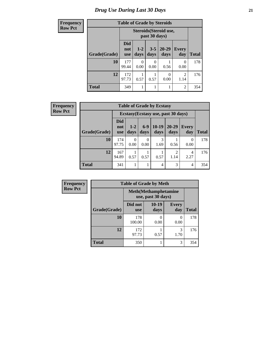# *Drug Use During Last 30 Days* **21**

| <b>Frequency</b> | <b>Table of Grade by Steroids</b> |                                 |               |                 |                        |                        |              |
|------------------|-----------------------------------|---------------------------------|---------------|-----------------|------------------------|------------------------|--------------|
| <b>Row Pct</b>   |                                   |                                 |               | past 30 days)   | Steroids (Steroid use, |                        |              |
|                  | Grade(Grade)                      | <b>Did</b><br>not<br><b>use</b> | $1-2$<br>days | $3 - 5$<br>days | $20 - 29$<br>days      | <b>Every</b><br>day    | <b>Total</b> |
|                  | 10                                | 177<br>99.44                    | 0.00          | 0<br>0.00       | 0.56                   | $\Omega$<br>0.00       | 178          |
|                  | 12                                | 172<br>97.73                    | 0.57          | 0.57            | 0<br>0.00              | $\overline{2}$<br>1.14 | 176          |
|                  | <b>Total</b>                      | 349                             |               |                 |                        | $\overline{2}$         | 354          |

| Frequency      | <b>Table of Grade by Ecstasy</b> |                                 |                  |                          |                 |                                     |                     |              |  |  |
|----------------|----------------------------------|---------------------------------|------------------|--------------------------|-----------------|-------------------------------------|---------------------|--------------|--|--|
| <b>Row Pct</b> |                                  |                                 |                  |                          |                 | Ecstasy (Ecstasy use, past 30 days) |                     |              |  |  |
|                | Grade(Grade)                     | <b>Did</b><br>not<br><b>use</b> | $1 - 2$<br>days  | $6-9$<br>days            | $10-19$<br>days | $20 - 29$<br>days                   | <b>Every</b><br>day | <b>Total</b> |  |  |
|                | 10                               | 174<br>97.75                    | $\theta$<br>0.00 | $\left( \right)$<br>0.00 | 3<br>1.69       | 0.56                                | 0<br>0.00           | 178          |  |  |
|                | 12                               | 167<br>94.89                    | 0.57             | 0.57                     | 0.57            | $\overline{2}$<br>1.14              | 4<br>2.27           | 176          |  |  |
|                | <b>Total</b>                     | 341                             |                  |                          | $\overline{4}$  | 3                                   | $\overline{4}$      | 354          |  |  |

| Frequency      | <b>Table of Grade by Meth</b> |                       |                                                    |                     |              |  |  |  |
|----------------|-------------------------------|-----------------------|----------------------------------------------------|---------------------|--------------|--|--|--|
| <b>Row Pct</b> |                               |                       | <b>Meth</b> (Methamphetamine<br>use, past 30 days) |                     |              |  |  |  |
|                | Grade(Grade)                  | Did not<br><b>use</b> | $10-19$<br>days                                    | <b>Every</b><br>day | <b>Total</b> |  |  |  |
|                | 10                            | 178<br>100.00         | 0.00                                               | 0<br>0.00           | 178          |  |  |  |
|                | 12                            | 172<br>97.73          | 0.57                                               | 3<br>1.70           | 176          |  |  |  |
|                | <b>Total</b>                  | 350                   |                                                    | 3                   | 354          |  |  |  |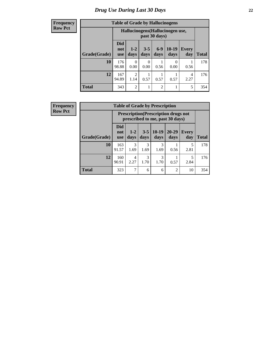| <b>Table of Grade by Hallucinogens</b> |                          |                                                  |                 |                 |                           |                     |              |  |  |
|----------------------------------------|--------------------------|--------------------------------------------------|-----------------|-----------------|---------------------------|---------------------|--------------|--|--|
|                                        |                          | Hallucinogens(Hallucinogen use,<br>past 30 days) |                 |                 |                           |                     |              |  |  |
| Grade(Grade)                           | Did<br>not<br><b>use</b> | $1 - 2$<br>days                                  | $3 - 5$<br>days | $6 - 9$<br>days | $10-19$<br>days           | <b>Every</b><br>day | <b>Total</b> |  |  |
| 10                                     | 176<br>98.88             | 0<br>0.00                                        | 0<br>0.00       | 0.56            | $\mathbf{\Omega}$<br>0.00 | 0.56                | 178          |  |  |
| 12                                     | 167<br>94.89             | 2<br>1.14                                        | 0.57            | 0.57            | 0.57                      | 4<br>2.27           | 176          |  |  |
| <b>Total</b>                           | 343                      | $\overline{2}$                                   |                 | $\mathfrak{D}$  |                           | 5                   | 354          |  |  |

| <b>Frequency</b> |
|------------------|
| <b>Row Pct</b>   |

| <b>Table of Grade by Prescription</b> |                                 |                                                                                |                 |                 |                   |                     |              |  |  |  |
|---------------------------------------|---------------------------------|--------------------------------------------------------------------------------|-----------------|-----------------|-------------------|---------------------|--------------|--|--|--|
|                                       |                                 | <b>Prescription</b> (Prescription drugs not<br>prescribed to me, past 30 days) |                 |                 |                   |                     |              |  |  |  |
| Grade(Grade)                          | <b>Did</b><br>not<br><b>use</b> | $1 - 2$<br>days                                                                | $3 - 5$<br>days | $10-19$<br>days | $20 - 29$<br>days | <b>Every</b><br>day | <b>Total</b> |  |  |  |
| 10                                    | 163<br>91.57                    | 3<br>1.69                                                                      | 3<br>1.69       | 3<br>1.69       | 0.56              | 2.81                | 178          |  |  |  |
| 12                                    | 160<br>90.91                    | 4<br>2.27                                                                      | 3<br>1.70       | 3<br>1.70       | 0.57              | 5<br>2.84           | 176          |  |  |  |
| <b>Total</b>                          | 323                             |                                                                                | 6               | 6               | $\overline{c}$    | 10                  | 354          |  |  |  |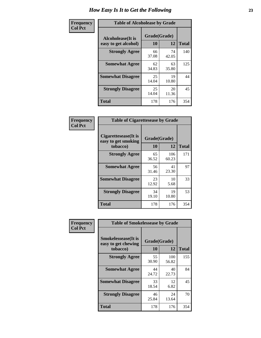| Frequency      | <b>Table of Alcoholease by Grade</b>              |                    |             |              |  |  |
|----------------|---------------------------------------------------|--------------------|-------------|--------------|--|--|
| <b>Col Pct</b> | <b>Alcoholease</b> (It is<br>easy to get alcohol) | Grade(Grade)<br>10 | 12          | <b>Total</b> |  |  |
|                | <b>Strongly Agree</b>                             | 66<br>37.08        | 74<br>42.05 | 140          |  |  |
|                | <b>Somewhat Agree</b>                             | 62<br>34.83        | 63<br>35.80 | 125          |  |  |
|                | <b>Somewhat Disagree</b>                          | 25<br>14.04        | 19<br>10.80 | 44           |  |  |
|                | <b>Strongly Disagree</b>                          | 25<br>14.04        | 20<br>11.36 | 45           |  |  |
|                | <b>Total</b>                                      | 178                | 176         | 354          |  |  |

| Frequency      | <b>Table of Cigarettesease by Grade</b>                  |                    |              |              |  |  |  |
|----------------|----------------------------------------------------------|--------------------|--------------|--------------|--|--|--|
| <b>Col Pct</b> | Cigarettesease (It is<br>easy to get smoking<br>tobacco) | Grade(Grade)<br>10 | 12           | <b>Total</b> |  |  |  |
|                | <b>Strongly Agree</b>                                    | 65<br>36.52        | 106<br>60.23 | 171          |  |  |  |
|                | <b>Somewhat Agree</b>                                    | 56<br>31.46        | 41<br>23.30  | 97           |  |  |  |
|                | <b>Somewhat Disagree</b>                                 | 23<br>12.92        | 10<br>5.68   | 33           |  |  |  |
|                | <b>Strongly Disagree</b>                                 | 34<br>19.10        | 19<br>10.80  | 53           |  |  |  |
|                | Total                                                    | 178                | 176          | 354          |  |  |  |

| Frequency      | <b>Table of Smokelessease by Grade</b>             |              |              |              |
|----------------|----------------------------------------------------|--------------|--------------|--------------|
| <b>Col Pct</b> | <b>Smokelessease</b> (It is<br>easy to get chewing | Grade(Grade) |              |              |
|                | tobacco)                                           | 10           | 12           | <b>Total</b> |
|                | <b>Strongly Agree</b>                              | 55<br>30.90  | 100<br>56.82 | 155          |
|                | <b>Somewhat Agree</b>                              | 44<br>24.72  | 40<br>22.73  | 84           |
|                | <b>Somewhat Disagree</b>                           | 33<br>18.54  | 12<br>6.82   | 45           |
|                | <b>Strongly Disagree</b>                           | 46<br>25.84  | 24<br>13.64  | 70           |
|                | <b>Total</b>                                       | 178          | 176          | 354          |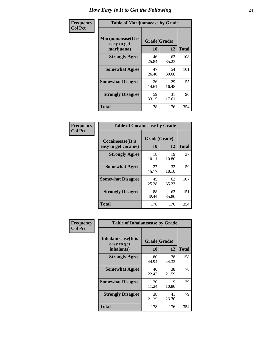| Frequency      | <b>Table of Marijuanaease by Grade</b>           |                    |             |              |  |  |  |
|----------------|--------------------------------------------------|--------------------|-------------|--------------|--|--|--|
| <b>Col Pct</b> | Marijuanaease(It is<br>easy to get<br>marijuana) | Grade(Grade)<br>10 | 12          | <b>Total</b> |  |  |  |
|                | <b>Strongly Agree</b>                            | 46<br>25.84        | 62<br>35.23 | 108          |  |  |  |
|                | <b>Somewhat Agree</b>                            | 47<br>26.40        | 54<br>30.68 | 101          |  |  |  |
|                | <b>Somewhat Disagree</b>                         | 26<br>14.61        | 29<br>16.48 | 55           |  |  |  |
|                | <b>Strongly Disagree</b>                         | 59<br>33.15        | 31<br>17.61 | 90           |  |  |  |
|                | <b>Total</b>                                     | 178                | 176         | 354          |  |  |  |

| <b>Table of Cocaineease by Grade</b>      |                    |              |     |  |  |  |  |
|-------------------------------------------|--------------------|--------------|-----|--|--|--|--|
| Cocaineease(It is<br>easy to get cocaine) | Grade(Grade)<br>10 | <b>Total</b> |     |  |  |  |  |
| <b>Strongly Agree</b>                     | 18<br>10.11        | 19<br>10.80  | 37  |  |  |  |  |
| <b>Somewhat Agree</b>                     | 27<br>15.17        | 32<br>18.18  | 59  |  |  |  |  |
| <b>Somewhat Disagree</b>                  | 45<br>25.28        | 62<br>35.23  | 107 |  |  |  |  |
| <b>Strongly Disagree</b>                  | 88<br>49.44        | 63<br>35.80  | 151 |  |  |  |  |
| <b>Total</b>                              | 178                | 176          | 354 |  |  |  |  |

| Frequency      | <b>Table of Inhalantsease by Grade</b>                   |                    |             |              |
|----------------|----------------------------------------------------------|--------------------|-------------|--------------|
| <b>Col Pct</b> | <b>Inhalantsease</b> (It is<br>easy to get<br>inhalants) | Grade(Grade)<br>10 | 12          | <b>Total</b> |
|                | <b>Strongly Agree</b>                                    | 80<br>44.94        | 78<br>44.32 | 158          |
|                | <b>Somewhat Agree</b>                                    | 40<br>22.47        | 38<br>21.59 | 78           |
|                | <b>Somewhat Disagree</b>                                 | 20<br>11.24        | 19<br>10.80 | 39           |
|                | <b>Strongly Disagree</b>                                 | 38<br>21.35        | 41<br>23.30 | 79           |
|                | <b>Total</b>                                             | 178                | 176         | 354          |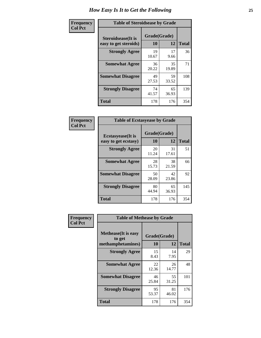| Frequency      |                                                     | <b>Table of Steroidsease by Grade</b> |             |              |  |  |  |  |  |  |  |  |
|----------------|-----------------------------------------------------|---------------------------------------|-------------|--------------|--|--|--|--|--|--|--|--|
| <b>Col Pct</b> | <b>Steroidsease</b> (It is<br>easy to get steroids) | Grade(Grade)<br>10                    | 12          | <b>Total</b> |  |  |  |  |  |  |  |  |
|                | <b>Strongly Agree</b>                               | 19<br>10.67                           | 17<br>9.66  | 36           |  |  |  |  |  |  |  |  |
|                | <b>Somewhat Agree</b>                               | 36<br>20.22                           | 35<br>19.89 | 71           |  |  |  |  |  |  |  |  |
|                | <b>Somewhat Disagree</b>                            | 49<br>27.53                           | 59<br>33.52 | 108          |  |  |  |  |  |  |  |  |
|                | <b>Strongly Disagree</b>                            | 74<br>41.57                           | 65<br>36.93 | 139          |  |  |  |  |  |  |  |  |
|                | <b>Total</b>                                        | 178                                   | 176         | 354          |  |  |  |  |  |  |  |  |

| Frequency      | <b>Table of Ecstasyease by Grade</b>              |                    |             |              |  |  |  |  |  |  |
|----------------|---------------------------------------------------|--------------------|-------------|--------------|--|--|--|--|--|--|
| <b>Col Pct</b> | <b>Ecstasyease</b> (It is<br>easy to get ecstasy) | Grade(Grade)<br>10 | 12          | <b>Total</b> |  |  |  |  |  |  |
|                | <b>Strongly Agree</b>                             | 20<br>11.24        | 31<br>17.61 | 51           |  |  |  |  |  |  |
|                | <b>Somewhat Agree</b>                             | 28<br>15.73        | 38<br>21.59 | 66           |  |  |  |  |  |  |
|                | <b>Somewhat Disagree</b>                          | 50<br>28.09        | 42<br>23.86 | 92           |  |  |  |  |  |  |
|                | <b>Strongly Disagree</b>                          | 80<br>44.94        | 65<br>36.93 | 145          |  |  |  |  |  |  |
|                | <b>Total</b>                                      | 178                | 176         | 354          |  |  |  |  |  |  |

| Frequency      | <b>Table of Methease by Grade</b>                          |                    |             |              |
|----------------|------------------------------------------------------------|--------------------|-------------|--------------|
| <b>Col Pct</b> | <b>Methease</b> (It is easy<br>to get<br>methamphetamines) | Grade(Grade)<br>10 | 12          | <b>Total</b> |
|                | <b>Strongly Agree</b>                                      | 15<br>8.43         | 14<br>7.95  | 29           |
|                | <b>Somewhat Agree</b>                                      | 22<br>12.36        | 26<br>14.77 | 48           |
|                | <b>Somewhat Disagree</b>                                   | 46<br>25.84        | 55<br>31.25 | 101          |
|                | <b>Strongly Disagree</b>                                   | 95<br>53.37        | 81<br>46.02 | 176          |
|                | Total                                                      | 178                | 176         | 354          |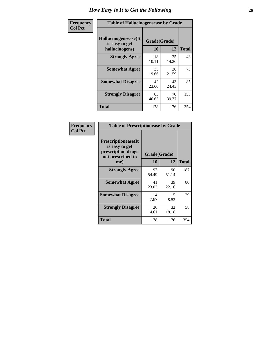| <b>Frequency</b> |                                                          | <b>Table of Hallucinogensease by Grade</b> |             |              |  |  |  |  |  |  |  |  |
|------------------|----------------------------------------------------------|--------------------------------------------|-------------|--------------|--|--|--|--|--|--|--|--|
| <b>Col Pct</b>   | Hallucinogensease(It<br>is easy to get<br>hallucinogens) | Grade(Grade)<br>10                         | 12          | <b>Total</b> |  |  |  |  |  |  |  |  |
|                  | <b>Strongly Agree</b>                                    | 18<br>10.11                                | 25<br>14.20 | 43           |  |  |  |  |  |  |  |  |
|                  | <b>Somewhat Agree</b>                                    | 35<br>19.66                                | 38<br>21.59 | 73           |  |  |  |  |  |  |  |  |
|                  | <b>Somewhat Disagree</b>                                 | 42<br>23.60                                | 43<br>24.43 | 85           |  |  |  |  |  |  |  |  |
|                  | <b>Strongly Disagree</b>                                 | 83<br>46.63                                | 70<br>39.77 | 153          |  |  |  |  |  |  |  |  |
|                  | <b>Total</b>                                             | 178                                        | 176         | 354          |  |  |  |  |  |  |  |  |

| Frequency<br>Col Pct |
|----------------------|
|                      |

| <b>Table of Prescriptionease by Grade</b>                                                      |             |                    |              |
|------------------------------------------------------------------------------------------------|-------------|--------------------|--------------|
| <b>Prescriptionease(It</b><br>is easy to get<br>prescription drugs<br>not prescribed to<br>me) | 10          | Grade(Grade)<br>12 | <b>Total</b> |
| <b>Strongly Agree</b>                                                                          | 97<br>54.49 | 90<br>51.14        | 187          |
| <b>Somewhat Agree</b>                                                                          | 41<br>23.03 | 39<br>22.16        | 80           |
| <b>Somewhat Disagree</b>                                                                       | 14<br>7.87  | 15<br>8.52         | 29           |
| <b>Strongly Disagree</b>                                                                       | 26<br>14.61 | 32<br>18.18        | 58           |
| <b>Total</b>                                                                                   | 178         | 176                | 354          |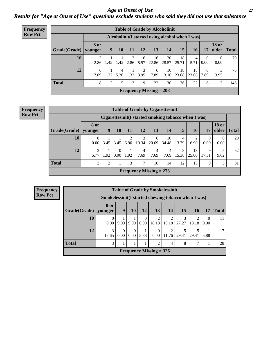### *Age at Onset of Use* **27** *Results for "Age at Onset of Use" questions exclude students who said they did not use that substance*

| Frequency      |              |                        |                |           |      |           | <b>Table of Grade by Alcoholinit</b>             |             |             |             |                      |                       |              |
|----------------|--------------|------------------------|----------------|-----------|------|-----------|--------------------------------------------------|-------------|-------------|-------------|----------------------|-----------------------|--------------|
| <b>Row Pct</b> |              |                        |                |           |      |           | Alcoholinit (I started using alcohol when I was) |             |             |             |                      |                       |              |
|                | Grade(Grade) | <b>8 or</b><br>vounger | 9              | 10        | 11   | 12        | 13                                               | 14          | 15          | 16          | 17                   | <b>18 or</b><br>older | <b>Total</b> |
|                | 10           | 2<br>2.86              | 1.43           | 1.43      | 2.86 | 6<br>8.57 | 16<br>22.86                                      | 20<br>28.57 | 18<br>25.71 | 4<br>5.71   | $\theta$<br>$0.00\,$ | $\theta$<br>0.00      | 70           |
|                | 12           | 6<br>7.89              | 1.32           | 4<br>5.26 | 1.32 | 3<br>3.95 | 6<br>7.89                                        | 10<br>13.16 | 18<br>23.68 | 18<br>23.68 | 6<br>7.89            | 3<br>3.95             | 76           |
|                | <b>Total</b> | 8                      | $\overline{c}$ | 5         | 3    | 9         | 22                                               | 30          | 36          | 22          | 6                    | 3                     | 146          |
|                |              |                        |                |           |      |           | Frequency Missing $= 208$                        |             |             |             |                      |                       |              |

#### **Frequency Row Pct**

|              | <b>Table of Grade by Cigarettesinit</b> |                                                      |                               |           |                           |            |             |            |             |            |                       |              |  |
|--------------|-----------------------------------------|------------------------------------------------------|-------------------------------|-----------|---------------------------|------------|-------------|------------|-------------|------------|-----------------------|--------------|--|
|              |                                         | Cigarettesinit(I started smoking tobacco when I was) |                               |           |                           |            |             |            |             |            |                       |              |  |
| Grade(Grade) | <b>8 or</b><br>younger                  | 9                                                    | 10                            | 11        | 12                        | 13         | 14          | 15         | 16          | 17         | <b>18 or</b><br>older | <b>Total</b> |  |
| 10           | $\theta$<br>0.00                        | 3.45                                                 | 3.45                          | 2<br>6.90 | 3<br>10.34                | 6<br>20.69 | 10<br>34.48 | 4<br>13.79 | 6.90        | 0<br>0.00  | $\Omega$<br>0.00      | 29           |  |
| 12           | 3<br>5.77                               | 1.92                                                 | $\Omega$<br>0.00 <sub>1</sub> | 1.92      | 4<br>7.69                 | 4<br>7.69  | 4<br>7.69   | 8<br>15.38 | 13<br>25.00 | 9<br>17.31 | 9.62                  | 52           |  |
| <b>Total</b> | 3                                       | っ                                                    |                               | 3         | 7                         | 10         | 14          | 12         | 15          | 9          | 5                     | 81           |  |
|              |                                         |                                                      |                               |           | Frequency Missing $= 273$ |            |             |            |             |            |                       |              |  |

| <b>Table of Grade by Smokelessinit</b> |                                                      |                  |                  |                  |                           |                |       |       |                  |              |  |  |
|----------------------------------------|------------------------------------------------------|------------------|------------------|------------------|---------------------------|----------------|-------|-------|------------------|--------------|--|--|
|                                        | Smokelessinit (I started chewing tobacco when I was) |                  |                  |                  |                           |                |       |       |                  |              |  |  |
| Grade(Grade)   younger                 | 8 or                                                 | 9                | <b>10</b>        | 12               | <b>13</b>                 | 14             | 15    | 16    | 17               | <b>Total</b> |  |  |
| 10                                     | 0<br>0.00                                            | 9.09             | 9.09             | $\Omega$<br>0.00 | $\overline{2}$<br>18.18   | 2<br>18.18     | 27.27 | 18.18 | $\Omega$<br>0.00 | 11           |  |  |
| 12                                     | 3<br>17.65                                           | $\theta$<br>0.00 | $\Omega$<br>0.00 | 5.88             | $\Omega$<br>0.00          | 2<br>11.76     | 29.41 | 29.41 | 5.88             | 17           |  |  |
| <b>Total</b>                           | 3                                                    |                  |                  |                  | 2                         | $\overline{4}$ | 8     |       |                  | 28           |  |  |
|                                        |                                                      |                  |                  |                  | Frequency Missing $=$ 326 |                |       |       |                  |              |  |  |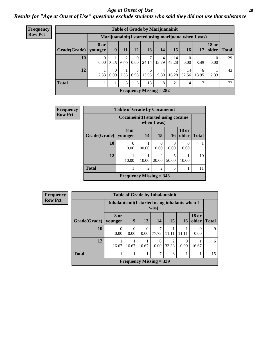#### *Age at Onset of Use* **28**

*Results for "Age at Onset of Use" questions exclude students who said they did not use that substance*

| <b>Frequency</b> |              |                        |                  |        |                  | <b>Table of Grade by Marijuanainit</b> |            |                                                      |                  |            |                       |              |
|------------------|--------------|------------------------|------------------|--------|------------------|----------------------------------------|------------|------------------------------------------------------|------------------|------------|-----------------------|--------------|
| <b>Row Pct</b>   |              |                        |                  |        |                  |                                        |            | Marijuanainit (I started using marijuana when I was) |                  |            |                       |              |
|                  | Grade(Grade) | <b>8 or</b><br>younger | 9                | $11\,$ | 12               | 13                                     | 14         | 15                                                   | 16               | 17         | <b>18 or</b><br>older | <b>Total</b> |
|                  | 10           | $\left($<br>0.00       | 3.45             | 6.90   | $\Omega$<br>0.00 | 7<br>24.14                             | 4<br>13.79 | 14<br>48.28                                          | $\left($<br>0.00 | 3.45       | $\Omega$<br>0.00      | 29           |
|                  | 12           | 2.33                   | $\theta$<br>0.00 | 2.33   | 3<br>6.98        | 6<br>13.95                             | 4<br>9.30  | 7<br>16.28                                           | 14<br>32.56      | 6<br>13.95 | 2.33                  | 43           |
|                  | <b>Total</b> |                        |                  | 3      | 3                | 13                                     | 8          | 21                                                   | 14               | 7          |                       | 72           |
|                  |              |                        |                  |        |                  | Frequency Missing $= 282$              |            |                                                      |                  |            |                       |              |

| <b>Frequency</b> |              | <b>Table of Grade by Cocaineinit</b>   |        |                        |                  |                       |              |
|------------------|--------------|----------------------------------------|--------|------------------------|------------------|-----------------------|--------------|
| <b>Row Pct</b>   |              | Cocaine in it (I started using cocaine |        | when I was)            |                  |                       |              |
|                  | Grade(Grade) | 8 or<br>younger                        | 14     | 15                     | 16               | <b>18 or</b><br>older | <b>Total</b> |
|                  | 10           | 0<br>0.00                              | 100.00 | 0<br>0.00              | $\Omega$<br>0.00 | $\Omega$<br>0.00      |              |
|                  | 12           | 10.00                                  | 10.00  | $\mathcal{D}$<br>20.00 | 5<br>50.00       | 10.00                 | 10           |
|                  | <b>Total</b> | 1                                      | 2      | $\overline{2}$         | 5                |                       | 11           |
|                  |              | Frequency Missing $=$ 343              |        |                        |                  |                       |              |

| <b>Frequency</b> |
|------------------|
| <b>Row Pct</b>   |

| <b>Table of Grade by Inhalantsinit</b> |                           |                                                         |       |            |                         |       |                       |              |  |  |
|----------------------------------------|---------------------------|---------------------------------------------------------|-------|------------|-------------------------|-------|-----------------------|--------------|--|--|
|                                        |                           | Inhalantsinit (I started using inhalants when I<br>was) |       |            |                         |       |                       |              |  |  |
| Grade(Grade)   younger                 | 8 or                      | 9                                                       | 13    | 14         | 15                      | 16    | <b>18 or</b><br>older | <b>Total</b> |  |  |
| 10                                     | 0.00                      | $\theta$<br>0.00                                        | 0.00  | 7<br>77.78 | 11.11                   | 11.11 | 0.00                  | Q            |  |  |
| 12                                     | 16.67                     | 16.67                                                   | 16.67 | 0<br>0.00  | $\overline{2}$<br>33.33 | 0.00  | 16.67                 | 6            |  |  |
| <b>Total</b>                           |                           |                                                         |       | 7          | 3                       |       |                       | 15           |  |  |
|                                        | Frequency Missing $=$ 339 |                                                         |       |            |                         |       |                       |              |  |  |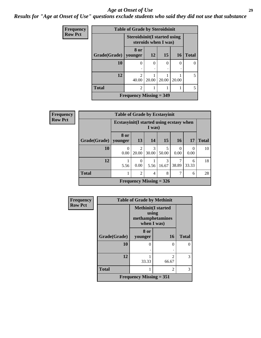#### *Age at Onset of Use* **29**

*Results for "Age at Onset of Use" questions exclude students who said they did not use that substance*

| <b>Frequency</b> | <b>Table of Grade by Steroidsinit</b> |                                      |                      |       |          |                          |  |  |  |  |
|------------------|---------------------------------------|--------------------------------------|----------------------|-------|----------|--------------------------|--|--|--|--|
| <b>Row Pct</b>   |                                       | <b>Steroidsinit (I started using</b> | steroids when I was) |       |          |                          |  |  |  |  |
|                  | Grade(Grade)   younger                | 8 or                                 | 12                   | 15    | 16       | <b>Total</b>             |  |  |  |  |
|                  | 10                                    | $\Omega$                             | 0                    | 0     | $\Omega$ |                          |  |  |  |  |
|                  | 12                                    | $\mathcal{D}$<br>40.00               | 20.00                | 20.00 | 20.00    | $\overline{\phantom{0}}$ |  |  |  |  |
|                  | <b>Total</b>                          | $\overline{2}$                       |                      |       |          | 5                        |  |  |  |  |
|                  |                                       | Frequency Missing $=$ 349            |                      |       |          |                          |  |  |  |  |

| Frequency      | <b>Table of Grade by Ecstasyinit</b> |                                                     |                         |                           |            |            |            |              |
|----------------|--------------------------------------|-----------------------------------------------------|-------------------------|---------------------------|------------|------------|------------|--------------|
| <b>Row Pct</b> |                                      | Ecstasyinit (I started using ecstasy when<br>I was) |                         |                           |            |            |            |              |
|                | Grade(Grade)   younger               | 8 or                                                | 13                      | 14                        | 15         | <b>16</b>  | <b>17</b>  | <b>Total</b> |
|                | 10                                   | $\Omega$<br>0.00                                    | $\mathfrak{D}$<br>20.00 | 3<br>30.00                | 5<br>50.00 | 0<br>0.00  | 0<br>0.00  | 10           |
|                | 12                                   | 5.56                                                | 0.00                    | 5.56                      | 3<br>16.67 | 7<br>38.89 | 6<br>33.33 | 18           |
|                | <b>Total</b>                         |                                                     | 2                       | 4                         | 8          | 7          | 6          | 28           |
|                |                                      |                                                     |                         | Frequency Missing $=$ 326 |            |            |            |              |

| <b>Frequency</b> | <b>Table of Grade by Methinit</b> |                                                                       |                |              |  |  |  |
|------------------|-----------------------------------|-----------------------------------------------------------------------|----------------|--------------|--|--|--|
| <b>Row Pct</b>   |                                   | <b>Methinit(I started</b><br>using<br>methamphetamines<br>when I was) |                |              |  |  |  |
|                  | Grade(Grade)                      | 8 or<br>younger                                                       | <b>16</b>      | <b>Total</b> |  |  |  |
|                  | 10                                | 0                                                                     | 0              |              |  |  |  |
|                  | 12                                | 33.33                                                                 | 66.67          | 3            |  |  |  |
|                  | <b>Total</b>                      |                                                                       | $\mathfrak{D}$ | 3            |  |  |  |
|                  |                                   | Frequency Missing $= 351$                                             |                |              |  |  |  |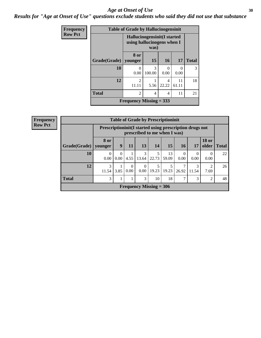#### Age at Onset of Use **30**

*Results for "Age at Onset of Use" questions exclude students who said they did not use that substance*

| Frequency      | <b>Table of Grade by Hallucinogensinit</b> |                                                            |             |            |             |               |  |  |  |  |  |
|----------------|--------------------------------------------|------------------------------------------------------------|-------------|------------|-------------|---------------|--|--|--|--|--|
| <b>Row Pct</b> |                                            | Hallucinogensinit (I started<br>using hallucinogens when I |             |            |             |               |  |  |  |  |  |
|                | Grade(Grade)                               | 8 or<br>vounger                                            | 15          | 16         | 17          | <b>Total</b>  |  |  |  |  |  |
|                | 10                                         | $\theta$<br>0.00                                           | 3<br>100.00 | 0<br>0.00  | 0.00        | $\mathcal{R}$ |  |  |  |  |  |
|                | 12                                         | $\overline{c}$<br>11.11                                    | 5.56        | 4<br>22.22 | 11<br>61.11 | 18            |  |  |  |  |  |
|                | <b>Total</b>                               | $\overline{2}$                                             | 4           | 4          | 11          | 21            |  |  |  |  |  |
|                |                                            | Frequency Missing $=$ 333                                  |             |            |             |               |  |  |  |  |  |

| <b>Frequency</b> | <b>Table of Grade by Prescriptioninit</b> |                  |                                                                                            |                  |                  |                                |             |                  |                        |                               |    |
|------------------|-------------------------------------------|------------------|--------------------------------------------------------------------------------------------|------------------|------------------|--------------------------------|-------------|------------------|------------------------|-------------------------------|----|
| <b>Row Pct</b>   |                                           |                  | Prescription in it (I started using prescription drugs not<br>prescribed to me when I was) |                  |                  |                                |             |                  |                        |                               |    |
|                  | Grade(Grade)   younger                    | 8 or             | 9                                                                                          | 11               | 13               | 14                             | 15          | 16 <sup>1</sup>  | 17                     | <b>18 or</b><br>older   Total |    |
|                  | 10                                        | $\theta$<br>0.00 | $\Omega$<br>0.00                                                                           | 4.55             | 3<br>13.64       | 5<br>22.73                     | 13<br>59.09 | $\theta$<br>0.00 | $\overline{0}$<br>0.00 | $\theta$<br>0.00              | 22 |
|                  | 12                                        | 3<br>11.54       | 3.85                                                                                       | $\theta$<br>0.00 | $\Omega$<br>0.00 | 5<br>19.23                     | 19.23       | 26.92            | 3<br>11.54             | 2<br>7.69                     | 26 |
|                  | <b>Total</b>                              | 3                |                                                                                            |                  | 3                | 10                             | 18          |                  | 3                      | $\overline{2}$                | 48 |
|                  |                                           |                  |                                                                                            |                  |                  | <b>Frequency Missing = 306</b> |             |                  |                        |                               |    |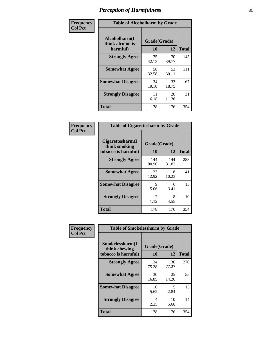| Frequency      | <b>Table of Alcoholharm by Grade</b>          |                    |             |              |  |
|----------------|-----------------------------------------------|--------------------|-------------|--------------|--|
| <b>Col Pct</b> | Alcoholharm(I<br>think alcohol is<br>harmful) | Grade(Grade)<br>10 | 12          | <b>Total</b> |  |
|                | <b>Strongly Agree</b>                         | 75<br>42.13        | 70<br>39.77 | 145          |  |
|                | <b>Somewhat Agree</b>                         | 58<br>32.58        | 53<br>30.11 | 111          |  |
|                | <b>Somewhat Disagree</b>                      | 34<br>19.10        | 33<br>18.75 | 67           |  |
|                | <b>Strongly Disagree</b>                      | 11<br>6.18         | 20<br>11.36 | 31           |  |
|                | <b>Total</b>                                  | 178                | 176         | 354          |  |

| <b>Table of Cigarettesharm by Grade</b>                  |                        |              |              |  |  |  |  |  |
|----------------------------------------------------------|------------------------|--------------|--------------|--|--|--|--|--|
| Cigarettesharm(I<br>think smoking<br>tobacco is harmful) | Grade(Grade)<br>10     | 12           | <b>Total</b> |  |  |  |  |  |
| <b>Strongly Agree</b>                                    | 144<br>80.90           | 144<br>81.82 | 288          |  |  |  |  |  |
| <b>Somewhat Agree</b>                                    | 23<br>12.92            | 18<br>10.23  | 41           |  |  |  |  |  |
| <b>Somewhat Disagree</b>                                 | 9<br>5.06              | 6<br>3.41    | 15           |  |  |  |  |  |
| <b>Strongly Disagree</b>                                 | $\mathfrak{D}$<br>1.12 | 8<br>4.55    | 10           |  |  |  |  |  |
| <b>Total</b>                                             | 178                    | 176          | 354          |  |  |  |  |  |

| Frequency      | <b>Table of Smokelessharm by Grade</b>                  |                    |                                  |              |  |
|----------------|---------------------------------------------------------|--------------------|----------------------------------|--------------|--|
| <b>Col Pct</b> | Smokelessharm(I<br>think chewing<br>tobacco is harmful) | Grade(Grade)<br>10 | 12                               | <b>Total</b> |  |
|                | <b>Strongly Agree</b>                                   | 134<br>75.28       | 136<br>77.27                     | 270          |  |
|                | <b>Somewhat Agree</b>                                   | 30<br>16.85        | 25<br>14.20                      | 55           |  |
|                | <b>Somewhat Disagree</b>                                | 10<br>5.62         | $\overline{\phantom{0}}$<br>2.84 | 15           |  |
|                | <b>Strongly Disagree</b>                                | 4<br>2.25          | 10<br>5.68                       | 14           |  |
|                | <b>Total</b>                                            | 178                | 176                              | 354          |  |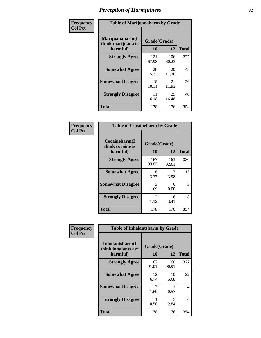| Frequency      | <b>Table of Marijuanaharm by Grade</b>            |                    |              |              |  |
|----------------|---------------------------------------------------|--------------------|--------------|--------------|--|
| <b>Col Pct</b> | Marijuanaharm(I<br>think marijuana is<br>harmful) | Grade(Grade)<br>10 | 12           | <b>Total</b> |  |
|                | <b>Strongly Agree</b>                             | 121<br>67.98       | 106<br>60.23 | 227          |  |
|                | <b>Somewhat Agree</b>                             | 28<br>15.73        | 20<br>11.36  | 48           |  |
|                | <b>Somewhat Disagree</b>                          | 18<br>10.11        | 21<br>11.93  | 39           |  |
|                | <b>Strongly Disagree</b>                          | 11<br>6.18         | 29<br>16.48  | 40           |  |
|                | <b>Total</b>                                      | 178                | 176          | 354          |  |

| <b>Table of Cocaineharm by Grade</b>          |                        |                           |              |  |  |  |  |  |
|-----------------------------------------------|------------------------|---------------------------|--------------|--|--|--|--|--|
| Cocaineharm(I<br>think cocaine is<br>harmful) | Grade(Grade)<br>10     | 12                        | <b>Total</b> |  |  |  |  |  |
| <b>Strongly Agree</b>                         | 167<br>93.82           | 163<br>92.61              | 330          |  |  |  |  |  |
| <b>Somewhat Agree</b>                         | 6<br>3.37              | 3.98                      | 13           |  |  |  |  |  |
| <b>Somewhat Disagree</b>                      | 3<br>1.69              | $\mathbf{\Omega}$<br>0.00 | 3            |  |  |  |  |  |
| <b>Strongly Disagree</b>                      | $\mathfrak{D}$<br>1.12 | 6<br>3.41                 | 8            |  |  |  |  |  |
| <b>Total</b>                                  | 178                    | 176                       | 354          |  |  |  |  |  |

| Frequency      | <b>Table of Inhalantsharm by Grade</b>             |                           |              |              |
|----------------|----------------------------------------------------|---------------------------|--------------|--------------|
| <b>Col Pct</b> | Inhalantsharm(I<br>think inhalants are<br>harmful) | Grade(Grade)<br><b>10</b> | 12           | <b>Total</b> |
|                | <b>Strongly Agree</b>                              | 162<br>91.01              | 160<br>90.91 | 322          |
|                | <b>Somewhat Agree</b>                              | 12<br>6.74                | 10<br>5.68   | 22           |
|                | <b>Somewhat Disagree</b>                           | 3<br>1.69                 | 0.57         | 4            |
|                | <b>Strongly Disagree</b>                           | 0.56                      | 5<br>2.84    | 6            |
|                | <b>Total</b>                                       | 178                       | 176          | 354          |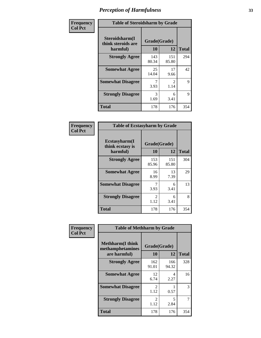| Frequency      | <b>Table of Steroidsharm by Grade</b>            |                    |                        |              |
|----------------|--------------------------------------------------|--------------------|------------------------|--------------|
| <b>Col Pct</b> | Steroidsharm(I<br>think steroids are<br>harmful) | Grade(Grade)<br>10 | 12                     | <b>Total</b> |
|                | <b>Strongly Agree</b>                            | 143<br>80.34       | 151<br>85.80           | 294          |
|                | <b>Somewhat Agree</b>                            | 25<br>14.04        | 17<br>9.66             | 42           |
|                | <b>Somewhat Disagree</b>                         | 3.93               | $\mathfrak{D}$<br>1.14 | 9            |
|                | <b>Strongly Disagree</b>                         | 3<br>1.69          | 6<br>3.41              | 9            |
|                | <b>Total</b>                                     | 178                | 176                    | 354          |

| <b>Table of Ecstasyharm by Grade</b>                |                       |              |     |  |  |
|-----------------------------------------------------|-----------------------|--------------|-----|--|--|
| $E$ cstasyharm $(I$<br>think ecstasy is<br>harmful) | Grade(Grade)<br>10    | <b>Total</b> |     |  |  |
| <b>Strongly Agree</b>                               | 153<br>85.96          | 151<br>85.80 | 304 |  |  |
| <b>Somewhat Agree</b>                               | 16<br>8.99            | 13<br>7.39   | 29  |  |  |
| <b>Somewhat Disagree</b>                            | 7<br>3.93             | 6<br>3.41    | 13  |  |  |
| <b>Strongly Disagree</b>                            | $\mathcal{L}$<br>1.12 | 6<br>3.41    | 8   |  |  |
| <b>Total</b>                                        | 178                   | 176          | 354 |  |  |

| Frequency      | <b>Table of Methharm by Grade</b>                           |                    |              |              |
|----------------|-------------------------------------------------------------|--------------------|--------------|--------------|
| <b>Col Pct</b> | <b>Methharm(I think</b><br>methamphetamines<br>are harmful) | Grade(Grade)<br>10 | 12           | <b>Total</b> |
|                | <b>Strongly Agree</b>                                       | 162<br>91.01       | 166<br>94.32 | 328          |
|                | <b>Somewhat Agree</b>                                       | 12<br>6.74         | 4<br>2.27    | 16           |
|                | <b>Somewhat Disagree</b>                                    | 2<br>1.12          | 0.57         | 3            |
|                | <b>Strongly Disagree</b>                                    | 2<br>1.12          | 5<br>2.84    | 7            |
|                | <b>Total</b>                                                | 178                | 176          | 354          |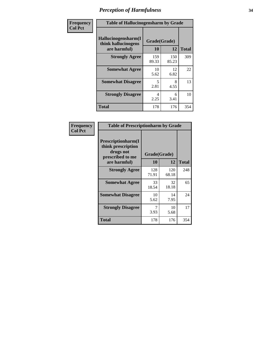| Frequency      | <b>Table of Hallucinogensharm by Grade</b>                 |                           |              |              |
|----------------|------------------------------------------------------------|---------------------------|--------------|--------------|
| <b>Col Pct</b> | Hallucinogensharm(I<br>think hallucinogens<br>are harmful) | Grade(Grade)<br><b>10</b> | 12           | <b>Total</b> |
|                | <b>Strongly Agree</b>                                      | 159<br>89.33              | 150<br>85.23 | 309          |
|                | <b>Somewhat Agree</b>                                      | 10<br>5.62                | 12<br>6.82   | 22           |
|                | <b>Somewhat Disagree</b>                                   | 5<br>2.81                 | 8<br>4.55    | 13           |
|                | <b>Strongly Disagree</b>                                   | 4<br>2.25                 | 6<br>3.41    | 10           |
|                | <b>Total</b>                                               | 178                       | 176          | 354          |

| <b>Table of Prescriptionharm by Grade</b>                                         |              |              |              |  |
|-----------------------------------------------------------------------------------|--------------|--------------|--------------|--|
| <b>Prescriptionharm(I)</b><br>think prescription<br>drugs not<br>prescribed to me |              | Grade(Grade) |              |  |
| are harmful)                                                                      | 10           | 12           | <b>Total</b> |  |
| <b>Strongly Agree</b>                                                             | 128<br>71.91 | 120<br>68.18 | 248          |  |
| <b>Somewhat Agree</b>                                                             | 33<br>18.54  | 32<br>18.18  | 65           |  |
| <b>Somewhat Disagree</b>                                                          | 10<br>5.62   | 14<br>7.95   | 24           |  |
| <b>Strongly Disagree</b>                                                          | 7<br>3.93    | 10<br>5.68   | 17           |  |
| Total                                                                             | 178          | 176          | 354          |  |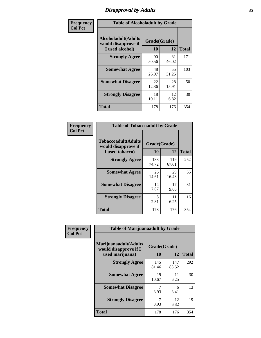# *Disapproval by Adults* **35**

| Frequency      | <b>Table of Alcoholadult by Grade</b>                                 |                    |             |              |
|----------------|-----------------------------------------------------------------------|--------------------|-------------|--------------|
| <b>Col Pct</b> | <b>Alcoholadult</b> (Adults<br>would disapprove if<br>I used alcohol) | Grade(Grade)<br>10 | 12          | <b>Total</b> |
|                | <b>Strongly Agree</b>                                                 | 90<br>50.56        | 81<br>46.02 | 171          |
|                | <b>Somewhat Agree</b>                                                 | 48<br>26.97        | 55<br>31.25 | 103          |
|                | <b>Somewhat Disagree</b>                                              | 22<br>12.36        | 28<br>15.91 | 50           |
|                | <b>Strongly Disagree</b>                                              | 18<br>10.11        | 12<br>6.82  | 30           |
|                | <b>Total</b>                                                          | 178                | 176         | 354          |

| <b>Table of Tobaccoadult by Grade</b>                                 |                    |              |              |  |  |
|-----------------------------------------------------------------------|--------------------|--------------|--------------|--|--|
| <b>Tobaccoadult</b> (Adults<br>would disapprove if<br>I used tobacco) | Grade(Grade)<br>10 | 12           | <b>Total</b> |  |  |
| <b>Strongly Agree</b>                                                 | 133<br>74.72       | 119<br>67.61 | 252          |  |  |
| <b>Somewhat Agree</b>                                                 | 26<br>14.61        | 29<br>16.48  | 55           |  |  |
| <b>Somewhat Disagree</b>                                              | 14<br>7.87         | 17<br>9.66   | 31           |  |  |
| <b>Strongly Disagree</b>                                              | 5<br>2.81          | 11<br>6.25   | 16           |  |  |
| <b>Total</b>                                                          | 178                | 176          | 354          |  |  |

| Frequency      | <b>Table of Marijuanaadult by Grade</b>                           |                    |              |              |  |
|----------------|-------------------------------------------------------------------|--------------------|--------------|--------------|--|
| <b>Col Pct</b> | Marijuanaadult(Adults<br>would disapprove if I<br>used marijuana) | Grade(Grade)<br>10 | 12           | <b>Total</b> |  |
|                | <b>Strongly Agree</b>                                             | 145<br>81.46       | 147<br>83.52 | 292          |  |
|                | <b>Somewhat Agree</b>                                             | 19<br>10.67        | 11<br>6.25   | 30           |  |
|                | <b>Somewhat Disagree</b>                                          | 3.93               | 6<br>3.41    | 13           |  |
|                | <b>Strongly Disagree</b>                                          | 3.93               | 12<br>6.82   | 19           |  |
|                | <b>Total</b>                                                      | 178                | 176          | 354          |  |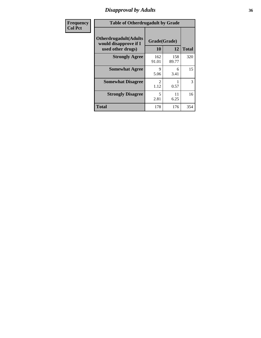### *Disapproval by Adults* **36**

| <b>Frequency</b> | <b>Table of Otherdrugadult by Grade</b>                                     |                                  |              |              |
|------------------|-----------------------------------------------------------------------------|----------------------------------|--------------|--------------|
| <b>Col Pct</b>   | <b>Otherdrugadult</b> (Adults<br>would disapprove if I<br>used other drugs) | Grade(Grade)<br><b>10</b>        | 12           | <b>Total</b> |
|                  | <b>Strongly Agree</b>                                                       | 162<br>91.01                     | 158<br>89.77 | 320          |
|                  | <b>Somewhat Agree</b>                                                       | 9<br>5.06                        | 6<br>3.41    | 15           |
|                  | <b>Somewhat Disagree</b>                                                    | $\mathfrak{D}$<br>1.12           | 0.57         | 3            |
|                  | <b>Strongly Disagree</b>                                                    | $\overline{\phantom{0}}$<br>2.81 | 11<br>6.25   | 16           |
|                  | <b>Total</b>                                                                | 178                              | 176          | 354          |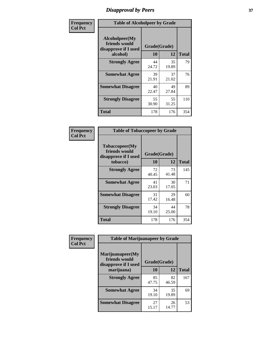# *Disapproval by Peers* **37**

| Frequency      | <b>Table of Alcoholpeer by Grade</b>                    |              |             |              |  |
|----------------|---------------------------------------------------------|--------------|-------------|--------------|--|
| <b>Col Pct</b> | Alcoholpeer(My<br>friends would<br>disapprove if I used | Grade(Grade) |             |              |  |
|                | alcohol)                                                | 10           | 12          | <b>Total</b> |  |
|                | <b>Strongly Agree</b>                                   | 44<br>24.72  | 35<br>19.89 | 79           |  |
|                | <b>Somewhat Agree</b>                                   | 39<br>21.91  | 37<br>21.02 | 76           |  |
|                | <b>Somewhat Disagree</b>                                | 40<br>22.47  | 49<br>27.84 | 89           |  |
|                | <b>Strongly Disagree</b>                                | 55<br>30.90  | 55<br>31.25 | 110          |  |
|                | Total                                                   | 178          | 176         | 354          |  |

| Frequency      | <b>Table of Tobaccopeer by Grade</b>                                |                    |             |              |  |
|----------------|---------------------------------------------------------------------|--------------------|-------------|--------------|--|
| <b>Col Pct</b> | Tobaccopeer(My<br>friends would<br>disapprove if I used<br>tobacco) | Grade(Grade)<br>10 | 12          | <b>Total</b> |  |
|                | <b>Strongly Agree</b>                                               | 72<br>40.45        | 73<br>41.48 | 145          |  |
|                | <b>Somewhat Agree</b>                                               | 41<br>23.03        | 30<br>17.05 | 71           |  |
|                | <b>Somewhat Disagree</b>                                            | 31<br>17.42        | 29<br>16.48 | 60           |  |
|                | <b>Strongly Disagree</b>                                            | 34<br>19.10        | 44<br>25.00 | 78           |  |
|                | <b>Total</b>                                                        | 178                | 176         | 354          |  |

| Frequency      | <b>Table of Marijuanapeer by Grade</b>                    |              |             |              |
|----------------|-----------------------------------------------------------|--------------|-------------|--------------|
| <b>Col Pct</b> | Marijuanapeer(My<br>friends would<br>disapprove if I used | Grade(Grade) |             |              |
|                | marijuana)                                                | 10           | 12          | <b>Total</b> |
|                | <b>Strongly Agree</b>                                     | 85<br>47.75  | 82<br>46.59 | 167          |
|                | <b>Somewhat Agree</b>                                     | 34<br>19.10  | 35<br>19.89 | 69           |
|                | <b>Somewhat Disagree</b>                                  | 27<br>15.17  | 26<br>14.77 | 53           |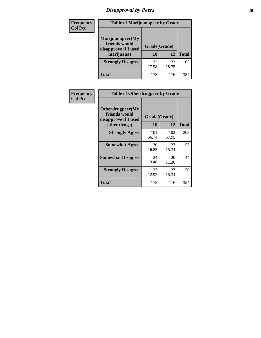# *Disapproval by Peers* **38**

| <b>Frequency</b> | <b>Table of Marijuanapeer by Grade</b>                                  |                           |             |              |  |
|------------------|-------------------------------------------------------------------------|---------------------------|-------------|--------------|--|
| <b>Col Pct</b>   | Marijuanapeer(My<br>friends would<br>disapprove if I used<br>marijuana) | Grade(Grade)<br><b>10</b> | 12          | <b>Total</b> |  |
|                  | <b>Strongly Disagree</b>                                                | 32<br>17.98               | 33<br>18.75 | 65           |  |
|                  | <b>Total</b>                                                            | 178                       | 176         | 354          |  |

| <b>Frequency</b> | <b>Table of Otherdrugpeer by Grade</b>                                    |                           |              |              |
|------------------|---------------------------------------------------------------------------|---------------------------|--------------|--------------|
| <b>Col Pct</b>   | Otherdrugpeer(My<br>friends would<br>disapprove if I used<br>other drugs) | Grade(Grade)<br><b>10</b> | 12           | <b>Total</b> |
|                  |                                                                           |                           |              |              |
|                  | <b>Strongly Agree</b>                                                     | 101<br>56.74              | 102<br>57.95 | 203          |
|                  | <b>Somewhat Agree</b>                                                     | 30<br>16.85               | 27<br>15.34  | 57           |
|                  | <b>Somewhat Disagree</b>                                                  | 24<br>13.48               | 20<br>11.36  | 44           |
|                  | <b>Strongly Disagree</b>                                                  | 23<br>12.92               | 27<br>15.34  | 50           |
|                  | <b>Total</b>                                                              | 178                       | 176          | 354          |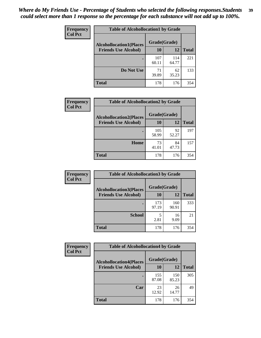| Frequency      | <b>Table of Alcohollocation1 by Grade</b> |              |              |              |  |
|----------------|-------------------------------------------|--------------|--------------|--------------|--|
| <b>Col Pct</b> | <b>Alcohollocation1(Places</b>            | Grade(Grade) |              |              |  |
|                | <b>Friends Use Alcohol)</b>               | 10           | 12           | <b>Total</b> |  |
|                |                                           | 107<br>60.11 | 114<br>64.77 | 221          |  |
|                | Do Not Use                                | 71<br>39.89  | 62<br>35.23  | 133          |  |
|                | <b>Total</b>                              | 178          | 176          | 354          |  |

| <b>Frequency</b> | <b>Table of Alcohollocation2 by Grade</b> |              |             |              |
|------------------|-------------------------------------------|--------------|-------------|--------------|
| <b>Col Pct</b>   | <b>Alcohollocation2(Places</b>            | Grade(Grade) |             |              |
|                  | <b>Friends Use Alcohol)</b>               | 10           | 12          | <b>Total</b> |
|                  |                                           | 105<br>58.99 | 92<br>52.27 | 197          |
|                  | Home                                      | 73<br>41.01  | 84<br>47.73 | 157          |
|                  | <b>Total</b>                              | 178          | 176         | 354          |

| Frequency<br><b>Col Pct</b> | <b>Table of Alcohollocation 3 by Grade</b> |              |              |              |  |
|-----------------------------|--------------------------------------------|--------------|--------------|--------------|--|
|                             | <b>Alcohollocation3(Places</b>             | Grade(Grade) |              |              |  |
|                             | <b>Friends Use Alcohol)</b>                | 10           | 12           | <b>Total</b> |  |
|                             |                                            | 173<br>97.19 | 160<br>90.91 | 333          |  |
|                             | <b>School</b>                              | 2.81         | 16<br>9.09   | 21           |  |
|                             | <b>Total</b>                               | 178          | 176          | 354          |  |

| <b>Frequency</b> | <b>Table of Alcohollocation4 by Grade</b> |              |              |              |  |
|------------------|-------------------------------------------|--------------|--------------|--------------|--|
| <b>Col Pct</b>   | <b>Alcohollocation4(Places</b>            | Grade(Grade) |              |              |  |
|                  | <b>Friends Use Alcohol)</b>               | 10           | 12           | <b>Total</b> |  |
|                  |                                           | 155<br>87.08 | 150<br>85.23 | 305          |  |
|                  | Car                                       | 23<br>12.92  | 26<br>14.77  | 49           |  |
|                  | <b>Total</b>                              | 178          | 176          | 354          |  |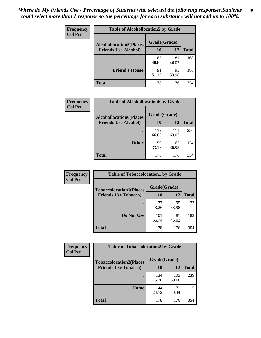| Frequency<br><b>Col Pct</b> | <b>Table of Alcohollocation5 by Grade</b>      |             |             |              |  |
|-----------------------------|------------------------------------------------|-------------|-------------|--------------|--|
|                             | Grade(Grade)<br><b>Alcohollocation5(Places</b> |             |             |              |  |
|                             | <b>Friends Use Alcohol)</b>                    | 10          | 12          | <b>Total</b> |  |
|                             |                                                | 87<br>48.88 | 81<br>46.02 | 168          |  |
|                             | <b>Friend's House</b>                          | 91<br>51.12 | 95<br>53.98 | 186          |  |
|                             | <b>Total</b>                                   | 178         | 176         | 354          |  |

| <b>Frequency</b> | <b>Table of Alcohollocation6 by Grade</b> |              |              |              |  |  |
|------------------|-------------------------------------------|--------------|--------------|--------------|--|--|
| <b>Col Pct</b>   | <b>Alcohollocation6(Places</b>            | Grade(Grade) |              |              |  |  |
|                  | <b>Friends Use Alcohol)</b>               | 10           | 12           | <b>Total</b> |  |  |
|                  |                                           | 119<br>66.85 | 111<br>63.07 | 230          |  |  |
|                  | <b>Other</b>                              | 59<br>33.15  | 65<br>36.93  | 124          |  |  |
|                  | <b>Total</b>                              | 178          | 176          | 354          |  |  |

| <b>Frequency</b> | <b>Table of Tobaccolocation1 by Grade</b> |              |             |              |
|------------------|-------------------------------------------|--------------|-------------|--------------|
| <b>Col Pct</b>   | <b>Tobaccolocation1(Places</b>            | Grade(Grade) |             |              |
|                  | <b>Friends Use Tobacco)</b>               | 10           | 12          | <b>Total</b> |
|                  |                                           | 77<br>43.26  | 95<br>53.98 | 172          |
|                  | Do Not Use                                | 101<br>56.74 | 81<br>46.02 | 182          |
|                  | <b>Total</b>                              | 178          | 176         | 354          |

| Frequency      | <b>Table of Tobaccolocation2 by Grade</b> |              |              |              |  |
|----------------|-------------------------------------------|--------------|--------------|--------------|--|
| <b>Col Pct</b> | <b>Tobaccolocation2(Places</b>            | Grade(Grade) |              |              |  |
|                | <b>Friends Use Tobacco)</b>               | 10           | 12           | <b>Total</b> |  |
|                |                                           | 134<br>75.28 | 105<br>59.66 | 239          |  |
|                | Home                                      | 44<br>24.72  | 71<br>40.34  | 115          |  |
|                | <b>Total</b>                              | 178          | 176          | 354          |  |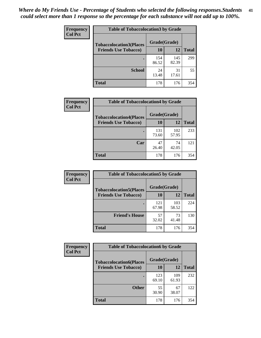| Frequency      | <b>Table of Tobaccolocation 3 by Grade</b> |              |              |              |
|----------------|--------------------------------------------|--------------|--------------|--------------|
| <b>Col Pct</b> | <b>Tobaccolocation3(Places</b>             | Grade(Grade) |              |              |
|                | <b>Friends Use Tobacco)</b>                | 10           | 12           | <b>Total</b> |
|                |                                            | 154<br>86.52 | 145<br>82.39 | 299          |
|                | <b>School</b>                              | 24<br>13.48  | 31<br>17.61  | 55           |
|                | <b>Total</b>                               | 178          | 176          | 354          |

| Frequency      | <b>Table of Tobaccolocation4 by Grade</b>                     |                    |              |              |
|----------------|---------------------------------------------------------------|--------------------|--------------|--------------|
| <b>Col Pct</b> | <b>Tobaccolocation4(Places</b><br><b>Friends Use Tobacco)</b> | Grade(Grade)<br>10 | 12           | <b>Total</b> |
|                |                                                               |                    |              |              |
|                |                                                               | 131<br>73.60       | 102<br>57.95 | 233          |
|                | Car                                                           | 47<br>26.40        | 74<br>42.05  | 121          |
|                | <b>Total</b>                                                  | 178                | 176          | 354          |

| Frequency<br><b>Col Pct</b> | <b>Table of Tobaccolocation5 by Grade</b>                     |                    |              |              |
|-----------------------------|---------------------------------------------------------------|--------------------|--------------|--------------|
|                             | <b>Tobaccolocation5(Places</b><br><b>Friends Use Tobacco)</b> | Grade(Grade)<br>10 | 12           | <b>Total</b> |
|                             |                                                               | 121<br>67.98       | 103<br>58.52 | 224          |
|                             | <b>Friend's House</b>                                         | 57<br>32.02        | 73<br>41.48  | 130          |
|                             | <b>Total</b>                                                  | 178                | 176          | 354          |

| <b>Frequency</b> | <b>Table of Tobaccolocation6 by Grade</b> |              |              |              |
|------------------|-------------------------------------------|--------------|--------------|--------------|
| <b>Col Pct</b>   | <b>Tobaccolocation6(Places</b>            | Grade(Grade) |              |              |
|                  | <b>Friends Use Tobacco)</b>               | 10           | 12           | <b>Total</b> |
|                  |                                           | 123<br>69.10 | 109<br>61.93 | 232          |
|                  | <b>Other</b>                              | 55<br>30.90  | 67<br>38.07  | 122          |
|                  | <b>Total</b>                              | 178          | 176          | 354          |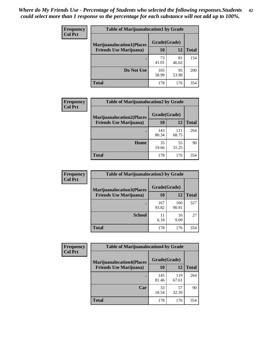| <b>Frequency</b> | <b>Table of Marijuanalocation1 by Grade</b> |              |             |       |  |
|------------------|---------------------------------------------|--------------|-------------|-------|--|
| <b>Col Pct</b>   | <b>Marijuanalocation1(Places</b>            | Grade(Grade) |             |       |  |
|                  | <b>Friends Use Marijuana</b> )              | <b>10</b>    | 12          | Total |  |
|                  |                                             | 73<br>41.01  | 81<br>46.02 | 154   |  |
|                  | Do Not Use                                  | 105<br>58.99 | 95<br>53.98 | 200   |  |
|                  | <b>Total</b>                                | 178          | 176         | 354   |  |

| <b>Frequency</b> | <b>Table of Marijuanalocation2 by Grade</b>                        |                    |              |              |
|------------------|--------------------------------------------------------------------|--------------------|--------------|--------------|
| <b>Col Pct</b>   | <b>Marijuanalocation2(Places</b><br><b>Friends Use Marijuana</b> ) | Grade(Grade)<br>10 | 12           | <b>Total</b> |
|                  |                                                                    | 143<br>80.34       | 121<br>68.75 | 264          |
|                  | Home                                                               | 35<br>19.66        | 55<br>31.25  | 90           |
|                  | <b>Total</b>                                                       | 178                | 176          | 354          |

| Frequency      | <b>Table of Marijuanalocation3 by Grade</b> |              |              |              |
|----------------|---------------------------------------------|--------------|--------------|--------------|
| <b>Col Pct</b> | <b>Marijuanalocation3</b> (Places           | Grade(Grade) |              |              |
|                | <b>Friends Use Marijuana</b> )              | 10           | 12           | <b>Total</b> |
|                |                                             | 167<br>93.82 | 160<br>90.91 | 327          |
|                | <b>School</b>                               | 11<br>6.18   | 16<br>9.09   | 27           |
|                | <b>Total</b>                                | 178          | 176          | 354          |

| <b>Frequency</b> | <b>Table of Marijuanalocation4 by Grade</b> |              |              |              |  |
|------------------|---------------------------------------------|--------------|--------------|--------------|--|
| <b>Col Pct</b>   | <b>Marijuanalocation4(Places</b>            | Grade(Grade) |              |              |  |
|                  | <b>Friends Use Marijuana</b> )              | <b>10</b>    | 12           | <b>Total</b> |  |
|                  |                                             | 145<br>81.46 | 119<br>67.61 | 264          |  |
|                  | Car                                         | 33<br>18.54  | 57<br>32.39  | 90           |  |
|                  | <b>Total</b>                                | 178          | 176          | 354          |  |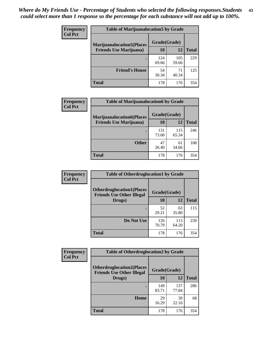| <b>Frequency</b> | <b>Table of Marijuanalocation5 by Grade</b> |              |              |              |
|------------------|---------------------------------------------|--------------|--------------|--------------|
| <b>Col Pct</b>   | <b>Marijuanalocation5(Places</b>            | Grade(Grade) |              |              |
|                  | <b>Friends Use Marijuana</b> )              | 10           | 12           | <b>Total</b> |
|                  |                                             | 124<br>69.66 | 105<br>59.66 | 229          |
|                  | <b>Friend's House</b>                       | 54<br>30.34  | 71<br>40.34  | 125          |
|                  | <b>Total</b>                                | 178          | 176          | 354          |

| <b>Frequency</b> | <b>Table of Marijuanalocation6 by Grade</b>                        |                    |              |              |
|------------------|--------------------------------------------------------------------|--------------------|--------------|--------------|
| <b>Col Pct</b>   | <b>Marijuanalocation6(Places</b><br><b>Friends Use Marijuana</b> ) | Grade(Grade)<br>10 | 12           | <b>Total</b> |
|                  |                                                                    | 131<br>73.60       | 115<br>65.34 | 246          |
|                  | <b>Other</b>                                                       | 47<br>26.40        | 61<br>34.66  | 108          |
|                  | <b>Total</b>                                                       | 178                | 176          | 354          |

| Frequency      | <b>Table of Otherdruglocation1 by Grade</b>                          |              |              |              |
|----------------|----------------------------------------------------------------------|--------------|--------------|--------------|
| <b>Col Pct</b> | <b>Otherdruglocation1(Places</b><br><b>Friends Use Other Illegal</b> | Grade(Grade) |              |              |
|                | Drugs)                                                               | 10           | 12           | <b>Total</b> |
|                |                                                                      | 52<br>29.21  | 63<br>35.80  | 115          |
|                | Do Not Use                                                           | 126<br>70.79 | 113<br>64.20 | 239          |
|                | <b>Total</b>                                                         | 178          | 176          | 354          |

| <b>Frequency</b> | <b>Table of Otherdruglocation2 by Grade</b>                          |              |              |              |
|------------------|----------------------------------------------------------------------|--------------|--------------|--------------|
| <b>Col Pct</b>   | <b>Otherdruglocation2(Places</b><br><b>Friends Use Other Illegal</b> | Grade(Grade) |              |              |
|                  | Drugs)                                                               | 10           | 12           | <b>Total</b> |
|                  |                                                                      | 149<br>83.71 | 137<br>77.84 | 286          |
|                  | <b>Home</b>                                                          | 29<br>16.29  | 39<br>22.16  | 68           |
|                  | <b>Total</b>                                                         | 178          | 176          | 354          |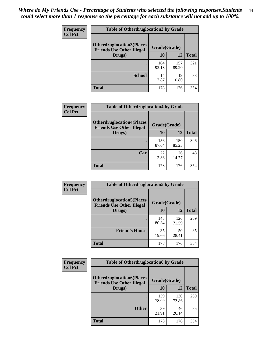| <b>Frequency</b> | <b>Table of Otherdruglocation3 by Grade</b>                          |              |              |              |
|------------------|----------------------------------------------------------------------|--------------|--------------|--------------|
| <b>Col Pct</b>   | <b>Otherdruglocation3(Places</b><br><b>Friends Use Other Illegal</b> | Grade(Grade) |              |              |
|                  | Drugs)                                                               | 10           | 12           | <b>Total</b> |
|                  |                                                                      | 164<br>92.13 | 157<br>89.20 | 321          |
|                  | <b>School</b>                                                        | 14<br>7.87   | 19<br>10.80  | 33           |
|                  | <b>Total</b>                                                         | 178          | 176          | 354          |

| <b>Frequency</b> | <b>Table of Otherdruglocation4 by Grade</b>                           |              |              |              |
|------------------|-----------------------------------------------------------------------|--------------|--------------|--------------|
| <b>Col Pct</b>   | <b>Otherdruglocation4(Places)</b><br><b>Friends Use Other Illegal</b> | Grade(Grade) |              |              |
|                  | Drugs)                                                                | 10           | 12           | <b>Total</b> |
|                  |                                                                       | 156<br>87.64 | 150<br>85.23 | 306          |
|                  | Car                                                                   | 22<br>12.36  | 26<br>14.77  | 48           |
|                  | <b>Total</b>                                                          | 178          | 176          | 354          |

| Frequency      | <b>Table of Otherdruglocation5 by Grade</b>                          |              |              |              |
|----------------|----------------------------------------------------------------------|--------------|--------------|--------------|
| <b>Col Pct</b> | <b>Otherdruglocation5(Places</b><br><b>Friends Use Other Illegal</b> | Grade(Grade) |              |              |
|                | Drugs)                                                               | 10           | 12           | <b>Total</b> |
|                |                                                                      | 143<br>80.34 | 126<br>71.59 | 269          |
|                | <b>Friend's House</b>                                                | 35<br>19.66  | 50<br>28.41  | 85           |
|                | Total                                                                | 178          | 176          | 354          |

| Frequency      | <b>Table of Otherdruglocation6 by Grade</b>                          |              |              |              |
|----------------|----------------------------------------------------------------------|--------------|--------------|--------------|
| <b>Col Pct</b> | <b>Otherdruglocation6(Places</b><br><b>Friends Use Other Illegal</b> | Grade(Grade) |              |              |
|                | Drugs)                                                               | 10           | 12           | <b>Total</b> |
|                |                                                                      | 139<br>78.09 | 130<br>73.86 | 269          |
|                | <b>Other</b>                                                         | 39<br>21.91  | 46<br>26.14  | 85           |
|                | <b>Total</b>                                                         | 178          | 176          | 354          |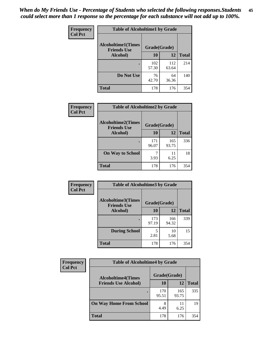| Frequency      | <b>Table of Alcoholtime1 by Grade</b>           |              |              |              |
|----------------|-------------------------------------------------|--------------|--------------|--------------|
| <b>Col Pct</b> | <b>Alcoholtime1(Times</b><br><b>Friends Use</b> | Grade(Grade) |              |              |
|                | Alcohol)                                        | 10           | 12           | <b>Total</b> |
|                |                                                 | 102<br>57.30 | 112<br>63.64 | 214          |
|                | Do Not Use                                      | 76<br>42.70  | 64<br>36.36  | 140          |
|                | <b>Total</b>                                    | 178          | 176          | 354          |

| Frequency      | <b>Table of Alcoholtime2 by Grade</b>           |              |              |              |
|----------------|-------------------------------------------------|--------------|--------------|--------------|
| <b>Col Pct</b> | <b>Alcoholtime2(Times</b><br><b>Friends Use</b> | Grade(Grade) |              |              |
|                | Alcohol)                                        | 10           | 12           | <b>Total</b> |
|                |                                                 | 171<br>96.07 | 165<br>93.75 | 336          |
|                | <b>On Way to School</b>                         | 3.93         | 11<br>6.25   | 18           |
|                | <b>Total</b>                                    | 178          | 176          | 354          |

| Frequency      | <b>Table of Alcoholtime3 by Grade</b>                    |              |              |              |
|----------------|----------------------------------------------------------|--------------|--------------|--------------|
| <b>Col Pct</b> | Alcoholtime3(Times<br>Grade(Grade)<br><b>Friends Use</b> |              |              |              |
|                | Alcohol)                                                 | 10           | 12           | <b>Total</b> |
|                |                                                          | 173<br>97.19 | 166<br>94.32 | 339          |
|                | <b>During School</b>                                     | 5<br>2.81    | 10<br>5.68   | 15           |
|                | <b>Total</b>                                             | 178          | 176          | 354          |

| <b>Frequency</b> | <b>Table of Alcoholtime4 by Grade</b> |              |              |              |
|------------------|---------------------------------------|--------------|--------------|--------------|
| <b>Col Pct</b>   | <b>Alcoholtime4(Times</b>             | Grade(Grade) |              |              |
|                  | <b>Friends Use Alcohol)</b>           | 10           | 12           | <b>Total</b> |
|                  | ٠                                     | 170<br>95.51 | 165<br>93.75 | 335          |
|                  | <b>On Way Home From School</b>        | 8<br>4.49    | 11<br>6.25   | 19           |
|                  | <b>Total</b>                          | 178          | 176          | 354          |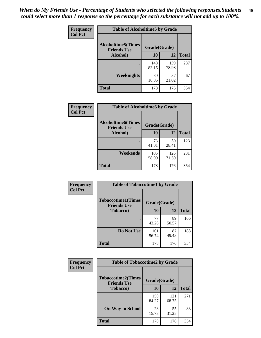*When do My Friends Use - Percentage of Students who selected the following responses.Students could select more than 1 response so the percentage for each substance will not add up to 100%.* **46**

| Frequency      | <b>Table of Alcoholtime5 by Grade</b>           |              |              |              |
|----------------|-------------------------------------------------|--------------|--------------|--------------|
| <b>Col Pct</b> | <b>Alcoholtime5(Times</b><br><b>Friends Use</b> | Grade(Grade) |              |              |
|                | Alcohol)                                        | 10           | 12           | <b>Total</b> |
|                |                                                 | 148<br>83.15 | 139<br>78.98 | 287          |
|                | Weeknights                                      | 30<br>16.85  | 37<br>21.02  | 67           |
|                | <b>Total</b>                                    | 178          | 176          | 354          |

| Frequency      | <b>Table of Alcoholtime6 by Grade</b>           |              |              |              |
|----------------|-------------------------------------------------|--------------|--------------|--------------|
| <b>Col Pct</b> | <b>Alcoholtime6(Times</b><br><b>Friends Use</b> | Grade(Grade) |              |              |
|                | Alcohol)                                        | 10           | 12           | <b>Total</b> |
|                |                                                 | 73<br>41.01  | 50<br>28.41  | 123          |
|                | Weekends                                        | 105<br>58.99 | 126<br>71.59 | 231          |
|                | <b>Total</b>                                    | 178          | 176          | 354          |

| <b>Frequency</b> | <b>Table of Tobaccotime1 by Grade</b>           |              |             |              |
|------------------|-------------------------------------------------|--------------|-------------|--------------|
| <b>Col Pct</b>   | <b>Tobaccotime1(Times</b><br><b>Friends Use</b> | Grade(Grade) |             |              |
|                  | <b>Tobacco</b> )                                | 10           | 12          | <b>Total</b> |
|                  | ٠                                               | 77<br>43.26  | 89<br>50.57 | 166          |
|                  | Do Not Use                                      | 101<br>56.74 | 87<br>49.43 | 188          |
|                  | <b>Total</b>                                    | 178          | 176         | 354          |

| <b>Frequency</b> | <b>Table of Tobaccotime2 by Grade</b>           |              |              |              |
|------------------|-------------------------------------------------|--------------|--------------|--------------|
| <b>Col Pct</b>   | <b>Tobaccotime2(Times</b><br><b>Friends Use</b> | Grade(Grade) |              |              |
|                  | <b>Tobacco</b> )                                | 10           | 12           | <b>Total</b> |
|                  |                                                 | 150<br>84.27 | 121<br>68.75 | 271          |
|                  | <b>On Way to School</b>                         | 28<br>15.73  | 55<br>31.25  | 83           |
|                  | Total                                           | 178          | 176          | 354          |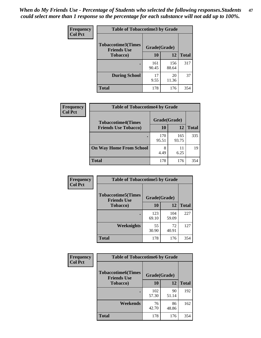*When do My Friends Use - Percentage of Students who selected the following responses.Students could select more than 1 response so the percentage for each substance will not add up to 100%.* **47**

| <b>Frequency</b> | <b>Table of Tobaccotime3 by Grade</b>           |              |              |              |  |
|------------------|-------------------------------------------------|--------------|--------------|--------------|--|
| <b>Col Pct</b>   | <b>Tobaccotime3(Times</b><br><b>Friends Use</b> | Grade(Grade) |              |              |  |
|                  | <b>Tobacco</b> )                                | 10           | 12           | <b>Total</b> |  |
|                  |                                                 | 161<br>90.45 | 156<br>88.64 | 317          |  |
|                  | <b>During School</b>                            | 17<br>9.55   | 20<br>11.36  | 37           |  |
|                  | <b>Total</b>                                    | 178          | 176          | 354          |  |

| Frequency<br><b>Col Pct</b> | <b>Table of Tobaccotime4 by Grade</b> |              |              |              |
|-----------------------------|---------------------------------------|--------------|--------------|--------------|
|                             | <b>Tobaccotime4(Times</b>             | Grade(Grade) |              |              |
|                             | <b>Friends Use Tobacco)</b>           | 10           | 12           | <b>Total</b> |
|                             |                                       | 170<br>95.51 | 165<br>93.75 | 335          |
|                             | <b>On Way Home From School</b>        | 8<br>4.49    | 11<br>6.25   | 19           |
|                             | <b>Total</b>                          | 178          | 176          | 354          |

| Frequency      | <b>Table of Tobaccotime5 by Grade</b>           |              |              |              |  |
|----------------|-------------------------------------------------|--------------|--------------|--------------|--|
| <b>Col Pct</b> | <b>Tobaccotime5(Times</b><br><b>Friends Use</b> | Grade(Grade) |              |              |  |
|                | Tobacco)                                        | 10           | 12           | <b>Total</b> |  |
|                |                                                 | 123<br>69.10 | 104<br>59.09 | 227          |  |
|                | Weeknights                                      | 55<br>30.90  | 72<br>40.91  | 127          |  |
|                | <b>Total</b>                                    | 178          | 176          | 354          |  |

| Frequency<br><b>Col Pct</b> | <b>Table of Tobaccotime6 by Grade</b>           |              |             |              |  |
|-----------------------------|-------------------------------------------------|--------------|-------------|--------------|--|
|                             | <b>Tobaccotime6(Times</b><br><b>Friends Use</b> | Grade(Grade) |             |              |  |
|                             | <b>Tobacco</b> )                                | 10           | 12          | <b>Total</b> |  |
|                             | ٠                                               | 102<br>57.30 | 90<br>51.14 | 192          |  |
|                             | Weekends                                        | 76<br>42.70  | 86<br>48.86 | 162          |  |
|                             | <b>Total</b>                                    | 178          | 176         | 354          |  |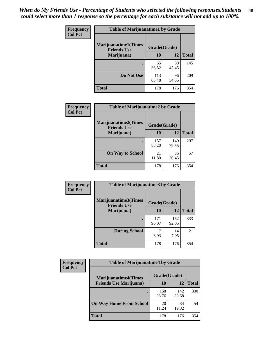| Frequency      | <b>Table of Marijuanatime1 by Grade</b>           |              |             |              |
|----------------|---------------------------------------------------|--------------|-------------|--------------|
| <b>Col Pct</b> | <b>Marijuanatime1(Times</b><br><b>Friends Use</b> | Grade(Grade) |             |              |
|                | Marijuana)                                        | 10           | 12          | <b>Total</b> |
|                |                                                   | 65<br>36.52  | 80<br>45.45 | 145          |
|                | Do Not Use                                        | 113<br>63.48 | 96<br>54.55 | 209          |
|                | <b>Total</b>                                      | 178          | 176         | 354          |

| <b>Frequency</b> | <b>Table of Marijuanatime2 by Grade</b>           |              |              |              |
|------------------|---------------------------------------------------|--------------|--------------|--------------|
| <b>Col Pct</b>   | <b>Marijuanatime2(Times</b><br><b>Friends Use</b> | Grade(Grade) |              |              |
|                  | Marijuana)                                        | 10           | 12           | <b>Total</b> |
|                  | ٠                                                 | 157<br>88.20 | 140<br>79.55 | 297          |
|                  | <b>On Way to School</b>                           | 21<br>11.80  | 36<br>20.45  | 57           |
|                  | <b>Total</b>                                      | 178          | 176          | 354          |

| Frequency      | <b>Table of Marijuanatime3 by Grade</b>    |              |              |              |  |
|----------------|--------------------------------------------|--------------|--------------|--------------|--|
| <b>Col Pct</b> | Marijuanatime3(Times<br><b>Friends Use</b> | Grade(Grade) |              |              |  |
|                | Marijuana)                                 | 10           | 12           | <b>Total</b> |  |
|                |                                            | 171<br>96.07 | 162<br>92.05 | 333          |  |
|                | <b>During School</b>                       | 3.93         | 14<br>7.95   | 21           |  |
|                | Total                                      | 178          | 176          | 354          |  |

| <b>Frequency</b><br><b>Col Pct</b> | <b>Table of Marijuanatime4 by Grade</b> |              |              |       |
|------------------------------------|-----------------------------------------|--------------|--------------|-------|
|                                    | <b>Marijuanatime4</b> (Times            | Grade(Grade) |              |       |
|                                    | <b>Friends Use Marijuana</b> )          | 10           | 12           | Total |
|                                    |                                         | 158<br>88.76 | 142<br>80.68 | 300   |
|                                    | <b>On Way Home From School</b>          | 20<br>11.24  | 34<br>19.32  | 54    |
|                                    | <b>Total</b>                            | 178          | 176          | 354   |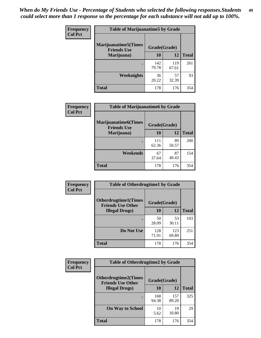| Frequency      | <b>Table of Marijuanatime5 by Grade</b>            |              |              |              |
|----------------|----------------------------------------------------|--------------|--------------|--------------|
| <b>Col Pct</b> | <b>Marijuanatime5</b> (Times<br><b>Friends Use</b> | Grade(Grade) |              |              |
|                | Marijuana)                                         | 10           | 12           | <b>Total</b> |
|                |                                                    | 142<br>79.78 | 119<br>67.61 | 261          |
|                | Weeknights                                         | 36<br>20.22  | 57<br>32.39  | 93           |
|                | <b>Total</b>                                       | 178          | 176          | 354          |

| Frequency      | <b>Table of Marijuanatime6 by Grade</b>    |              |             |              |
|----------------|--------------------------------------------|--------------|-------------|--------------|
| <b>Col Pct</b> | Marijuanatime6(Times<br><b>Friends Use</b> | Grade(Grade) |             |              |
|                | Marijuana)                                 | 10           | 12          | <b>Total</b> |
|                |                                            | 111<br>62.36 | 89<br>50.57 | 200          |
|                | Weekends                                   | 67<br>37.64  | 87<br>49.43 | 154          |
|                | <b>Total</b>                               | 178          | 176         | 354          |

| Frequency<br><b>Col Pct</b> | <b>Table of Otherdrugtime1 by Grade</b>                 |              |              |              |  |
|-----------------------------|---------------------------------------------------------|--------------|--------------|--------------|--|
|                             | <b>Otherdrugtime1(Times</b><br><b>Friends Use Other</b> | Grade(Grade) |              |              |  |
|                             | <b>Illegal Drugs)</b>                                   | 10           | 12           | <b>Total</b> |  |
|                             |                                                         | 50<br>28.09  | 53<br>30.11  | 103          |  |
|                             | Do Not Use                                              | 128<br>71.91 | 123<br>69.89 | 251          |  |
|                             | <b>Total</b>                                            | 178          | 176          | 354          |  |

| Frequency      | <b>Table of Otherdrugtime2 by Grade</b>                 |              |              |              |  |  |  |
|----------------|---------------------------------------------------------|--------------|--------------|--------------|--|--|--|
| <b>Col Pct</b> | <b>Otherdrugtime2(Times</b><br><b>Friends Use Other</b> | Grade(Grade) |              |              |  |  |  |
|                | <b>Illegal Drugs</b> )                                  | 10           | 12           | <b>Total</b> |  |  |  |
|                |                                                         | 168<br>94.38 | 157<br>89.20 | 325          |  |  |  |
|                | <b>On Way to School</b>                                 | 10<br>5.62   | 19<br>10.80  | 29           |  |  |  |
|                | Total                                                   | 178          | 176          | 354          |  |  |  |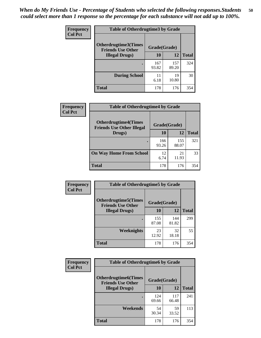| <b>Frequency</b> | <b>Table of Otherdrugtime3 by Grade</b>          |              |              |              |  |  |
|------------------|--------------------------------------------------|--------------|--------------|--------------|--|--|
| <b>Col Pct</b>   | Otherdrugtime3(Times<br><b>Friends Use Other</b> | Grade(Grade) |              |              |  |  |
|                  | <b>Illegal Drugs</b> )                           | 10           | 12           | <b>Total</b> |  |  |
|                  |                                                  | 167<br>93.82 | 157<br>89.20 | 324          |  |  |
|                  | <b>During School</b>                             | 11<br>6.18   | 19<br>10.80  | 30           |  |  |
|                  | Total                                            | 178          | 176          | 354          |  |  |

| Frequency      | <b>Table of Otherdrugtime4 by Grade</b>                         |              |              |              |  |  |
|----------------|-----------------------------------------------------------------|--------------|--------------|--------------|--|--|
| <b>Col Pct</b> | <b>Otherdrugtime4(Times</b><br><b>Friends Use Other Illegal</b> | Grade(Grade) |              |              |  |  |
|                | Drugs)                                                          | 10           | 12           | <b>Total</b> |  |  |
|                | ٠                                                               | 166<br>93.26 | 155<br>88.07 | 321          |  |  |
|                | <b>On Way Home From School</b>                                  | 12<br>6.74   | 21<br>11.93  | 33           |  |  |
|                | <b>Total</b>                                                    | 178          | 176          | 354          |  |  |

| <b>Frequency</b><br><b>Col Pct</b> | <b>Table of Otherdrugtime5 by Grade</b>                  |              |              |              |  |  |
|------------------------------------|----------------------------------------------------------|--------------|--------------|--------------|--|--|
|                                    | <b>Otherdrugtime5</b> (Times<br><b>Friends Use Other</b> | Grade(Grade) |              |              |  |  |
|                                    | <b>Illegal Drugs</b> )                                   | 10           | 12           | <b>Total</b> |  |  |
|                                    |                                                          | 155<br>87.08 | 144<br>81.82 | 299          |  |  |
|                                    | Weeknights                                               | 23<br>12.92  | 32<br>18.18  | 55           |  |  |
|                                    | Total                                                    | 178          | 176          | 354          |  |  |

| <b>Frequency</b> | <b>Table of Otherdrugtime6 by Grade</b>                 |              |              |              |  |  |
|------------------|---------------------------------------------------------|--------------|--------------|--------------|--|--|
| <b>Col Pct</b>   | <b>Otherdrugtime6(Times</b><br><b>Friends Use Other</b> | Grade(Grade) |              |              |  |  |
|                  | <b>Illegal Drugs</b> )                                  | 10           | 12           | <b>Total</b> |  |  |
|                  |                                                         | 124<br>69.66 | 117<br>66.48 | 241          |  |  |
|                  | Weekends                                                | 54<br>30.34  | 59<br>33.52  | 113          |  |  |
|                  | <b>Total</b>                                            | 178          | 176          | 354          |  |  |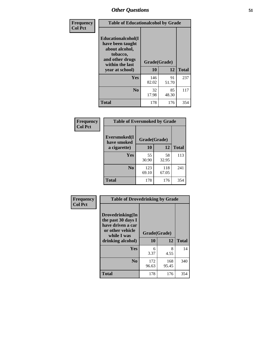| Frequency<br><b>Col Pct</b> | <b>Table of Educationalcohol by Grade</b>                                                                  |              |             |              |  |  |
|-----------------------------|------------------------------------------------------------------------------------------------------------|--------------|-------------|--------------|--|--|
|                             | Educationalcohol(I<br>have been taught<br>about alcohol,<br>tobacco,<br>and other drugs<br>within the last | Grade(Grade) |             |              |  |  |
|                             | year at school)                                                                                            | 10           | 12          | <b>Total</b> |  |  |
|                             | Yes                                                                                                        | 146<br>82.02 | 91<br>51.70 | 237          |  |  |
|                             | N <sub>0</sub>                                                                                             | 32<br>17.98  | 85<br>48.30 | 117          |  |  |
|                             | <b>Total</b>                                                                                               | 178          | 176         | 354          |  |  |

| Frequency      | <b>Table of Eversmoked by Grade</b> |              |              |              |  |  |  |
|----------------|-------------------------------------|--------------|--------------|--------------|--|--|--|
| <b>Col Pct</b> | Eversmoked(I<br>have smoked         | Grade(Grade) |              |              |  |  |  |
|                | a cigarette)                        | 10           | 12           | <b>Total</b> |  |  |  |
|                | <b>Yes</b>                          | 55<br>30.90  | 58<br>32.95  | 113          |  |  |  |
|                | N <sub>0</sub>                      | 123<br>69.10 | 118<br>67.05 | 241          |  |  |  |
|                | <b>Total</b>                        | 178          | 176          | 354          |  |  |  |

| Frequency      | <b>Table of Drovedrinking by Grade</b>                                                                              |                    |              |     |  |  |
|----------------|---------------------------------------------------------------------------------------------------------------------|--------------------|--------------|-----|--|--|
| <b>Col Pct</b> | Drovedrinking(In<br>the past 30 days I<br>have driven a car<br>or other vehicle<br>while I was<br>drinking alcohol) | Grade(Grade)<br>10 | <b>Total</b> |     |  |  |
|                | <b>Yes</b>                                                                                                          | 6<br>3.37          | 8<br>4.55    | 14  |  |  |
|                | N <sub>0</sub>                                                                                                      | 172<br>96.63       | 168<br>95.45 | 340 |  |  |
|                | <b>Total</b>                                                                                                        | 178                | 176          | 354 |  |  |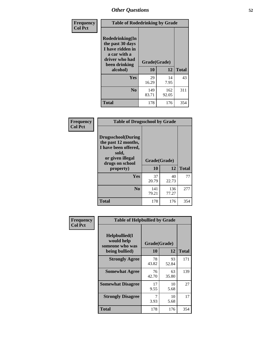| Frequency<br><b>Col Pct</b> | <b>Table of Rodedrinking by Grade</b>                                                                      |              |              |              |  |  |
|-----------------------------|------------------------------------------------------------------------------------------------------------|--------------|--------------|--------------|--|--|
|                             | Rodedrinking(In<br>the past 30 days<br>I have ridden in<br>a car with a<br>driver who had<br>been drinking | Grade(Grade) |              |              |  |  |
|                             | alcohol)                                                                                                   | 10           | 12           | <b>Total</b> |  |  |
|                             | <b>Yes</b>                                                                                                 | 29<br>16.29  | 14<br>7.95   | 43           |  |  |
|                             | N <sub>0</sub>                                                                                             | 149<br>83.71 | 162<br>92.05 | 311          |  |  |
|                             | <b>Total</b>                                                                                               | 178          | 176          | 354          |  |  |

#### **Frequency Col Pct**

| <b>Table of Drugsschool by Grade</b>                                                                                      |              |              |              |  |  |  |
|---------------------------------------------------------------------------------------------------------------------------|--------------|--------------|--------------|--|--|--|
| <b>Drugsschool</b> (During<br>the past 12 months,<br>I have been offered,<br>sold,<br>or given illegal<br>drugs on school | Grade(Grade) |              |              |  |  |  |
| property)                                                                                                                 | 10           | 12           | <b>Total</b> |  |  |  |
| Yes                                                                                                                       | 37<br>20.79  | 40<br>22.73  | 77           |  |  |  |
| N <sub>0</sub>                                                                                                            | 141<br>79.21 | 136<br>77.27 | 277          |  |  |  |
| <b>Total</b>                                                                                                              | 178          | 176          | 354          |  |  |  |

| Frequency      | <b>Table of Helpbullied by Grade</b>           |              |             |              |  |  |  |  |
|----------------|------------------------------------------------|--------------|-------------|--------------|--|--|--|--|
| <b>Col Pct</b> | Helpbullied(I<br>would help<br>someone who was | Grade(Grade) |             |              |  |  |  |  |
| being bullied) |                                                | 10           | 12          | <b>Total</b> |  |  |  |  |
|                | <b>Strongly Agree</b>                          | 78<br>43.82  | 93<br>52.84 | 171          |  |  |  |  |
|                | <b>Somewhat Agree</b>                          | 76<br>42.70  | 63<br>35.80 | 139          |  |  |  |  |
|                | <b>Somewhat Disagree</b>                       | 17<br>9.55   | 10<br>5.68  | 27           |  |  |  |  |
|                | <b>Strongly Disagree</b>                       | 7<br>3.93    | 10<br>5.68  | 17           |  |  |  |  |
|                | <b>Total</b>                                   | 178          | 176         | 354          |  |  |  |  |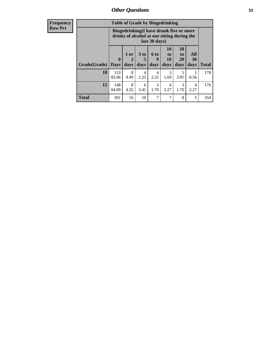| Frequency      |                                                                                                         | <b>Table of Grade by Bingedrinking</b> |                |              |                              |                        |                                  |                   |              |
|----------------|---------------------------------------------------------------------------------------------------------|----------------------------------------|----------------|--------------|------------------------------|------------------------|----------------------------------|-------------------|--------------|
| <b>Row Pct</b> | Bingedrinking(I have drunk five or more<br>drinks of alcohol at one sitting during the<br>last 30 days) |                                        |                |              |                              |                        |                                  |                   |              |
|                | Grade(Grade)                                                                                            | $\mathbf 0$<br><b>Days</b>             | $1$ or<br>days | 3 to<br>days | 6 <sub>to</sub><br>9<br>days | 10<br>to<br>19<br>days | <b>20</b><br>to<br>29<br>days    | All<br>30<br>days | <b>Total</b> |
|                | 10                                                                                                      | 153<br>85.96                           | 8<br>4.49      | 4<br>2.25    | 4<br>2.25                    | 3<br>1.69              | $\overline{\phantom{0}}$<br>2.81 | 0.56              | 178          |
|                | 12                                                                                                      | 148<br>84.09                           | 8<br>4.55      | 6<br>3.41    | 3<br>1.70                    | 4<br>2.27              | 3<br>1.70                        | 4<br>2.27         | 176          |
|                | <b>Total</b>                                                                                            | 301                                    | 16             | 10           | 7                            | 7                      | 8                                | 5                 | 354          |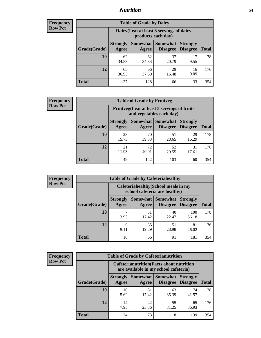### *Nutrition* **54**

| <b>Frequency</b> |
|------------------|
| <b>Row Pct</b>   |

| <b>Table of Grade by Dairy</b> |                          |                                                                 |                                    |                                    |              |  |
|--------------------------------|--------------------------|-----------------------------------------------------------------|------------------------------------|------------------------------------|--------------|--|
|                                |                          | Dairy (I eat at least 3 servings of dairy<br>products each day) |                                    |                                    |              |  |
| Grade(Grade)                   | <b>Strongly</b><br>Agree | Somewhat<br>Agree                                               | <b>Somewhat</b><br><b>Disagree</b> | <b>Strongly</b><br><b>Disagree</b> | <b>Total</b> |  |
| 10                             | 62<br>34.83              | 62<br>34.83                                                     | 37<br>20.79                        | 17<br>9.55                         | 178          |  |
| 12                             | 65<br>36.93              | 66<br>37.50                                                     | 29<br>16.48                        | 16<br>9.09                         | 176          |  |
| <b>Total</b>                   | 127                      | 128                                                             | 66                                 | 33                                 | 354          |  |

| <b>Frequency</b> |  |
|------------------|--|
| <b>Row Pct</b>   |  |

| <b>Table of Grade by Fruitveg</b> |                          |                                                                          |                                        |                                    |              |  |
|-----------------------------------|--------------------------|--------------------------------------------------------------------------|----------------------------------------|------------------------------------|--------------|--|
|                                   |                          | Fruitveg(I eat at least 5 servings of fruits<br>and vegetables each day) |                                        |                                    |              |  |
| Grade(Grade)                      | <b>Strongly</b><br>Agree | Agree                                                                    | <b>Somewhat   Somewhat</b><br>Disagree | <b>Strongly</b><br><b>Disagree</b> | <b>Total</b> |  |
| 10                                | 28<br>15.73              | 70<br>39.33                                                              | 51<br>28.65                            | 29<br>16.29                        | 178          |  |
| 12                                | 21<br>11.93              | 72<br>40.91                                                              | 52<br>29.55                            | 31<br>17.61                        | 176          |  |
| <b>Total</b>                      | 49                       | 142                                                                      | 103                                    | 60                                 | 354          |  |

| <b>Frequency</b> | <b>Table of Grade by Cafeteriahealthy</b> |                          |                                                                       |                                          |                                    |              |
|------------------|-------------------------------------------|--------------------------|-----------------------------------------------------------------------|------------------------------------------|------------------------------------|--------------|
| <b>Row Pct</b>   |                                           |                          | Cafeteriahealthy (School meals in my<br>school cafeteria are healthy) |                                          |                                    |              |
|                  | Grade(Grade)                              | <b>Strongly</b><br>Agree | Agree                                                                 | Somewhat   Somewhat  <br><b>Disagree</b> | <b>Strongly</b><br><b>Disagree</b> | <b>Total</b> |
|                  | 10                                        | 3.93                     | 31<br>17.42                                                           | 40<br>22.47                              | 100<br>56.18                       | 178          |
|                  | 12                                        | Q<br>5.11                | 35<br>19.89                                                           | 51<br>28.98                              | 81<br>46.02                        | 176          |
|                  | Total                                     | 16                       | 66                                                                    | 91                                       | 181                                | 354          |

| <b>Frequency</b> |
|------------------|
| <b>Row Pct</b>   |

| <b>Table of Grade by Cafeterianutrition</b> |                          |                                                                                           |                                      |                                    |              |  |
|---------------------------------------------|--------------------------|-------------------------------------------------------------------------------------------|--------------------------------------|------------------------------------|--------------|--|
|                                             |                          | <b>Cafeterianutrition</b> (Facts about nutrition<br>are available in my school cafeteria) |                                      |                                    |              |  |
| Grade(Grade)                                | <b>Strongly</b><br>Agree | Agree                                                                                     | Somewhat Somewhat<br><b>Disagree</b> | <b>Strongly</b><br><b>Disagree</b> | <b>Total</b> |  |
| 10                                          | 10<br>5.62               | 31<br>17.42                                                                               | 63<br>35.39                          | 74<br>41.57                        | 178          |  |
| 12                                          | 14<br>7.95               | 42<br>23.86                                                                               | 55<br>31.25                          | 65<br>36.93                        | 176          |  |
| <b>Total</b>                                | 24                       | 73                                                                                        | 118                                  | 139                                | 354          |  |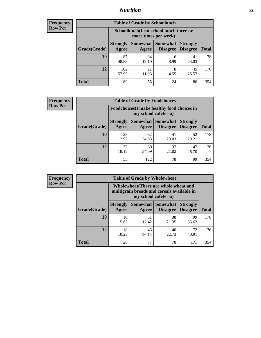### *Nutrition* **55**

| Frequency |
|-----------|
| Row Pct   |

| <b>Table of Grade by Schoollunch</b> |                          |                                                                 |                             |                                    |              |  |
|--------------------------------------|--------------------------|-----------------------------------------------------------------|-----------------------------|------------------------------------|--------------|--|
|                                      |                          | Schoollunch(I eat school lunch three or<br>more times per week) |                             |                                    |              |  |
| Grade(Grade)                         | <b>Strongly</b><br>Agree | Somewhat  <br>Agree                                             | <b>Somewhat</b><br>Disagree | <b>Strongly</b><br><b>Disagree</b> | <b>Total</b> |  |
| 10                                   | 87<br>48.88              | 34<br>19.10                                                     | 16<br>8.99                  | 41<br>23.03                        | 178          |  |
| 12                                   | 102<br>57.95             | 21<br>11.93                                                     | 8<br>4.55                   | 45<br>25.57                        | 176          |  |
| <b>Total</b>                         | 189                      | 55                                                              | 24                          | 86                                 | 354          |  |

| <b>Frequency</b> |
|------------------|
| <b>Row Pct</b>   |

| <b>Table of Grade by Foodchoices</b> |              |                          |                                                                            |                      |                                    |              |  |  |
|--------------------------------------|--------------|--------------------------|----------------------------------------------------------------------------|----------------------|------------------------------------|--------------|--|--|
|                                      |              |                          | <b>Foodchoices</b> (I make healthy food choices in<br>my school cafeteria) |                      |                                    |              |  |  |
|                                      | Grade(Grade) | <b>Strongly</b><br>Agree | Somewhat  <br>Agree                                                        | Somewhat<br>Disagree | <b>Strongly</b><br><b>Disagree</b> | <b>Total</b> |  |  |
|                                      | <b>10</b>    | 23<br>12.92              | 62<br>34.83                                                                | 41<br>23.03          | 52<br>29.21                        | 178          |  |  |
|                                      | 12           | 32<br>18.18              | 60<br>34.09                                                                | 37<br>21.02          | 47<br>26.70                        | 176          |  |  |
|                                      | <b>Total</b> | 55                       | 122                                                                        | 78                   | 99                                 | 354          |  |  |

| <b>Frequency</b> |
|------------------|
| <b>Row Pct</b>   |

| <b>Table of Grade by Wholewheat</b> |                                                                                                             |             |                                        |                                    |              |  |
|-------------------------------------|-------------------------------------------------------------------------------------------------------------|-------------|----------------------------------------|------------------------------------|--------------|--|
|                                     | Wholewheat (There are whole wheat and<br>multigrain breads and cereals available in<br>my school cafeteria) |             |                                        |                                    |              |  |
| Grade(Grade)                        | <b>Strongly</b><br>Agree                                                                                    | Agree       | Somewhat   Somewhat<br><b>Disagree</b> | <b>Strongly</b><br><b>Disagree</b> | <b>Total</b> |  |
| 10                                  | 10<br>5.62                                                                                                  | 31<br>17.42 | 38<br>21.35                            | 99<br>55.62                        | 178          |  |
| 12                                  | 18<br>10.23                                                                                                 | 46<br>26.14 | 40<br>22.73                            | 72<br>40.91                        | 176          |  |
| <b>Total</b>                        | 28                                                                                                          | 77          | 78                                     | 171                                | 354          |  |

٦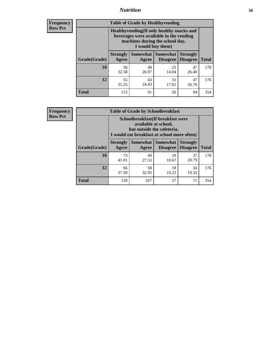### *Nutrition* **56**

**Frequency Row Pct**

| <b>Table of Grade by Healthyvending</b> |                                                                                                                                               |                          |                                    |                                    |              |  |  |
|-----------------------------------------|-----------------------------------------------------------------------------------------------------------------------------------------------|--------------------------|------------------------------------|------------------------------------|--------------|--|--|
|                                         | Healthyvending (If only healthy snacks and<br>beverages were available in the vending<br>machines during the school day,<br>I would buy them) |                          |                                    |                                    |              |  |  |
| Grade(Grade)                            | <b>Strongly</b><br>Agree                                                                                                                      | <b>Somewhat</b><br>Agree | <b>Somewhat</b><br><b>Disagree</b> | <b>Strongly</b><br><b>Disagree</b> | <b>Total</b> |  |  |
| 10                                      | 58<br>32.58                                                                                                                                   | 48<br>26.97              | 25<br>14.04                        | 47<br>26.40                        | 178          |  |  |
| 12                                      | 55<br>31.25                                                                                                                                   | 43<br>24.43              | 31<br>17.61                        | 47<br>26.70                        | 176          |  |  |
| <b>Total</b>                            | 113                                                                                                                                           | 91                       | 56                                 | 94                                 | 354          |  |  |

**Frequency Row Pct**

| <b>Table of Grade by Schoolbreakfast</b> |                                                                                                                                         |             |             |             |              |  |  |
|------------------------------------------|-----------------------------------------------------------------------------------------------------------------------------------------|-------------|-------------|-------------|--------------|--|--|
|                                          | Schoolbreakfast (If breakfast were<br>available at school,<br>but outside the cafeteria,<br>I would eat breakfast at school more often) |             |             |             |              |  |  |
| Grade(Grade)                             | Somewhat   Somewhat<br><b>Strongly</b><br><b>Strongly</b><br><b>Disagree</b><br>Agree<br><b>Disagree</b><br>Agree                       |             |             |             | <b>Total</b> |  |  |
| 10                                       | 73<br>41.01                                                                                                                             | 49<br>27.53 | 19<br>10.67 | 37<br>20.79 | 178          |  |  |
| 12                                       | 66<br>37.50                                                                                                                             | 58<br>32.95 | 18<br>10.23 | 34<br>19.32 | 176          |  |  |
| <b>Total</b>                             | 139                                                                                                                                     | 107         | 37          | 71          | 354          |  |  |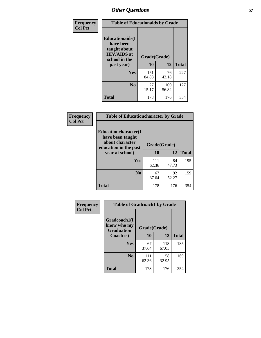| Frequency<br><b>Col Pct</b> | <b>Table of Educationaids by Grade</b>                                                                    |                    |              |              |  |
|-----------------------------|-----------------------------------------------------------------------------------------------------------|--------------------|--------------|--------------|--|
|                             | <b>Educationaids</b> (I<br>have been<br>taught about<br><b>HIV/AIDS</b> at<br>school in the<br>past year) | Grade(Grade)<br>10 | 12           | <b>Total</b> |  |
|                             | Yes                                                                                                       | 151<br>84.83       | 76<br>43.18  | 227          |  |
|                             | N <sub>0</sub>                                                                                            | 27<br>15.17        | 100<br>56.82 | 127          |  |
|                             | <b>Total</b>                                                                                              | 178                | 176          | 354          |  |

| Frequency      | <b>Table of Educationcharacter by Grade</b>      |              |             |              |  |
|----------------|--------------------------------------------------|--------------|-------------|--------------|--|
| <b>Col Pct</b> | <b>Educationcharacter(I)</b><br>have been taught |              |             |              |  |
|                | about character<br>education in the past         | Grade(Grade) |             |              |  |
|                | year at school)                                  | 10           | 12          | <b>Total</b> |  |
|                | Yes                                              | 111<br>62.36 | 84<br>47.73 | 195          |  |
|                | N <sub>0</sub>                                   | 67<br>37.64  | 92<br>52.27 | 159          |  |
|                | <b>Total</b>                                     | 178          | 176         | 354          |  |

| Frequency      | <b>Table of Gradcoach1 by Grade</b>              |              |              |              |  |
|----------------|--------------------------------------------------|--------------|--------------|--------------|--|
| <b>Col Pct</b> | Gradcoach1(I<br>know who my<br><b>Graduation</b> | Grade(Grade) |              |              |  |
|                | Coach is)                                        | 10           | 12           | <b>Total</b> |  |
|                | Yes                                              | 67<br>37.64  | 118<br>67.05 | 185          |  |
|                | N <sub>0</sub>                                   | 111<br>62.36 | 58<br>32.95  | 169          |  |
|                | <b>Total</b>                                     | 178          | 176          | 354          |  |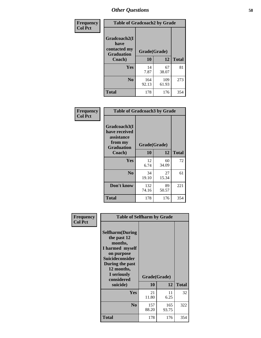| Frequency      | <b>Table of Gradcoach2 by Grade</b>         |              |              |              |  |
|----------------|---------------------------------------------|--------------|--------------|--------------|--|
| <b>Col Pct</b> | Gradcoach2(I<br>have                        |              |              |              |  |
|                | contacted my<br><b>Graduation</b><br>Coach) | Grade(Grade) |              |              |  |
|                |                                             | 10           | 12           | <b>Total</b> |  |
|                | Yes                                         | 14<br>7.87   | 67<br>38.07  | 81           |  |
|                | N <sub>0</sub>                              | 164<br>92.13 | 109<br>61.93 | 273          |  |
|                | <b>Total</b>                                | 178          | 176          | 354          |  |

| Frequency<br><b>Col Pct</b> | <b>Table of Gradcoach3 by Grade</b>                    |              |             |              |
|-----------------------------|--------------------------------------------------------|--------------|-------------|--------------|
|                             | Gradcoach3(I<br>have received<br>assistance<br>from my | Grade(Grade) |             |              |
|                             | <b>Graduation</b><br>Coach)                            | 10           | 12          | <b>Total</b> |
|                             | Yes                                                    | 12<br>6.74   | 60<br>34.09 | 72           |
|                             | N <sub>0</sub>                                         | 34<br>19.10  | 27<br>15.34 | 61           |
|                             | Don't know                                             | 132<br>74.16 | 89<br>50.57 | 221          |
|                             | <b>Total</b>                                           | 178          | 176         | 354          |

| Frequency      | <b>Table of Selfharm by Grade</b>                                                                                                                                                      |                    |              |              |
|----------------|----------------------------------------------------------------------------------------------------------------------------------------------------------------------------------------|--------------------|--------------|--------------|
| <b>Col Pct</b> | <b>Selfharm</b> (During<br>the past 12<br>months,<br>I harmed myself<br>on purpose<br><b>Suicideconsider</b><br>During the past<br>12 months,<br>I seriously<br>considered<br>suicide) | Grade(Grade)<br>10 | 12           | <b>Total</b> |
|                | <b>Yes</b>                                                                                                                                                                             | 21<br>11.80        | 11<br>6.25   | 32           |
|                | N <sub>0</sub>                                                                                                                                                                         | 157<br>88.20       | 165<br>93.75 | 322          |
|                | <b>Total</b>                                                                                                                                                                           | 178                | 176          | 354          |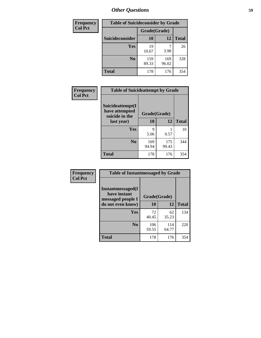| <b>Frequency</b> | <b>Table of Suicideconsider by Grade</b> |              |              |              |
|------------------|------------------------------------------|--------------|--------------|--------------|
| <b>Col Pct</b>   |                                          | Grade(Grade) |              |              |
|                  | <b>Suicideconsider</b>                   | <b>10</b>    | 12           | <b>Total</b> |
|                  | <b>Yes</b>                               | 19<br>10.67  | 3.98         | 26           |
|                  | N <sub>0</sub>                           | 159<br>89.33 | 169<br>96.02 | 328          |
|                  | <b>Total</b>                             | 178          | 176          | 354          |

| Frequency      | <b>Table of Suicideattempt by Grade</b>                            |              |              |              |
|----------------|--------------------------------------------------------------------|--------------|--------------|--------------|
| <b>Col Pct</b> | Suicideattempt(I<br>have attempted<br>suicide in the<br>last year) | Grade(Grade) |              |              |
|                |                                                                    | 10           | 12           | <b>Total</b> |
|                | Yes                                                                | 9<br>5.06    | 0.57         | 10           |
|                | N <sub>0</sub>                                                     | 169<br>94.94 | 175<br>99.43 | 344          |
|                | <b>Total</b>                                                       | 178          | 176          | 354          |

| Frequency      | <b>Table of Instantmessaged by Grade</b>                       |              |              |              |  |
|----------------|----------------------------------------------------------------|--------------|--------------|--------------|--|
| <b>Col Pct</b> | <b>Instantmessaged</b> (I<br>have instant<br>messaged people I | Grade(Grade) |              |              |  |
|                | do not even know)                                              | 10           | 12           | <b>Total</b> |  |
|                | Yes                                                            | 72<br>40.45  | 62<br>35.23  | 134          |  |
|                | N <sub>0</sub>                                                 | 106<br>59.55 | 114<br>64.77 | 220          |  |
|                | <b>Total</b>                                                   | 178          | 176          | 354          |  |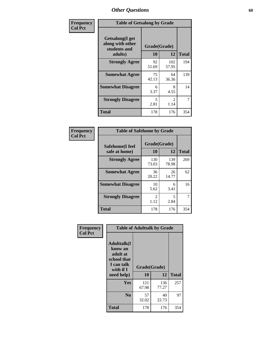| Frequency      | <b>Table of Getsalong by Grade</b>                          |              |                        |              |  |  |  |
|----------------|-------------------------------------------------------------|--------------|------------------------|--------------|--|--|--|
| <b>Col Pct</b> | <b>Getsalong</b> (I get<br>along with other<br>students and | Grade(Grade) |                        |              |  |  |  |
|                | adults)                                                     | 10           | 12                     | <b>Total</b> |  |  |  |
|                | <b>Strongly Agree</b>                                       | 92<br>51.69  | 102<br>57.95           | 194          |  |  |  |
|                | <b>Somewhat Agree</b>                                       | 75<br>42.13  | 64<br>36.36            | 139          |  |  |  |
|                | <b>Somewhat Disagree</b>                                    | 6<br>3.37    | 8<br>4.55              | 14           |  |  |  |
|                | <b>Strongly Disagree</b>                                    | 5<br>2.81    | $\mathfrak{D}$<br>1.14 | 7            |  |  |  |
|                | <b>Total</b>                                                | 178          | 176                    | 354          |  |  |  |

| <b>Frequency</b> |  |
|------------------|--|
| <b>Col Pct</b>   |  |

| <b>Table of Safehome by Grade</b> |                        |              |     |  |  |  |  |  |  |
|-----------------------------------|------------------------|--------------|-----|--|--|--|--|--|--|
| Safehome(I feel<br>safe at home)  | Grade(Grade)<br>10     | <b>Total</b> |     |  |  |  |  |  |  |
| <b>Strongly Agree</b>             | 130<br>73.03           | 139<br>78.98 | 269 |  |  |  |  |  |  |
| <b>Somewhat Agree</b>             | 36<br>20.22            | 26<br>14.77  | 62  |  |  |  |  |  |  |
| <b>Somewhat Disagree</b>          | 10<br>5.62             | 6<br>3.41    | 16  |  |  |  |  |  |  |
| <b>Strongly Disagree</b>          | $\mathfrak{D}$<br>1.12 | 5<br>2.84    | 7   |  |  |  |  |  |  |
| <b>Total</b>                      | 178                    | 176          | 354 |  |  |  |  |  |  |

| Frequency      | <b>Table of Adulttalk by Grade</b>                                                                 |                    |              |              |  |  |  |  |  |
|----------------|----------------------------------------------------------------------------------------------------|--------------------|--------------|--------------|--|--|--|--|--|
| <b>Col Pct</b> | <b>Adulttalk</b> (I<br>know an<br>adult at<br>school that<br>I can talk<br>with if I<br>need help) | Grade(Grade)<br>10 | 12           | <b>Total</b> |  |  |  |  |  |
|                |                                                                                                    |                    |              |              |  |  |  |  |  |
|                | <b>Yes</b>                                                                                         | 121<br>67.98       | 136<br>77.27 | 257          |  |  |  |  |  |
|                | N <sub>0</sub>                                                                                     | 57<br>32.02        | 40<br>22.73  | 97           |  |  |  |  |  |
|                | <b>Total</b>                                                                                       | 178                | 176          | 354          |  |  |  |  |  |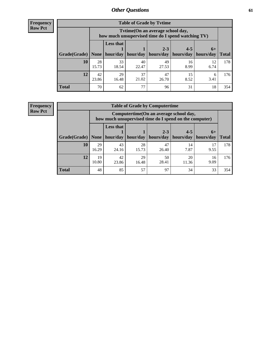**Frequency Row Pct**

| <b>Table of Grade by Tvtime</b> |             |                                                                                         |                     |                      |                      |                     |              |  |  |  |
|---------------------------------|-------------|-----------------------------------------------------------------------------------------|---------------------|----------------------|----------------------|---------------------|--------------|--|--|--|
|                                 |             | Tytime (On an average school day,<br>how much unsupervised time do I spend watching TV) |                     |                      |                      |                     |              |  |  |  |
| Grade(Grade)   None             |             | <b>Less that</b>                                                                        | hour/day   hour/day | $2 - 3$<br>hours/day | $4 - 5$<br>hours/day | $6+$<br>  hours/day | <b>Total</b> |  |  |  |
| 10                              | 28<br>15.73 | 33<br>18.54                                                                             | 40<br>22.47         | 49<br>27.53          | 16<br>8.99           | 12<br>6.74          | 178          |  |  |  |
| 12                              | 42<br>23.86 | 29<br>16.48                                                                             | 37<br>21.02         | 47<br>26.70          | 15<br>8.52           | 6<br>3.41           | 176          |  |  |  |
| <b>Total</b>                    | 70          | 62                                                                                      | 77                  | 96                   | 31                   | 18                  | 354          |  |  |  |

**Frequency Row Pct**

| <b>Table of Grade by Computertime</b> |             |                                                                                                   |                     |             |             |            |              |  |  |  |
|---------------------------------------|-------------|---------------------------------------------------------------------------------------------------|---------------------|-------------|-------------|------------|--------------|--|--|--|
|                                       |             | Computertime (On an average school day,<br>how much unsupervised time do I spend on the computer) |                     |             |             |            |              |  |  |  |
|                                       |             | <b>Less that</b>                                                                                  |                     | $2 - 3$     | $4 - 5$     | $6+$       |              |  |  |  |
| Grade(Grade)                          | None $ $    |                                                                                                   | hour/day   hour/day | hours/day   | hours/day   | hours/day  | <b>Total</b> |  |  |  |
| 10                                    | 29<br>16.29 | 43<br>24.16                                                                                       | 28<br>15.73         | 47<br>26.40 | 14<br>7.87  | 17<br>9.55 | 178          |  |  |  |
| 12                                    | 19<br>10.80 | 42<br>23.86                                                                                       | 29<br>16.48         | 50<br>28.41 | 20<br>11.36 | 16<br>9.09 | 176          |  |  |  |
| <b>Total</b>                          | 48          | 85                                                                                                | 57                  | 97          | 34          | 33         | 354          |  |  |  |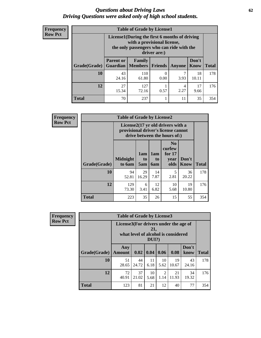#### *Questions about Driving Laws* **62** *Driving Questions were asked only of high school students.*

| <b>Frequency</b> |
|------------------|
| <b>Row Pct</b>   |

| <b>Table of Grade by License1</b> |                                                                                                                                           |                     |         |           |               |              |  |  |  |
|-----------------------------------|-------------------------------------------------------------------------------------------------------------------------------------------|---------------------|---------|-----------|---------------|--------------|--|--|--|
|                                   | License1(During the first 6 months of driving<br>with a provisional license,<br>the only passengers who can ride with the<br>driver are:) |                     |         |           |               |              |  |  |  |
| <b>Grade</b> (Grade)              | <b>Parent or</b><br><b>Guardian</b>                                                                                                       | Family<br>  Members | Friends | Anyone    | Don't<br>Know | <b>Total</b> |  |  |  |
| 10                                | 43<br>24.16                                                                                                                               | 110<br>61.80        | 0.00    | 3.93      | 18<br>10.11   | 178          |  |  |  |
| 12                                | 27<br>15.34                                                                                                                               | 127<br>72.16        | 0.57    | 4<br>2.27 | 17<br>9.66    | 176          |  |  |  |
| <b>Total</b>                      | 70                                                                                                                                        | 237                 |         | 11        | 35            | 354          |  |  |  |

| Frequency      |              | <b>Table of Grade by License2</b>                                                                        |                  |                         |                                                      |                      |              |  |  |
|----------------|--------------|----------------------------------------------------------------------------------------------------------|------------------|-------------------------|------------------------------------------------------|----------------------|--------------|--|--|
| <b>Row Pct</b> |              | License2(17 yr old drivers with a<br>provisional driver's license cannot<br>drive between the hours of:) |                  |                         |                                                      |                      |              |  |  |
|                | Grade(Grade) | <b>Midnight</b><br>to 6am                                                                                | 1am<br>to<br>5am | 1am<br>to<br><b>6am</b> | N <sub>0</sub><br>curfew<br>for $17$<br>year<br>olds | Don't<br><b>Know</b> | <b>Total</b> |  |  |
|                | 10           | 94<br>52.81                                                                                              | 29<br>16.29      | 14<br>7.87              | 5<br>2.81                                            | 36<br>20.22          | 178          |  |  |
|                | 12           | 129<br>73.30                                                                                             | 6<br>3.41        | 12<br>6.82              | 10<br>5.68                                           | 19<br>10.80          | 176          |  |  |
|                | <b>Total</b> | 223                                                                                                      | 35               | 26                      | 15                                                   | 55                   | 354          |  |  |

| Frequency      | <b>Table of Grade by License3</b> |                                                                                                 |             |            |            |             |               |              |  |
|----------------|-----------------------------------|-------------------------------------------------------------------------------------------------|-------------|------------|------------|-------------|---------------|--------------|--|
| <b>Row Pct</b> |                                   | License3(For drivers under the age of<br>21,<br>what level of alcohol is considered<br>$DUI$ ?) |             |            |            |             |               |              |  |
|                | Grade(Grade)                      | Any<br><b>Amount</b>                                                                            | 0.02        | 0.04       | 0.06       | 0.08        | Don't<br>know | <b>Total</b> |  |
|                | <b>10</b>                         | 51<br>28.65                                                                                     | 44<br>24.72 | 11<br>6.18 | 10<br>5.62 | 19<br>10.67 | 43<br>24.16   | 178          |  |
|                | 12                                | 72<br>40.91                                                                                     | 37<br>21.02 | 10<br>5.68 | 2<br>1.14  | 21<br>11.93 | 34<br>19.32   | 176          |  |
|                | <b>Total</b>                      | 123                                                                                             | 81          | 21         | 12         | 40          | 77            | 354          |  |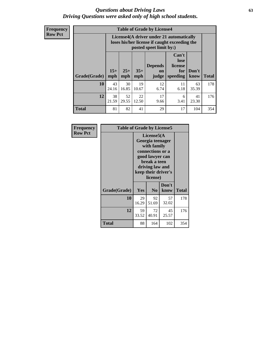#### *Questions about Driving Laws* **63** *Driving Questions were asked only of high school students.*

**Frequency Row Pct**

| <b>Table of Grade by License4</b> |              |                                                                                                                      |              |                                      |                                             |               |              |  |  |  |
|-----------------------------------|--------------|----------------------------------------------------------------------------------------------------------------------|--------------|--------------------------------------|---------------------------------------------|---------------|--------------|--|--|--|
|                                   |              | License4(A driver under 21 automatically<br>loses his/her license if caught exceeding the<br>posted speet limit by:) |              |                                      |                                             |               |              |  |  |  |
| Grade(Grade)                      | $15+$<br>mph | $25+$<br>mph                                                                                                         | $35+$<br>mph | <b>Depends</b><br><b>on</b><br>judge | Can't<br>lose<br>license<br>for<br>speeding | Don't<br>know | <b>Total</b> |  |  |  |
| 10                                | 43<br>24.16  | 30<br>16.85                                                                                                          | 19<br>10.67  | 12<br>6.74                           | 11<br>6.18                                  | 63<br>35.39   | 178          |  |  |  |
| 12                                | 38<br>21.59  | 52<br>29.55                                                                                                          | 22<br>12.50  | 17<br>9.66                           | 6<br>3.41                                   | 41<br>23.30   | 176          |  |  |  |
| <b>Total</b>                      | 81           | 82                                                                                                                   | 41           | 29                                   | 17                                          | 104           | 354          |  |  |  |

| Frequency      | <b>Table of Grade by License5</b> |                                                                                                                                                             |                |               |       |  |  |
|----------------|-----------------------------------|-------------------------------------------------------------------------------------------------------------------------------------------------------------|----------------|---------------|-------|--|--|
| <b>Row Pct</b> |                                   | License5(A)<br>Georgia teenager<br>with family<br>connections or a<br>good lawyer can<br>break a teen<br>driving law and<br>keep their driver's<br>license) |                |               |       |  |  |
|                | Grade(Grade)                      | Yes                                                                                                                                                         | N <sub>0</sub> | Don't<br>know | Total |  |  |
|                | 10                                | 29<br>16.29                                                                                                                                                 | 92<br>51.69    | 57<br>32.02   | 178   |  |  |
|                | 12                                | 59<br>33.52                                                                                                                                                 | 72<br>40.91    | 45<br>25.57   | 176   |  |  |
|                | <b>Total</b>                      | 88                                                                                                                                                          | 164            | 102           | 354   |  |  |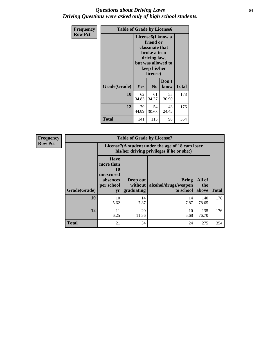#### *Questions about Driving Laws* **64** *Driving Questions were asked only of high school students.*

| <b>Frequency</b> | <b>Table of Grade by License6</b> |                                                                                                                                                 |                |               |       |
|------------------|-----------------------------------|-------------------------------------------------------------------------------------------------------------------------------------------------|----------------|---------------|-------|
| <b>Row Pct</b>   |                                   | License <sub>6</sub> (I know a<br>friend or<br>classmate that<br>broke a teen<br>driving law,<br>but was allowed to<br>keep his/her<br>license) |                |               |       |
|                  | Grade(Grade)                      | Yes                                                                                                                                             | N <sub>0</sub> | Don't<br>know | Total |
|                  | 10                                | 62<br>34.83                                                                                                                                     | 61<br>34.27    | 55<br>30.90   | 178   |
|                  | 12                                | 79<br>44.89                                                                                                                                     | 54<br>30.68    | 43<br>24.43   | 176   |
|                  | <b>Total</b>                      | 141                                                                                                                                             | 115            | 98            | 354   |

| <b>Frequency</b> | <b>Table of Grade by License7</b> |                                                                             |                                     |                                                                                               |                        |              |  |  |
|------------------|-----------------------------------|-----------------------------------------------------------------------------|-------------------------------------|-----------------------------------------------------------------------------------------------|------------------------|--------------|--|--|
| <b>Row Pct</b>   |                                   |                                                                             |                                     | License7(A student under the age of 18 cam loser<br>his/her driving privileges if he or she:) |                        |              |  |  |
|                  | Grade(Grade)                      | <b>Have</b><br>more than<br>10<br>unexcused<br>absences<br>per school<br>yr | Drop out<br>without  <br>graduating | <b>Bring</b><br>alcohol/drugs/weapon<br>to school                                             | All of<br>the<br>above | <b>Total</b> |  |  |
|                  | <b>10</b>                         | 10<br>5.62                                                                  | 14<br>7.87                          | 14<br>7.87                                                                                    | 140<br>78.65           | 178          |  |  |
|                  | 12                                | 11<br>6.25                                                                  | 20<br>11.36                         | 10<br>5.68                                                                                    | 135<br>76.70           | 176          |  |  |
|                  | <b>Total</b>                      | 21                                                                          | 34                                  | 24                                                                                            | 275                    | 354          |  |  |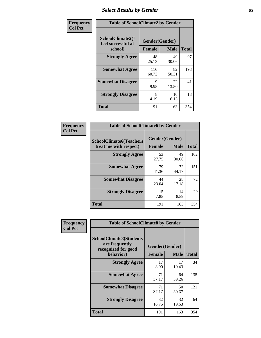# *Select Results by Gender* **65**

| Frequency      | <b>Table of SchoolClimate2 by Gender</b>          |                                 |             |              |
|----------------|---------------------------------------------------|---------------------------------|-------------|--------------|
| <b>Col Pct</b> | SchoolClimate2(I<br>feel successful at<br>school) | Gender(Gender)<br><b>Female</b> | <b>Male</b> | <b>Total</b> |
|                | <b>Strongly Agree</b>                             | 48<br>25.13                     | 49<br>30.06 | 97           |
|                | <b>Somewhat Agree</b>                             | 116<br>60.73                    | 82<br>50.31 | 198          |
|                | <b>Somewhat Disagree</b>                          | 19<br>9.95                      | 22<br>13.50 | 41           |
|                | <b>Strongly Disagree</b>                          | 8<br>4.19                       | 10<br>6.13  | 18           |
|                | <b>Total</b>                                      | 191                             | 163         | 354          |

| Frequency      | <b>Table of SchoolClimate6 by Gender</b>                 |                                                |             |              |  |
|----------------|----------------------------------------------------------|------------------------------------------------|-------------|--------------|--|
| <b>Col Pct</b> | <b>SchoolClimate6(Teachers</b><br>treat me with respect) | Gender(Gender)<br><b>Male</b><br><b>Female</b> |             | <b>Total</b> |  |
|                | <b>Strongly Agree</b>                                    | 53<br>27.75                                    | 49<br>30.06 | 102          |  |
|                | <b>Somewhat Agree</b>                                    | 79<br>41.36                                    | 72<br>44.17 | 151          |  |
|                | <b>Somewhat Disagree</b>                                 | 44<br>23.04                                    | 28<br>17.18 | 72           |  |
|                | <b>Strongly Disagree</b>                                 | 15<br>7.85                                     | 14<br>8.59  | 29           |  |
|                | <b>Total</b>                                             | 191                                            | 163         | 354          |  |

| <b>Frequency</b> | <b>Table of SchoolClimate8 by Gender</b>                                             |                                                |             |              |
|------------------|--------------------------------------------------------------------------------------|------------------------------------------------|-------------|--------------|
| <b>Col Pct</b>   | <b>SchoolClimate8(Students</b><br>are frequently<br>recognized for good<br>behavior) | Gender(Gender)<br><b>Male</b><br><b>Female</b> |             | <b>Total</b> |
|                  | <b>Strongly Agree</b>                                                                | 17<br>8.90                                     | 17<br>10.43 | 34           |
|                  | <b>Somewhat Agree</b>                                                                | 71<br>37.17                                    | 64<br>39.26 | 135          |
|                  | <b>Somewhat Disagree</b>                                                             | 71<br>37.17                                    | 50<br>30.67 | 121          |
|                  | <b>Strongly Disagree</b>                                                             | 32<br>16.75                                    | 32<br>19.63 | 64           |
|                  | Total                                                                                | 191                                            | 163         | 354          |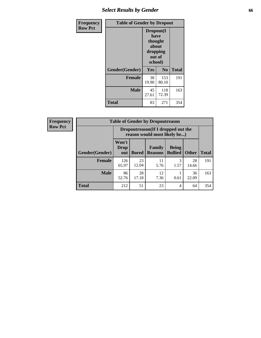# *Select Results by Gender* **66**

| <b>Frequency</b> | <b>Table of Gender by Dropout</b> |                                                                        |              |              |
|------------------|-----------------------------------|------------------------------------------------------------------------|--------------|--------------|
| <b>Row Pct</b>   |                                   | Dropout(I<br>have<br>thought<br>about<br>dropping<br>out of<br>school) |              |              |
|                  | Gender(Gender)                    | Yes                                                                    | No           | <b>Total</b> |
|                  | <b>Female</b>                     | 38<br>19.90                                                            | 153<br>80.10 | 191          |
|                  | <b>Male</b>                       | 45<br>27.61                                                            | 118<br>72.39 | 163          |
|                  | <b>Total</b>                      | 83                                                                     | 271          | 354          |

| <b>Frequency</b> | <b>Table of Gender by Dropoutreason</b> |                                                                     |              |                          |                                |              |              |
|------------------|-----------------------------------------|---------------------------------------------------------------------|--------------|--------------------------|--------------------------------|--------------|--------------|
| <b>Row Pct</b>   |                                         | Dropoutreason (If I dropped out the<br>reason would most likely be) |              |                          |                                |              |              |
|                  | Gender(Gender)                          | Won't<br><b>Drop</b><br>out                                         | <b>Bored</b> | Family<br><b>Reasons</b> | <b>Being</b><br><b>Bullied</b> | <b>Other</b> | <b>Total</b> |
|                  | <b>Female</b>                           | 126<br>65.97                                                        | 23<br>12.04  | 11<br>5.76               | 3<br>1.57                      | 28<br>14.66  | 191          |
|                  | <b>Male</b>                             | 86<br>52.76                                                         | 28<br>17.18  | 12<br>7.36               | 0.61                           | 36<br>22.09  | 163          |
|                  | <b>Total</b>                            | 212                                                                 | 51           | 23                       | 4                              | 64           | 354          |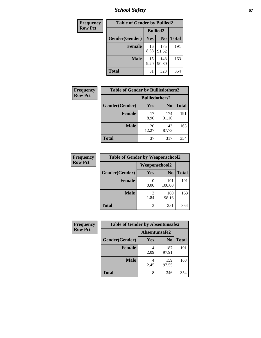*School Safety* **67**

| Frequency      | <b>Table of Gender by Bullied2</b> |                 |                |              |  |
|----------------|------------------------------------|-----------------|----------------|--------------|--|
| <b>Row Pct</b> |                                    | <b>Bullied2</b> |                |              |  |
|                | Gender(Gender)                     | <b>Yes</b>      | N <sub>0</sub> | <b>Total</b> |  |
|                | <b>Female</b>                      | 16<br>8.38      | 175<br>91.62   | 191          |  |
|                | <b>Male</b>                        | 15<br>9.20      | 148<br>90.80   | 163          |  |
|                | <b>Total</b>                       | 31              | 323            | 354          |  |

| Frequency      | <b>Table of Gender by Bulliedothers2</b> |                       |                |              |
|----------------|------------------------------------------|-----------------------|----------------|--------------|
| <b>Row Pct</b> |                                          | <b>Bulliedothers2</b> |                |              |
|                | Gender(Gender)                           | <b>Yes</b>            | N <sub>0</sub> | <b>Total</b> |
|                | <b>Female</b>                            | 17<br>8.90            | 174<br>91.10   | 191          |
|                | <b>Male</b>                              | 20<br>12.27           | 143<br>87.73   | 163          |
|                | <b>Total</b>                             | 37                    | 317            | 354          |

| Frequency      | <b>Table of Gender by Weaponschool2</b> |                      |                |              |  |
|----------------|-----------------------------------------|----------------------|----------------|--------------|--|
| <b>Row Pct</b> |                                         | <b>Weaponschool2</b> |                |              |  |
|                | Gender(Gender)                          | Yes                  | N <sub>0</sub> | <b>Total</b> |  |
|                | <b>Female</b>                           | 0.00                 | 191<br>100.00  | 191          |  |
|                | <b>Male</b>                             | 3<br>1.84            | 160<br>98.16   | 163          |  |
|                | <b>Total</b>                            | 3                    | 351            | 354          |  |

| Frequency      | <b>Table of Gender by Absentunsafe2</b> |               |                |              |  |
|----------------|-----------------------------------------|---------------|----------------|--------------|--|
| <b>Row Pct</b> |                                         | Absentunsafe2 |                |              |  |
|                | Gender(Gender)                          | Yes           | N <sub>0</sub> | <b>Total</b> |  |
|                | <b>Female</b>                           | 2.09          | 187<br>97.91   | 191          |  |
|                | <b>Male</b>                             | 2.45          | 159<br>97.55   | 163          |  |
|                | <b>Total</b>                            | 8             | 346            | 354          |  |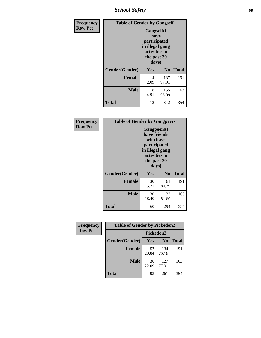*School Safety* **68**

| Frequency      | <b>Table of Gender by Gangself</b> |                                                                                                |                |              |  |
|----------------|------------------------------------|------------------------------------------------------------------------------------------------|----------------|--------------|--|
| <b>Row Pct</b> |                                    | Gangself(I<br>have<br>participated<br>in illegal gang<br>activities in<br>the past 30<br>days) |                |              |  |
|                | Gender(Gender)                     | Yes                                                                                            | N <sub>0</sub> | <b>Total</b> |  |
|                | <b>Female</b>                      | 4<br>2.09                                                                                      | 187<br>97.91   | 191          |  |
|                | <b>Male</b>                        | 8<br>4.91                                                                                      | 155<br>95.09   | 163          |  |
|                | <b>Total</b>                       | 12                                                                                             | 342            | 354          |  |

| Frequency      | <b>Table of Gender by Gangpeers</b> |                                                                                                                             |                |              |
|----------------|-------------------------------------|-----------------------------------------------------------------------------------------------------------------------------|----------------|--------------|
| <b>Row Pct</b> |                                     | <b>Gangpeers</b> (I<br>have friends<br>who have<br>participated<br>in illegal gang<br>activities in<br>the past 30<br>days) |                |              |
|                | Gender(Gender)                      | Yes                                                                                                                         | N <sub>0</sub> | <b>Total</b> |
|                | <b>Female</b>                       | 30<br>15.71                                                                                                                 | 161<br>84.29   | 191          |
|                | <b>Male</b>                         | 30<br>18.40                                                                                                                 | 133<br>81.60   | 163          |
|                | <b>Total</b>                        | 60                                                                                                                          | 294            | 354          |

| Frequency      | <b>Table of Gender by Pickedon2</b> |             |                |              |
|----------------|-------------------------------------|-------------|----------------|--------------|
| <b>Row Pct</b> |                                     | Pickedon2   |                |              |
|                | Gender(Gender)                      | Yes         | N <sub>0</sub> | <b>Total</b> |
|                | <b>Female</b>                       | 57<br>29.84 | 134<br>70.16   | 191          |
|                | <b>Male</b>                         | 36<br>22.09 | 127<br>77.91   | 163          |
|                | <b>Total</b>                        | 93          | 261            | 354          |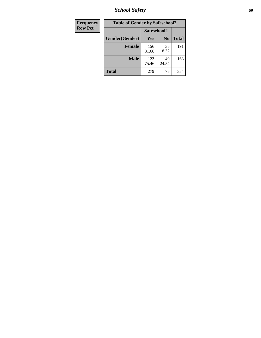*School Safety* **69**

| Frequency      | <b>Table of Gender by Safeschool2</b> |              |                |              |
|----------------|---------------------------------------|--------------|----------------|--------------|
| <b>Row Pct</b> |                                       | Safeschool2  |                |              |
|                | Gender(Gender)                        | <b>Yes</b>   | N <sub>0</sub> | <b>Total</b> |
|                | <b>Female</b>                         | 156<br>81.68 | 35<br>18.32    | 191          |
|                | <b>Male</b>                           | 123<br>75.46 | 40<br>24.54    | 163          |
|                | <b>Total</b>                          | 279          | 75             | 354          |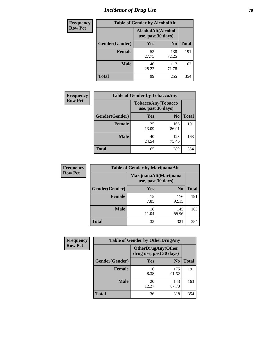# *Incidence of Drug Use* **70**

| <b>Frequency</b> |                                          | <b>Table of Gender by AlcoholAlt</b> |                |              |
|------------------|------------------------------------------|--------------------------------------|----------------|--------------|
| <b>Row Pct</b>   | AlcoholAlt(Alcohol<br>use, past 30 days) |                                      |                |              |
|                  | Gender(Gender)                           | <b>Yes</b>                           | N <sub>0</sub> | <b>Total</b> |
|                  | <b>Female</b>                            | 53<br>27.75                          | 138<br>72.25   | 191          |
|                  | <b>Male</b>                              | 46<br>28.22                          | 117<br>71.78   | 163          |
|                  | <b>Total</b>                             | 99                                   | 255            | 354          |

| <b>Frequency</b> | <b>Table of Gender by TobaccoAny</b> |                                          |                |              |
|------------------|--------------------------------------|------------------------------------------|----------------|--------------|
| <b>Row Pct</b>   |                                      | TobaccoAny(Tobacco<br>use, past 30 days) |                |              |
|                  | Gender(Gender)                       | Yes                                      | N <sub>0</sub> | <b>Total</b> |
|                  | <b>Female</b>                        | 25<br>13.09                              | 166<br>86.91   | 191          |
|                  | <b>Male</b>                          | 40<br>24.54                              | 123<br>75.46   | 163          |
|                  | <b>Total</b>                         | 65                                       | 289            | 354          |

| <b>Frequency</b> | <b>Table of Gender by MarijuanaAlt</b> |                    |                        |              |
|------------------|----------------------------------------|--------------------|------------------------|--------------|
| <b>Row Pct</b>   |                                        | use, past 30 days) | MarijuanaAlt(Marijuana |              |
|                  | Gender(Gender)                         | <b>Yes</b>         | N <sub>0</sub>         | <b>Total</b> |
|                  | Female                                 | 15<br>7.85         | 176<br>92.15           | 191          |
|                  | <b>Male</b>                            | 18<br>11.04        | 145<br>88.96           | 163          |
|                  | <b>Total</b>                           | 33                 | 321                    | 354          |

| <b>Frequency</b> | <b>Table of Gender by OtherDrugAny</b> |                                                      |                |              |
|------------------|----------------------------------------|------------------------------------------------------|----------------|--------------|
| <b>Row Pct</b>   |                                        | <b>OtherDrugAny(Other</b><br>drug use, past 30 days) |                |              |
|                  | Gender(Gender)                         | <b>Yes</b>                                           | N <sub>0</sub> | <b>Total</b> |
|                  | <b>Female</b>                          | 16<br>8.38                                           | 175<br>91.62   | 191          |
|                  | <b>Male</b>                            | 20<br>12.27                                          | 143<br>87.73   | 163          |
|                  | <b>Total</b>                           | 36                                                   | 318            | 354          |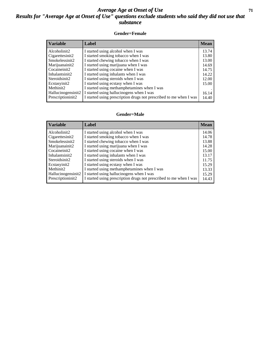#### *Average Age at Onset of Use* **71** *Results for "Average Age at Onset of Use" questions exclude students who said they did not use that substance*

#### **Gender=Female**

| <b>Variable</b>    | <b>Label</b>                                                       | <b>Mean</b> |
|--------------------|--------------------------------------------------------------------|-------------|
| Alcoholinit2       | I started using alcohol when I was                                 | 13.74       |
| Cigarettesinit2    | I started smoking tobacco when I was                               | 13.80       |
| Smokelessinit2     | I started chewing tobacco when I was                               | 13.00       |
| Marijuanainit2     | I started using marijuana when I was                               | 14.69       |
| Cocaineinit2       | I started using cocaine when I was                                 | 14.75       |
| Inhalantsinit2     | I started using inhalants when I was                               | 14.22       |
| Steroidsinit2      | I started using steroids when I was                                | 12.00       |
| Ecstasyinit2       | I started using ecstasy when I was                                 | 15.00       |
| Methinit2          | I started using methamphetamines when I was                        |             |
| Hallucinogensinit2 | I started using hallucinogens when I was                           | 16.14       |
| Prescription in t2 | I started using prescription drugs not prescribed to me when I was | 14.40       |

#### **Gender=Male**

| <b>Variable</b>    | Label                                                              | <b>Mean</b> |
|--------------------|--------------------------------------------------------------------|-------------|
| Alcoholinit2       | I started using alcohol when I was                                 | 14.06       |
| Cigarettesinit2    | I started smoking tobacco when I was                               | 14.78       |
| Smokelessinit2     | I started chewing tobacco when I was                               | 13.88       |
| Marijuanainit2     | I started using marijuana when I was                               | 14.28       |
| Cocaineinit2       | I started using cocaine when I was                                 | 15.00       |
| Inhalantsinit2     | I started using inhalants when I was                               | 13.17       |
| Steroidsinit2      | I started using steroids when I was                                | 11.75       |
| Ecstasyinit2       | I started using ecstasy when I was                                 | 15.29       |
| Methinit2          | I started using methamphetamines when I was                        | 13.33       |
| Hallucinogensinit2 | I started using hallucinogens when I was                           | 15.29       |
| Prescriptioninit2  | I started using prescription drugs not prescribed to me when I was | 14.43       |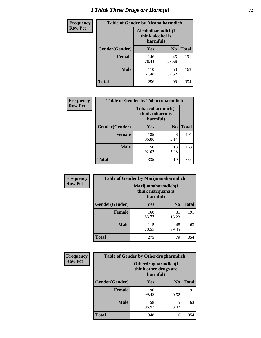# *I Think These Drugs are Harmful* **72**

| <b>Frequency</b> | <b>Table of Gender by Alcoholharmdich</b> |                                                   |                |              |
|------------------|-------------------------------------------|---------------------------------------------------|----------------|--------------|
| <b>Row Pct</b>   |                                           | Alcoholharmdich(I<br>think alcohol is<br>harmful) |                |              |
|                  | Gender(Gender)                            | <b>Yes</b>                                        | N <sub>0</sub> | <b>Total</b> |
|                  | <b>Female</b>                             | 146<br>76.44                                      | 45<br>23.56    | 191          |
|                  | <b>Male</b>                               | 110<br>67.48                                      | 53<br>32.52    | 163          |
|                  | Total                                     | 256                                               | 98             | 354          |

| Frequency      | <b>Table of Gender by Tobaccoharmdich</b> |                              |                   |              |
|----------------|-------------------------------------------|------------------------------|-------------------|--------------|
| <b>Row Pct</b> |                                           | think tobacco is<br>harmful) | Tobaccoharmdich(I |              |
|                | Gender(Gender)                            | Yes                          | N <sub>0</sub>    | <b>Total</b> |
|                | <b>Female</b>                             | 185<br>96.86                 | 6<br>3.14         | 191          |
|                | <b>Male</b>                               | 150<br>92.02                 | 13<br>7.98        | 163          |
|                | <b>Total</b>                              | 335                          | 19                | 354          |

| Frequency      | <b>Table of Gender by Marijuanaharmdich</b> |                                                       |                |              |  |
|----------------|---------------------------------------------|-------------------------------------------------------|----------------|--------------|--|
| <b>Row Pct</b> |                                             | Marijuanaharmdich(I<br>think marijuana is<br>harmful) |                |              |  |
|                | Gender(Gender)                              | <b>Yes</b>                                            | N <sub>0</sub> | <b>Total</b> |  |
|                | <b>Female</b>                               | 160<br>83.77                                          | 31<br>16.23    | 191          |  |
|                | <b>Male</b>                                 | 115<br>70.55                                          | 48<br>29.45    | 163          |  |
|                | <b>Total</b>                                | 275                                                   | 79             | 354          |  |

| Frequency      | <b>Table of Gender by Otherdrugharmdich</b> |                                                          |                |              |
|----------------|---------------------------------------------|----------------------------------------------------------|----------------|--------------|
| <b>Row Pct</b> |                                             | Otherdrugharmdich(I<br>think other drugs are<br>harmful) |                |              |
|                | Gender(Gender)                              | <b>Yes</b>                                               | N <sub>0</sub> | <b>Total</b> |
|                | <b>Female</b>                               | 190<br>99.48                                             | 0.52           | 191          |
|                | <b>Male</b>                                 | 158<br>96.93                                             | 5<br>3.07      | 163          |
|                | <b>Total</b>                                | 348                                                      | 6              | 354          |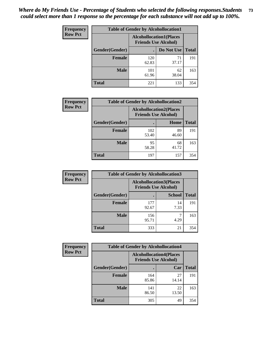| <b>Frequency</b> | <b>Table of Gender by Alcohollocation1</b> |                                                               |             |              |
|------------------|--------------------------------------------|---------------------------------------------------------------|-------------|--------------|
| <b>Row Pct</b>   |                                            | <b>Alcohollocation1(Places</b><br><b>Friends Use Alcohol)</b> |             |              |
|                  | Gender(Gender)                             |                                                               | Do Not Use  | <b>Total</b> |
|                  | <b>Female</b>                              | 120<br>62.83                                                  | 71<br>37.17 | 191          |
|                  | <b>Male</b>                                | 101<br>61.96                                                  | 62<br>38.04 | 163          |
|                  | <b>Total</b>                               | 221                                                           | 133         | 354          |

| <b>Frequency</b> | <b>Table of Gender by Alcohollocation2</b> |              |                                                               |              |
|------------------|--------------------------------------------|--------------|---------------------------------------------------------------|--------------|
| <b>Row Pct</b>   |                                            |              | <b>Alcohollocation2(Places</b><br><b>Friends Use Alcohol)</b> |              |
|                  | Gender(Gender)                             |              | Home                                                          | <b>Total</b> |
|                  | <b>Female</b>                              | 102<br>53.40 | 89<br>46.60                                                   | 191          |
|                  | <b>Male</b>                                | 95<br>58.28  | 68<br>41.72                                                   | 163          |
|                  | <b>Total</b>                               | 197          | 157                                                           | 354          |

| Frequency      | <b>Table of Gender by Alcohollocation3</b> |                                                               |               |              |
|----------------|--------------------------------------------|---------------------------------------------------------------|---------------|--------------|
| <b>Row Pct</b> |                                            | <b>Alcohollocation3(Places</b><br><b>Friends Use Alcohol)</b> |               |              |
|                | Gender(Gender)                             |                                                               | <b>School</b> | <b>Total</b> |
|                | <b>Female</b>                              | 177<br>92.67                                                  | 14<br>7.33    | 191          |
|                | <b>Male</b>                                | 156<br>95.71                                                  | 4.29          | 163          |
|                | <b>Total</b>                               | 333                                                           | 21            | 354          |

| Frequency      | <b>Table of Gender by Alcohollocation4</b> |                                                               |             |              |
|----------------|--------------------------------------------|---------------------------------------------------------------|-------------|--------------|
| <b>Row Pct</b> |                                            | <b>Alcohollocation4(Places</b><br><b>Friends Use Alcohol)</b> |             |              |
|                | <b>Gender</b> (Gender)                     |                                                               | Car         | <b>Total</b> |
|                | <b>Female</b>                              | 164<br>85.86                                                  | 27<br>14.14 | 191          |
|                | <b>Male</b>                                | 141<br>86.50                                                  | 22<br>13.50 | 163          |
|                | <b>Total</b>                               | 305                                                           | 49          | 354          |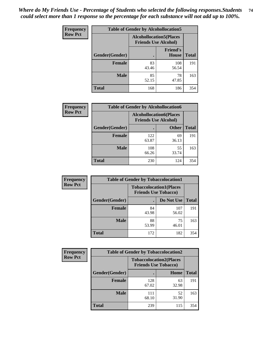| <b>Frequency</b> | <b>Table of Gender by Alcohollocation5</b> |                                                               |                                 |              |
|------------------|--------------------------------------------|---------------------------------------------------------------|---------------------------------|--------------|
| <b>Row Pct</b>   |                                            | <b>Alcohollocation5(Places</b><br><b>Friends Use Alcohol)</b> |                                 |              |
|                  | Gender(Gender)                             | $\bullet$                                                     | <b>Friend's</b><br><b>House</b> | <b>Total</b> |
|                  | <b>Female</b>                              | 83<br>43.46                                                   | 108<br>56.54                    | 191          |
|                  | <b>Male</b>                                | 85<br>52.15                                                   | 78<br>47.85                     | 163          |
|                  | <b>Total</b>                               | 168                                                           | 186                             | 354          |

| Frequency      | <b>Table of Gender by Alcohollocation6</b> |                                                               |              |              |
|----------------|--------------------------------------------|---------------------------------------------------------------|--------------|--------------|
| <b>Row Pct</b> |                                            | <b>Alcohollocation6(Places</b><br><b>Friends Use Alcohol)</b> |              |              |
|                | <b>Gender</b> (Gender)                     |                                                               | <b>Other</b> | <b>Total</b> |
|                | <b>Female</b>                              | 122<br>63.87                                                  | 69<br>36.13  | 191          |
|                | <b>Male</b>                                | 108<br>66.26                                                  | 55<br>33.74  | 163          |
|                | <b>Total</b>                               | 230                                                           | 124          | 354          |

| Frequency      | <b>Table of Gender by Tobaccolocation1</b> |                                                               |              |              |  |
|----------------|--------------------------------------------|---------------------------------------------------------------|--------------|--------------|--|
| <b>Row Pct</b> |                                            | <b>Tobaccolocation1(Places</b><br><b>Friends Use Tobacco)</b> |              |              |  |
|                | Gender(Gender)                             |                                                               | Do Not Use   | <b>Total</b> |  |
|                | Female                                     | 84<br>43.98                                                   | 107<br>56.02 | 191          |  |
|                | <b>Male</b>                                | 88<br>53.99                                                   | 75<br>46.01  | 163          |  |
|                | <b>Total</b>                               | 172                                                           | 182          | 354          |  |

| <b>Frequency</b> |                | <b>Table of Gender by Tobaccolocation2</b> |                                |              |
|------------------|----------------|--------------------------------------------|--------------------------------|--------------|
| <b>Row Pct</b>   |                | <b>Friends Use Tobacco)</b>                | <b>Tobaccolocation2(Places</b> |              |
|                  | Gender(Gender) |                                            | Home                           | <b>Total</b> |
|                  | <b>Female</b>  | 128<br>67.02                               | 63<br>32.98                    | 191          |
|                  | <b>Male</b>    | 111<br>68.10                               | 52<br>31.90                    | 163          |
|                  | <b>Total</b>   | 239                                        | 115                            | 354          |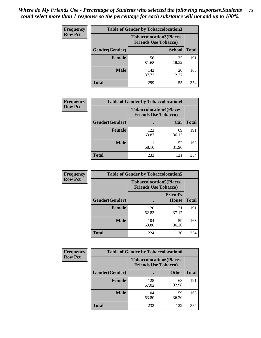| <b>Frequency</b> |                | <b>Table of Gender by Tobaccolocation3</b> |                                                               |              |
|------------------|----------------|--------------------------------------------|---------------------------------------------------------------|--------------|
| <b>Row Pct</b>   |                |                                            | <b>Tobaccolocation3(Places</b><br><b>Friends Use Tobacco)</b> |              |
|                  | Gender(Gender) |                                            | <b>School</b>                                                 | <b>Total</b> |
|                  | Female         | 156<br>81.68                               | 35<br>18.32                                                   | 191          |
|                  | <b>Male</b>    | 143<br>87.73                               | 20<br>12.27                                                   | 163          |
|                  | Total          | 299                                        | 55                                                            | 354          |

| <b>Frequency</b> | <b>Table of Gender by Tobaccolocation4</b> |                                                               |             |              |
|------------------|--------------------------------------------|---------------------------------------------------------------|-------------|--------------|
| <b>Row Pct</b>   |                                            | <b>Tobaccolocation4(Places</b><br><b>Friends Use Tobacco)</b> |             |              |
|                  | Gender(Gender)                             |                                                               | Car         | <b>Total</b> |
|                  | <b>Female</b>                              | 122<br>63.87                                                  | 69<br>36.13 | 191          |
|                  | <b>Male</b>                                | 111<br>68.10                                                  | 52<br>31.90 | 163          |
|                  | <b>Total</b>                               | 233                                                           | 121         | 354          |

| <b>Frequency</b> | <b>Table of Gender by Tobaccolocation5</b> |                                                               |                                 |              |
|------------------|--------------------------------------------|---------------------------------------------------------------|---------------------------------|--------------|
| <b>Row Pct</b>   |                                            | <b>Tobaccolocation5(Places</b><br><b>Friends Use Tobacco)</b> |                                 |              |
|                  | Gender(Gender)                             |                                                               | <b>Friend's</b><br><b>House</b> | <b>Total</b> |
|                  | <b>Female</b>                              | 120<br>62.83                                                  | 71<br>37.17                     | 191          |
|                  | <b>Male</b>                                | 104<br>63.80                                                  | 59<br>36.20                     | 163          |
|                  | <b>Total</b>                               | 224                                                           | 130                             | 354          |

| <b>Frequency</b> |                | <b>Table of Gender by Tobaccolocation6</b>                    |              |              |  |
|------------------|----------------|---------------------------------------------------------------|--------------|--------------|--|
| <b>Row Pct</b>   |                | <b>Tobaccolocation6(Places</b><br><b>Friends Use Tobacco)</b> |              |              |  |
|                  | Gender(Gender) |                                                               | <b>Other</b> | <b>Total</b> |  |
|                  | <b>Female</b>  | 128<br>67.02                                                  | 63<br>32.98  | 191          |  |
|                  | <b>Male</b>    | 104<br>63.80                                                  | 59<br>36.20  | 163          |  |
|                  | <b>Total</b>   | 232                                                           | 122          | 354          |  |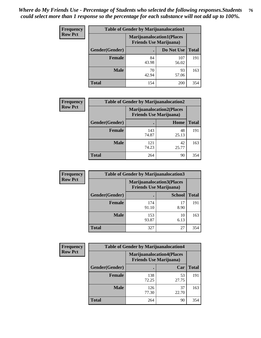| <b>Frequency</b> | <b>Table of Gender by Marijuanalocation1</b> |                                                                    |              |              |
|------------------|----------------------------------------------|--------------------------------------------------------------------|--------------|--------------|
| <b>Row Pct</b>   |                                              | <b>Marijuanalocation1(Places</b><br><b>Friends Use Marijuana</b> ) |              |              |
|                  | Gender(Gender)                               |                                                                    | Do Not Use   | <b>Total</b> |
|                  | <b>Female</b>                                | 84<br>43.98                                                        | 107<br>56.02 | 191          |
|                  | <b>Male</b>                                  | 70<br>42.94                                                        | 93<br>57.06  | 163          |
|                  | <b>Total</b>                                 | 154                                                                | 200          | 354          |

| <b>Frequency</b> | <b>Table of Gender by Marijuanalocation2</b> |                                                                    |             |              |
|------------------|----------------------------------------------|--------------------------------------------------------------------|-------------|--------------|
| <b>Row Pct</b>   |                                              | <b>Marijuanalocation2(Places</b><br><b>Friends Use Marijuana</b> ) |             |              |
|                  | Gender(Gender)                               |                                                                    | Home        | <b>Total</b> |
|                  | Female                                       | 143<br>74.87                                                       | 48<br>25.13 | 191          |
|                  | <b>Male</b>                                  | 121<br>74.23                                                       | 42<br>25.77 | 163          |
|                  | <b>Total</b>                                 | 264                                                                | 90          | 354          |

| Frequency      | <b>Table of Gender by Marijuanalocation3</b> |                                                                    |               |              |
|----------------|----------------------------------------------|--------------------------------------------------------------------|---------------|--------------|
| <b>Row Pct</b> |                                              | <b>Marijuanalocation3(Places</b><br><b>Friends Use Marijuana</b> ) |               |              |
|                | Gender(Gender)                               |                                                                    | <b>School</b> | <b>Total</b> |
|                | Female                                       | 174<br>91.10                                                       | 17<br>8.90    | 191          |
|                | <b>Male</b>                                  | 153<br>93.87                                                       | 10<br>6.13    | 163          |
|                | <b>Total</b>                                 | 327                                                                | 27            | 354          |

| Frequency      | <b>Table of Gender by Marijuanalocation4</b> |                                |                                  |              |
|----------------|----------------------------------------------|--------------------------------|----------------------------------|--------------|
| <b>Row Pct</b> |                                              | <b>Friends Use Marijuana</b> ) | <b>Marijuanalocation4(Places</b> |              |
|                | <b>Gender</b> (Gender)                       |                                | Car                              | <b>Total</b> |
|                | <b>Female</b>                                | 138<br>72.25                   | 53<br>27.75                      | 191          |
|                | <b>Male</b>                                  | 126<br>77.30                   | 37<br>22.70                      | 163          |
|                | <b>Total</b>                                 | 264                            | 90                               | 354          |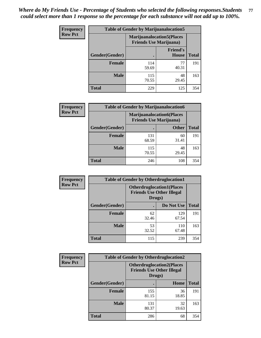| <b>Frequency</b> | <b>Table of Gender by Marijuanalocation5</b> |                                                                     |                          |              |
|------------------|----------------------------------------------|---------------------------------------------------------------------|--------------------------|--------------|
| <b>Row Pct</b>   |                                              | <b>Marijuanalocation5</b> (Places<br><b>Friends Use Marijuana</b> ) |                          |              |
|                  | Gender(Gender)                               |                                                                     | <b>Friend's</b><br>House | <b>Total</b> |
|                  | <b>Female</b>                                | 114<br>59.69                                                        | 77<br>40.31              | 191          |
|                  | <b>Male</b>                                  | 115<br>70.55                                                        | 48<br>29.45              | 163          |
|                  | <b>Total</b>                                 | 229                                                                 | 125                      | 354          |

| <b>Frequency</b> | <b>Table of Gender by Marijuanalocation6</b> |                                                                    |              |              |
|------------------|----------------------------------------------|--------------------------------------------------------------------|--------------|--------------|
| <b>Row Pct</b>   |                                              | <b>Marijuanalocation6(Places</b><br><b>Friends Use Marijuana</b> ) |              |              |
|                  | <b>Gender</b> (Gender)                       |                                                                    | <b>Other</b> | <b>Total</b> |
|                  | <b>Female</b>                                | 131<br>68.59                                                       | 60<br>31.41  | 191          |
|                  | <b>Male</b>                                  | 115<br>70.55                                                       | 48<br>29.45  | 163          |
|                  | <b>Total</b>                                 | 246                                                                | 108          | 354          |

| <b>Frequency</b> | <b>Table of Gender by Otherdruglocation1</b> |                                            |                                  |              |
|------------------|----------------------------------------------|--------------------------------------------|----------------------------------|--------------|
| <b>Row Pct</b>   |                                              | <b>Friends Use Other Illegal</b><br>Drugs) | <b>Otherdruglocation1(Places</b> |              |
|                  | Gender(Gender)                               |                                            | Do Not Use                       | <b>Total</b> |
|                  | <b>Female</b>                                | 62<br>32.46                                | 129<br>67.54                     | 191          |
|                  | <b>Male</b>                                  | 53<br>32.52                                | 110<br>67.48                     | 163          |
|                  | <b>Total</b>                                 | 115                                        | 239                              | 354          |

| <b>Frequency</b> | <b>Table of Gender by Otherdruglocation2</b> |                                                                                |             |              |
|------------------|----------------------------------------------|--------------------------------------------------------------------------------|-------------|--------------|
| <b>Row Pct</b>   |                                              | <b>Otherdruglocation2(Places</b><br><b>Friends Use Other Illegal</b><br>Drugs) |             |              |
|                  | Gender(Gender)                               |                                                                                | Home        | <b>Total</b> |
|                  | Female                                       | 155<br>81.15                                                                   | 36<br>18.85 | 191          |
|                  | <b>Male</b>                                  | 131<br>80.37                                                                   | 32<br>19.63 | 163          |
|                  | <b>Total</b>                                 | 286                                                                            | 68          | 354          |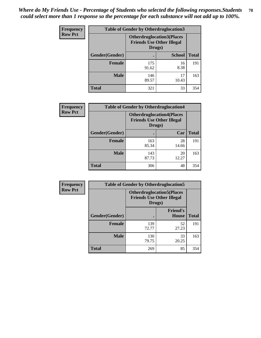| <b>Frequency</b> | <b>Table of Gender by Otherdruglocation3</b> |                                                                                |               |              |
|------------------|----------------------------------------------|--------------------------------------------------------------------------------|---------------|--------------|
| <b>Row Pct</b>   |                                              | <b>Otherdruglocation3(Places</b><br><b>Friends Use Other Illegal</b><br>Drugs) |               |              |
|                  | Gender(Gender)                               |                                                                                | <b>School</b> | <b>Total</b> |
|                  | <b>Female</b>                                | 175<br>91.62                                                                   | 16<br>8.38    | 191          |
|                  | <b>Male</b>                                  | 146<br>89.57                                                                   | 17<br>10.43   | 163          |
|                  | <b>Total</b>                                 | 321                                                                            | 33            | 354          |

| <b>Frequency</b> | <b>Table of Gender by Otherdruglocation4</b> |                                                                                |             |              |
|------------------|----------------------------------------------|--------------------------------------------------------------------------------|-------------|--------------|
| <b>Row Pct</b>   |                                              | <b>Otherdruglocation4(Places</b><br><b>Friends Use Other Illegal</b><br>Drugs) |             |              |
|                  | Gender(Gender)                               |                                                                                | Car         | <b>Total</b> |
|                  | <b>Female</b>                                | 163<br>85.34                                                                   | 28<br>14.66 | 191          |
|                  | <b>Male</b>                                  | 143<br>87.73                                                                   | 20<br>12.27 | 163          |
|                  | <b>Total</b>                                 | 306                                                                            | 48          | 354          |

| Frequency      | <b>Table of Gender by Otherdruglocation5</b> |                                                                                |                                 |              |
|----------------|----------------------------------------------|--------------------------------------------------------------------------------|---------------------------------|--------------|
| <b>Row Pct</b> |                                              | <b>Otherdruglocation5(Places</b><br><b>Friends Use Other Illegal</b><br>Drugs) |                                 |              |
|                | Gender(Gender)                               |                                                                                | <b>Friend's</b><br><b>House</b> | <b>Total</b> |
|                | <b>Female</b>                                | 139<br>72.77                                                                   | 52<br>27.23                     | 191          |
|                | <b>Male</b>                                  | 130<br>79.75                                                                   | 33<br>20.25                     | 163          |
|                | <b>Total</b>                                 | 269                                                                            | 85                              | 354          |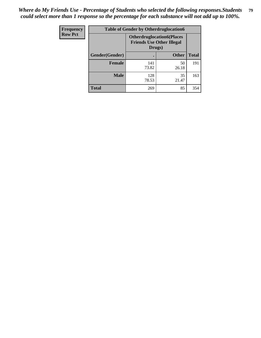| <b>Frequency</b> |                | <b>Table of Gender by Otherdruglocation6</b> |                                                                      |              |
|------------------|----------------|----------------------------------------------|----------------------------------------------------------------------|--------------|
| <b>Row Pct</b>   |                | Drugs)                                       | <b>Otherdruglocation6(Places</b><br><b>Friends Use Other Illegal</b> |              |
|                  | Gender(Gender) |                                              | <b>Other</b>                                                         | <b>Total</b> |
|                  | <b>Female</b>  | 141<br>73.82                                 | 50<br>26.18                                                          | 191          |
|                  | <b>Male</b>    | 128<br>78.53                                 | 35<br>21.47                                                          | 163          |
|                  | <b>Total</b>   | 269                                          | 85                                                                   | 354          |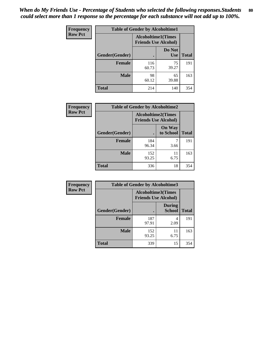| <b>Frequency</b> | <b>Table of Gender by Alcoholtime1</b> |                                                          |                      |              |
|------------------|----------------------------------------|----------------------------------------------------------|----------------------|--------------|
| <b>Row Pct</b>   |                                        | <b>Alcoholtime1(Times</b><br><b>Friends Use Alcohol)</b> |                      |              |
|                  | Gender(Gender)                         | ٠                                                        | Do Not<br><b>Use</b> | <b>Total</b> |
|                  | <b>Female</b>                          | 116<br>60.73                                             | 75<br>39.27          | 191          |
|                  | <b>Male</b>                            | 98<br>60.12                                              | 65<br>39.88          | 163          |
|                  | <b>Total</b>                           | 214                                                      | 140                  | 354          |

| <b>Frequency</b> | <b>Table of Gender by Alcoholtime2</b> |                                                          |                            |              |
|------------------|----------------------------------------|----------------------------------------------------------|----------------------------|--------------|
| <b>Row Pct</b>   |                                        | <b>Alcoholtime2(Times</b><br><b>Friends Use Alcohol)</b> |                            |              |
|                  | Gender(Gender)                         |                                                          | <b>On Way</b><br>to School | <b>Total</b> |
|                  | <b>Female</b>                          | 184<br>96.34                                             | 3.66                       | 191          |
|                  | <b>Male</b>                            | 152<br>93.25                                             | 11<br>6.75                 | 163          |
|                  | <b>Total</b>                           | 336                                                      | 18                         | 354          |

| Frequency      | <b>Table of Gender by Alcoholtime3</b> |                                                          |                                |              |
|----------------|----------------------------------------|----------------------------------------------------------|--------------------------------|--------------|
| <b>Row Pct</b> |                                        | <b>Alcoholtime3(Times</b><br><b>Friends Use Alcohol)</b> |                                |              |
|                | Gender(Gender)                         |                                                          | <b>During</b><br><b>School</b> | <b>Total</b> |
|                | Female                                 | 187<br>97.91                                             | 4<br>2.09                      | 191          |
|                | <b>Male</b>                            | 152<br>93.25                                             | 11<br>6.75                     | 163          |
|                | <b>Total</b>                           | 339                                                      | 15                             | 354          |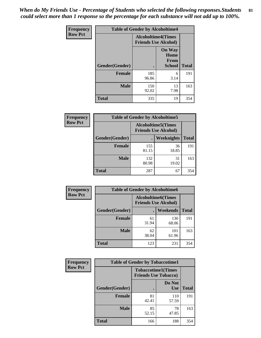*When do My Friends Use - Percentage of Students who selected the following responses.Students could select more than 1 response so the percentage for each substance will not add up to 100%.* **81**

| <b>Frequency</b> | <b>Table of Gender by Alcoholtime4</b> |                                                          |                                                       |              |
|------------------|----------------------------------------|----------------------------------------------------------|-------------------------------------------------------|--------------|
| <b>Row Pct</b>   |                                        | <b>Alcoholtime4(Times</b><br><b>Friends Use Alcohol)</b> |                                                       |              |
|                  | Gender(Gender)                         |                                                          | <b>On Way</b><br>Home<br><b>From</b><br><b>School</b> | <b>Total</b> |
|                  | <b>Female</b>                          | 185<br>96.86                                             | 6<br>3.14                                             | 191          |
|                  | <b>Male</b>                            | 150<br>92.02                                             | 13<br>7.98                                            | 163          |
|                  | <b>Total</b>                           | 335                                                      | 19                                                    | 354          |

| <b>Frequency</b> | <b>Table of Gender by Alcoholtime5</b> |                                                           |                   |              |
|------------------|----------------------------------------|-----------------------------------------------------------|-------------------|--------------|
| <b>Row Pct</b>   |                                        | <b>Alcoholtime5</b> (Times<br><b>Friends Use Alcohol)</b> |                   |              |
|                  | Gender(Gender)                         |                                                           | <b>Weeknights</b> | <b>Total</b> |
|                  | <b>Female</b>                          | 155<br>81.15                                              | 36<br>18.85       | 191          |
|                  | <b>Male</b>                            | 132<br>80.98                                              | 31<br>19.02       | 163          |
|                  | <b>Total</b>                           | 287                                                       | 67                | 354          |

| <b>Frequency</b> | <b>Table of Gender by Alcoholtime6</b> |             |                                                           |              |
|------------------|----------------------------------------|-------------|-----------------------------------------------------------|--------------|
| <b>Row Pct</b>   |                                        |             | <b>Alcoholtime6</b> (Times<br><b>Friends Use Alcohol)</b> |              |
|                  | Gender(Gender)                         |             | Weekends                                                  | <b>Total</b> |
|                  | Female                                 | 61<br>31.94 | 130<br>68.06                                              | 191          |
|                  | <b>Male</b>                            | 62<br>38.04 | 101<br>61.96                                              | 163          |
|                  | <b>Total</b>                           | 123         | 231                                                       | 354          |

| Frequency      | <b>Table of Gender by Tobaccotime1</b> |                                                          |                      |              |
|----------------|----------------------------------------|----------------------------------------------------------|----------------------|--------------|
| <b>Row Pct</b> |                                        | <b>Tobaccotime1(Times</b><br><b>Friends Use Tobacco)</b> |                      |              |
|                | Gender(Gender)                         |                                                          | Do Not<br><b>Use</b> | <b>Total</b> |
|                | <b>Female</b>                          | 81<br>42.41                                              | 110<br>57.59         | 191          |
|                | <b>Male</b>                            | 85<br>52.15                                              | 78<br>47.85          | 163          |
|                | <b>Total</b>                           | 166                                                      | 188                  | 354          |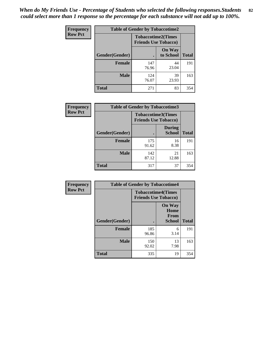*When do My Friends Use - Percentage of Students who selected the following responses.Students could select more than 1 response so the percentage for each substance will not add up to 100%.* **82**

| Frequency      | <b>Table of Gender by Tobaccotime2</b> |                                                          |                            |              |
|----------------|----------------------------------------|----------------------------------------------------------|----------------------------|--------------|
| <b>Row Pct</b> |                                        | <b>Tobaccotime2(Times</b><br><b>Friends Use Tobacco)</b> |                            |              |
|                | Gender(Gender)                         | $\bullet$                                                | <b>On Way</b><br>to School | <b>Total</b> |
|                | Female                                 | 147<br>76.96                                             | 44<br>23.04                | 191          |
|                | <b>Male</b>                            | 124<br>76.07                                             | 39<br>23.93                | 163          |
|                | Total                                  | 271                                                      | 83                         | 354          |

| Frequency      | <b>Table of Gender by Tobaccotime3</b> |                                                          |                                |              |
|----------------|----------------------------------------|----------------------------------------------------------|--------------------------------|--------------|
| <b>Row Pct</b> |                                        | <b>Tobaccotime3(Times</b><br><b>Friends Use Tobacco)</b> |                                |              |
|                | Gender(Gender)                         |                                                          | <b>During</b><br><b>School</b> | <b>Total</b> |
|                | <b>Female</b>                          | 175<br>91.62                                             | 16<br>8.38                     | 191          |
|                | <b>Male</b>                            | 142<br>87.12                                             | 21<br>12.88                    | 163          |
|                | <b>Total</b>                           | 317                                                      | 37                             | 354          |

| <b>Frequency</b> | <b>Table of Gender by Tobaccotime4</b> |                                                          |                                                |              |
|------------------|----------------------------------------|----------------------------------------------------------|------------------------------------------------|--------------|
| <b>Row Pct</b>   |                                        | <b>Tobaccotime4(Times</b><br><b>Friends Use Tobacco)</b> |                                                |              |
|                  | Gender(Gender)                         |                                                          | <b>On Way</b><br>Home<br>From<br><b>School</b> | <b>Total</b> |
|                  | <b>Female</b>                          | 185<br>96.86                                             | 6<br>3.14                                      | 191          |
|                  | <b>Male</b>                            | 150<br>92.02                                             | 13<br>7.98                                     | 163          |
|                  | <b>Total</b>                           | 335                                                      | 19                                             | 354          |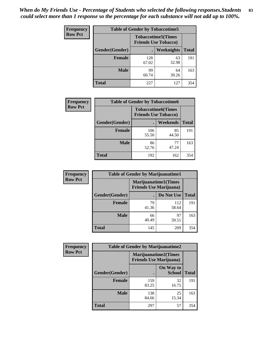| Frequency      | <b>Table of Gender by Tobaccotime5</b> |              |                                                          |              |  |
|----------------|----------------------------------------|--------------|----------------------------------------------------------|--------------|--|
| <b>Row Pct</b> |                                        |              | <b>Tobaccotime5(Times</b><br><b>Friends Use Tobacco)</b> |              |  |
|                | Gender(Gender)                         |              | Weeknights                                               | <b>Total</b> |  |
|                | <b>Female</b>                          | 128<br>67.02 | 63<br>32.98                                              | 191          |  |
|                | <b>Male</b>                            | 99<br>60.74  | 64<br>39.26                                              | 163          |  |
|                | <b>Total</b>                           | 227          | 127                                                      | 354          |  |

| Frequency      | <b>Table of Gender by Tobaccotime6</b> |                                                          |             |              |
|----------------|----------------------------------------|----------------------------------------------------------|-------------|--------------|
| <b>Row Pct</b> |                                        | <b>Tobaccotime6(Times</b><br><b>Friends Use Tobacco)</b> |             |              |
|                | Gender(Gender)                         |                                                          | Weekends    | <b>Total</b> |
|                | Female                                 | 106<br>55.50                                             | 85<br>44.50 | 191          |
|                | <b>Male</b>                            | 86<br>52.76                                              | 77<br>47.24 | 163          |
|                | <b>Total</b>                           | 192                                                      | 162         | 354          |

| <b>Frequency</b> | <b>Table of Gender by Marijuanatime1</b> |                                                               |              |              |
|------------------|------------------------------------------|---------------------------------------------------------------|--------------|--------------|
| <b>Row Pct</b>   |                                          | <b>Marijuanatime1(Times</b><br><b>Friends Use Marijuana</b> ) |              |              |
|                  | Gender(Gender)                           |                                                               | Do Not Use   | <b>Total</b> |
|                  | <b>Female</b>                            | 79<br>41.36                                                   | 112<br>58.64 | 191          |
|                  | <b>Male</b>                              | 66<br>40.49                                                   | 97<br>59.51  | 163          |
|                  | <b>Total</b>                             | 145                                                           | 209          | 354          |

| <b>Frequency</b> | <b>Table of Gender by Marijuanatime2</b> |                                                               |                            |              |
|------------------|------------------------------------------|---------------------------------------------------------------|----------------------------|--------------|
| <b>Row Pct</b>   |                                          | <b>Marijuanatime2(Times</b><br><b>Friends Use Marijuana</b> ) |                            |              |
|                  | Gender(Gender)                           |                                                               | On Way to<br><b>School</b> | <b>Total</b> |
|                  | Female                                   | 159<br>83.25                                                  | 32<br>16.75                | 191          |
|                  | <b>Male</b>                              | 138<br>84.66                                                  | 25<br>15.34                | 163          |
|                  | <b>Total</b>                             | 297                                                           | 57                         | 354          |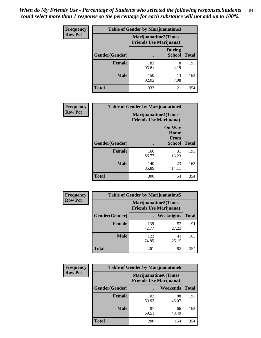*When do My Friends Use - Percentage of Students who selected the following responses.Students could select more than 1 response so the percentage for each substance will not add up to 100%.* **84**

| <b>Frequency</b> | Table of Gender by Marijuanatime3 |                                                        |                                |              |
|------------------|-----------------------------------|--------------------------------------------------------|--------------------------------|--------------|
| <b>Row Pct</b>   |                                   | Marijuanatime3(Times<br><b>Friends Use Marijuana</b> ) |                                |              |
|                  | Gender(Gender)                    |                                                        | <b>During</b><br><b>School</b> | <b>Total</b> |
|                  | <b>Female</b>                     | 183<br>95.81                                           | 8<br>4.19                      | 191          |
|                  | <b>Male</b>                       | 150<br>92.02                                           | 13<br>7.98                     | 163          |
|                  | <b>Total</b>                      | 333                                                    | 21                             | 354          |

| Frequency      | <b>Table of Gender by Marijuanatime4</b> |                                                               |                                                |              |
|----------------|------------------------------------------|---------------------------------------------------------------|------------------------------------------------|--------------|
| <b>Row Pct</b> |                                          | <b>Marijuanatime4(Times</b><br><b>Friends Use Marijuana</b> ) |                                                |              |
|                | Gender(Gender)                           |                                                               | <b>On Way</b><br>Home<br>From<br><b>School</b> | <b>Total</b> |
|                | <b>Female</b>                            | 160<br>83.77                                                  | 31<br>16.23                                    | 191          |
|                | <b>Male</b>                              | 140<br>85.89                                                  | 23<br>14.11                                    | 163          |
|                | <b>Total</b>                             | 300                                                           | 54                                             | 354          |

| Frequency      | <b>Table of Gender by Marijuanatime5</b> |                                                                |             |              |
|----------------|------------------------------------------|----------------------------------------------------------------|-------------|--------------|
| <b>Row Pct</b> |                                          | <b>Marijuanatime5</b> (Times<br><b>Friends Use Marijuana</b> ) |             |              |
|                | Gender(Gender)                           | ٠                                                              | Weeknights  | <b>Total</b> |
|                | <b>Female</b>                            | 139<br>72.77                                                   | 52<br>27.23 | 191          |
|                | <b>Male</b>                              | 122<br>74.85                                                   | 41<br>25.15 | 163          |
|                | <b>Total</b>                             | 261                                                            | 93          | 354          |

| Frequency      | <b>Table of Gender by Marijuanatime6</b> |                                                               |                 |              |  |
|----------------|------------------------------------------|---------------------------------------------------------------|-----------------|--------------|--|
| <b>Row Pct</b> |                                          | <b>Marijuanatime6(Times</b><br><b>Friends Use Marijuana</b> ) |                 |              |  |
|                | Gender(Gender)                           |                                                               | <b>Weekends</b> | <b>Total</b> |  |
|                | <b>Female</b>                            | 103<br>53.93                                                  | 88<br>46.07     | 191          |  |
|                | <b>Male</b>                              | 97<br>59.51                                                   | 66<br>40.49     | 163          |  |
|                | <b>Total</b>                             | 200                                                           | 154             | 354          |  |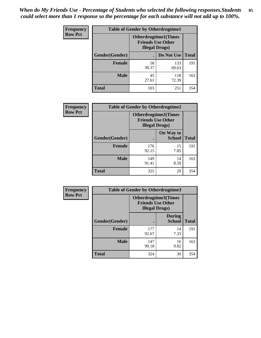*When do My Friends Use - Percentage of Students who selected the following responses.Students could select more than 1 response so the percentage for each substance will not add up to 100%.* **85**

| <b>Frequency</b> | <b>Table of Gender by Otherdrugtime1</b> |                                                                                    |              |              |
|------------------|------------------------------------------|------------------------------------------------------------------------------------|--------------|--------------|
| <b>Row Pct</b>   |                                          | <b>Otherdrugtime1</b> (Times<br><b>Friends Use Other</b><br><b>Illegal Drugs</b> ) |              |              |
|                  | Gender(Gender)                           |                                                                                    | Do Not Use   | <b>Total</b> |
|                  | <b>Female</b>                            | 58<br>30.37                                                                        | 133<br>69.63 | 191          |
|                  | <b>Male</b>                              | 45<br>27.61                                                                        | 118<br>72.39 | 163          |
|                  | <b>Total</b>                             | 103                                                                                | 251          | 354          |

| Frequency      | <b>Table of Gender by Otherdrugtime2</b> |                                                                                   |                            |              |
|----------------|------------------------------------------|-----------------------------------------------------------------------------------|----------------------------|--------------|
| <b>Row Pct</b> |                                          | <b>Otherdrugtime2(Times</b><br><b>Friends Use Other</b><br><b>Illegal Drugs</b> ) |                            |              |
|                | Gender(Gender)                           |                                                                                   | On Way to<br><b>School</b> | <b>Total</b> |
|                | <b>Female</b>                            | 176<br>92.15                                                                      | 15<br>7.85                 | 191          |
|                | <b>Male</b>                              | 149<br>91.41                                                                      | 14<br>8.59                 | 163          |
|                | <b>Total</b>                             | 325                                                                               | 29                         | 354          |

| Frequency      | <b>Table of Gender by Otherdrugtime3</b> |                        |                                                         |              |
|----------------|------------------------------------------|------------------------|---------------------------------------------------------|--------------|
| <b>Row Pct</b> |                                          | <b>Illegal Drugs</b> ) | <b>Otherdrugtime3(Times</b><br><b>Friends Use Other</b> |              |
|                | Gender(Gender)                           |                        | <b>During</b><br><b>School</b>                          | <b>Total</b> |
|                | <b>Female</b>                            | 177<br>92.67           | 14<br>7.33                                              | 191          |
|                | <b>Male</b>                              | 147<br>90.18           | 16<br>9.82                                              | 163          |
|                | <b>Total</b>                             | 324                    | 30                                                      | 354          |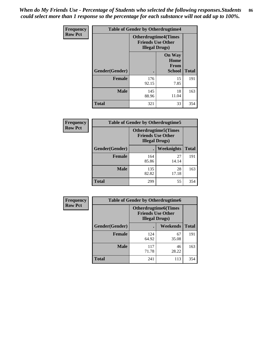*When do My Friends Use - Percentage of Students who selected the following responses.Students could select more than 1 response so the percentage for each substance will not add up to 100%.* **86**

| <b>Frequency</b> | <b>Table of Gender by Otherdrugtime4</b> |                                                    |                                                |              |
|------------------|------------------------------------------|----------------------------------------------------|------------------------------------------------|--------------|
| <b>Row Pct</b>   |                                          | <b>Friends Use Other</b><br><b>Illegal Drugs</b> ) | <b>Otherdrugtime4(Times</b>                    |              |
|                  | Gender(Gender)                           |                                                    | <b>On Way</b><br>Home<br>From<br><b>School</b> | <b>Total</b> |
|                  | Female                                   | 176<br>92.15                                       | 15<br>7.85                                     | 191          |
|                  | <b>Male</b>                              | 145<br>88.96                                       | 18<br>11.04                                    | 163          |
|                  | <b>Total</b>                             | 321                                                | 33                                             | 354          |

| Frequency      | <b>Table of Gender by Otherdrugtime5</b> |                                                                                    |             |              |
|----------------|------------------------------------------|------------------------------------------------------------------------------------|-------------|--------------|
| <b>Row Pct</b> |                                          | <b>Otherdrugtime5</b> (Times<br><b>Friends Use Other</b><br><b>Illegal Drugs</b> ) |             |              |
|                | Gender(Gender)                           |                                                                                    | Weeknights  | <b>Total</b> |
|                | <b>Female</b>                            | 164<br>85.86                                                                       | 27<br>14.14 | 191          |
|                | <b>Male</b>                              | 135<br>82.82                                                                       | 28<br>17.18 | 163          |
|                | <b>Total</b>                             | 299                                                                                | 55          | 354          |

| <b>Frequency</b> | <b>Table of Gender by Otherdrugtime6</b> |                                                                                   |             |              |  |
|------------------|------------------------------------------|-----------------------------------------------------------------------------------|-------------|--------------|--|
| <b>Row Pct</b>   |                                          | <b>Otherdrugtime6(Times</b><br><b>Friends Use Other</b><br><b>Illegal Drugs</b> ) |             |              |  |
|                  | Gender(Gender)                           |                                                                                   | Weekends    | <b>Total</b> |  |
|                  | <b>Female</b>                            | 124<br>64.92                                                                      | 67<br>35.08 | 191          |  |
|                  | <b>Male</b>                              | 117<br>71.78                                                                      | 46<br>28.22 | 163          |  |
|                  | <b>Total</b>                             | 241                                                                               | 113         | 354          |  |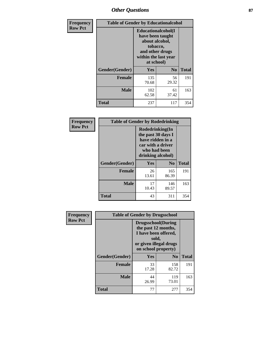# *Other Questions* **87**

| <b>Frequency</b> | <b>Table of Gender by Educationalcohol</b> |                                                                                                                                       |                |              |  |
|------------------|--------------------------------------------|---------------------------------------------------------------------------------------------------------------------------------------|----------------|--------------|--|
| <b>Row Pct</b>   |                                            | <b>Educationalcohol</b> (I<br>have been taught<br>about alcohol,<br>tobacco,<br>and other drugs<br>within the last year<br>at school) |                |              |  |
|                  | Gender(Gender)                             | <b>Yes</b>                                                                                                                            | N <sub>0</sub> | <b>Total</b> |  |
|                  | <b>Female</b>                              | 135<br>70.68                                                                                                                          | 56<br>29.32    | 191          |  |
|                  | <b>Male</b>                                | 102<br>62.58                                                                                                                          | 61<br>37.42    | 163          |  |
|                  | <b>Total</b>                               | 237                                                                                                                                   | 117            | 354          |  |

| Frequency      | <b>Table of Gender by Rodedrinking</b> |                                                                                                                     |                |              |  |
|----------------|----------------------------------------|---------------------------------------------------------------------------------------------------------------------|----------------|--------------|--|
| <b>Row Pct</b> |                                        | Rodedrinking(In<br>the past 30 days I<br>have ridden in a<br>car with a driver<br>who had been<br>drinking alcohol) |                |              |  |
|                | Gender(Gender)                         | Yes                                                                                                                 | N <sub>0</sub> | <b>Total</b> |  |
|                | <b>Female</b>                          | 26<br>13.61                                                                                                         | 165<br>86.39   | 191          |  |
|                | <b>Male</b>                            | 17<br>10.43                                                                                                         | 146<br>89.57   | 163          |  |
|                | <b>Total</b>                           | 43                                                                                                                  | 311            | 354          |  |

| Frequency      | <b>Table of Gender by Drugsschool</b> |                                                                                                                                     |                |              |  |
|----------------|---------------------------------------|-------------------------------------------------------------------------------------------------------------------------------------|----------------|--------------|--|
| <b>Row Pct</b> |                                       | <b>Drugsschool</b> (During<br>the past 12 months,<br>I have been offered,<br>sold,<br>or given illegal drugs<br>on school property) |                |              |  |
|                | Gender(Gender)                        | <b>Yes</b>                                                                                                                          | N <sub>0</sub> | <b>Total</b> |  |
|                | <b>Female</b>                         | 33<br>17.28                                                                                                                         | 158<br>82.72   | 191          |  |
|                | <b>Male</b>                           | 44<br>26.99                                                                                                                         | 119<br>73.01   | 163          |  |
|                | <b>Total</b>                          | 77                                                                                                                                  | 277            | 354          |  |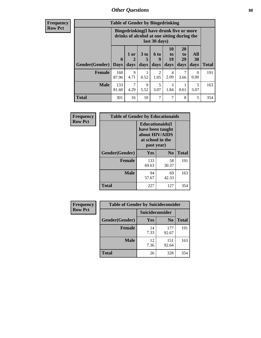## *Other Questions* **88**

**Frequency Row Pct**

| <b>Table of Gender by Bingedrinking</b> |                         |                                                                                                         |                   |                   |                        |                               |                   |              |
|-----------------------------------------|-------------------------|---------------------------------------------------------------------------------------------------------|-------------------|-------------------|------------------------|-------------------------------|-------------------|--------------|
|                                         |                         | Bingedrinking(I have drunk five or more<br>drinks of alcohol at one sitting during the<br>last 30 days) |                   |                   |                        |                               |                   |              |
| <b>Gender</b> (Gender)                  | $\bf{0}$<br><b>Days</b> | $1$ or<br>days                                                                                          | 3 to<br>5<br>days | 6 to<br>9<br>days | 10<br>to<br>19<br>days | <b>20</b><br>to<br>29<br>days | All<br>30<br>days | <b>Total</b> |
| <b>Female</b>                           | 168                     | 9                                                                                                       |                   | 2                 | 4                      | 7                             | $\Omega$          | 191          |
|                                         | 87.96                   | 4.71                                                                                                    | 0.52              | 1.05              | 2.09                   | 3.66                          | 0.00              |              |
| <b>Male</b>                             | 133<br>81.60            | 4.29                                                                                                    | 9<br>5.52         | 5<br>3.07         | $\mathcal{R}$<br>1.84  | 0.61                          | 5<br>3.07         | 163          |

| Frequency      | <b>Table of Gender by Educationaids</b> |                                                                                                 |                |              |  |
|----------------|-----------------------------------------|-------------------------------------------------------------------------------------------------|----------------|--------------|--|
| <b>Row Pct</b> |                                         | <b>Educationaids</b> (I<br>have been taught<br>about HIV/AIDS<br>at school in the<br>past year) |                |              |  |
|                | Gender(Gender)                          | Yes                                                                                             | N <sub>0</sub> | <b>Total</b> |  |
|                | <b>Female</b>                           | 133<br>69.63                                                                                    | 58<br>30.37    | 191          |  |
|                | <b>Male</b>                             | 94<br>57.67                                                                                     | 69<br>42.33    | 163          |  |
|                | <b>Total</b>                            | 227                                                                                             | 127            | 354          |  |

| <b>Frequency</b> | <b>Table of Gender by Suicideconsider</b> |                 |                |              |
|------------------|-------------------------------------------|-----------------|----------------|--------------|
| <b>Row Pct</b>   |                                           | Suicideconsider |                |              |
|                  | Gender(Gender)                            | Yes             | N <sub>0</sub> | <b>Total</b> |
|                  | <b>Female</b>                             | 14<br>7.33      | 177<br>92.67   | 191          |
|                  | <b>Male</b>                               | 12<br>7.36      | 151<br>92.64   | 163          |
|                  | Total                                     | 26              | 328            | 354          |